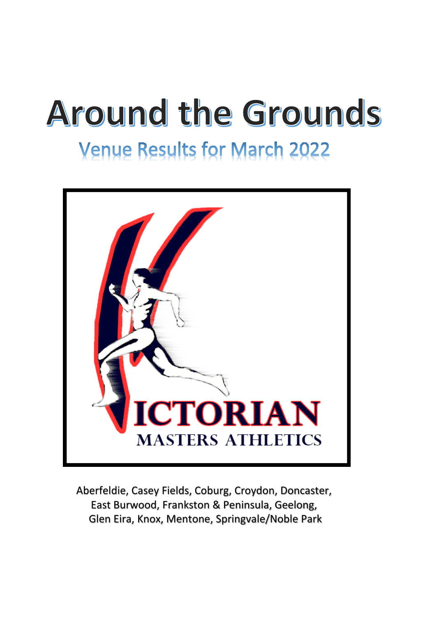# **Around the Grounds**

# **Venue Results for March 2022**



Aberfeldie, Casey Fields, Coburg, Croydon, Doncaster, East Burwood, Frankston & Peninsula, Geelong, Glen Eira, Knox, Mentone, Springvale/Noble Park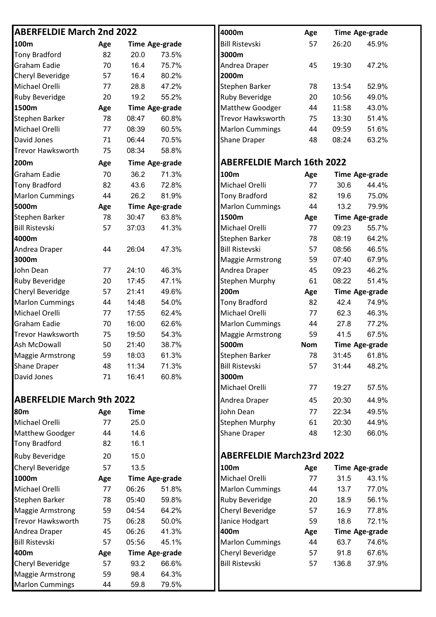#### **ABERFELDIE March 2nd 2022**

| 100m                     | Age |       | <b>Time Age-grade</b> | <b>Bill Ristevski</b>             | 57         | 26:20 | 45.9%                 |
|--------------------------|-----|-------|-----------------------|-----------------------------------|------------|-------|-----------------------|
| <b>Tony Bradford</b>     | 82  | 20.0  | 73.5%                 | 3000m                             |            |       |                       |
| <b>Graham Eadie</b>      | 70  | 16.4  | 75.7%                 | Andrea Draper                     | 45         | 19:30 | 47.2%                 |
| <b>Cheryl Beveridge</b>  | 57  | 16.4  | 80.2%                 | 2000m                             |            |       |                       |
| Michael Orelli           | 77  | 28.8  | 47.2%                 | Stephen Barker                    | 78         | 13:54 | 52.9%                 |
| <b>Ruby Beveridge</b>    | 20  | 19.2  | 55.2%                 | Ruby Beveridge                    | 20         | 10:56 | 49.0%                 |
| 1500m                    | Age |       | <b>Time Age-grade</b> | Matthew Goodger                   | 44         | 11:58 | 43.0%                 |
| <b>Stephen Barker</b>    | 78  | 08:47 | 60.8%                 | Trevor Hawksworth                 | 75         | 13:30 | 51.4%                 |
| Michael Orelli           | 77  | 08:39 | 60.5%                 | <b>Marlon Cummings</b>            | 44         | 09:59 | 51.6%                 |
| David Jones              | 71  | 06:44 | 70.5%                 | <b>Shane Draper</b>               | 48         | 08:24 | 63.2%                 |
| <b>Trevor Hawksworth</b> | 75  | 08:34 | 58.8%                 |                                   |            |       |                       |
| 200m                     | Age |       | <b>Time Age-grade</b> | <b>ABERFELDIE March 16th 2022</b> |            |       |                       |
| <b>Graham Eadie</b>      | 70  | 36.2  | 71.3%                 | 100m                              | Age        |       | <b>Time Age-grade</b> |
| <b>Tony Bradford</b>     | 82  | 43.6  | 72.8%                 | Michael Orelli                    | 77         | 30.6  | 44.4%                 |
| <b>Marlon Cummings</b>   | 44  | 26.2  | 81.9%                 | <b>Tony Bradford</b>              | 82         | 19.6  | 75.0%                 |
| 5000m                    | Age |       | <b>Time Age-grade</b> | <b>Marlon Cummings</b>            | 44         | 13.2  | 79.9%                 |
| <b>Stephen Barker</b>    | 78  | 30:47 | 63.8%                 | 1500m                             | Age        |       | <b>Time Age-grade</b> |
| <b>Bill Ristevski</b>    | 57  | 37:03 | 41.3%                 | Michael Orelli                    | 77         | 09:23 | 55.7%                 |
| 4000m                    |     |       |                       | Stephen Barker                    | 78         | 08:19 | 64.2%                 |
| Andrea Draper            | 44  | 26:04 | 47.3%                 | <b>Bill Ristevski</b>             | 57         | 08:56 | 46.5%                 |
| 3000m                    |     |       |                       | <b>Maggie Armstrong</b>           | 59         | 07:40 | 67.9%                 |
| John Dean                | 77  | 24:10 | 46.3%                 | Andrea Draper                     | 45         | 09:23 | 46.2%                 |
| <b>Ruby Beveridge</b>    | 20  | 17:45 | 47.1%                 | <b>Stephen Murphy</b>             | 61         | 08:22 | 51.4%                 |
| <b>Cheryl Beveridge</b>  | 57  | 21:41 | 49.6%                 | 200m                              | Age        |       | <b>Time Age-grade</b> |
| <b>Marlon Cummings</b>   | 44  | 14:48 | 54.0%                 | <b>Tony Bradford</b>              | 82         | 42.4  | 74.9%                 |
| Michael Orelli           | 77  | 17:55 | 62.4%                 | Michael Orelli                    | 77         | 62.3  | 46.3%                 |
| <b>Graham Eadie</b>      | 70  | 16:00 | 62.6%                 | <b>Marlon Cummings</b>            | 44         | 27.8  | 77.2%                 |
| <b>Trevor Hawksworth</b> | 75  | 19:50 | 54.3%                 | <b>Maggie Armstrong</b>           | 59         | 41.5  | 67.5%                 |
| Ash McDowall             | 50  | 21:40 | 38.7%                 | 5000m                             | <b>Nom</b> |       | <b>Time Age-grade</b> |
| <b>Maggie Armstrong</b>  | 59  | 18:03 | 61.3%                 | Stephen Barker                    | 78         | 31:45 | 61.8%                 |
| <b>Shane Draper</b>      | 48  | 11:34 | 71.3%                 | <b>Bill Ristevski</b>             | 57         | 31:44 | 48.2%                 |
| David Jones              | 71  | 16:41 | 60.8%                 | 3000m                             |            |       |                       |
|                          |     |       |                       |                                   |            |       |                       |

## **ABERFELDIE March 9th 2022**

| 80m                     | Age | <b>Time</b> |                       | John Dean                        | 77  | 22:34 | 49.5%                 |
|-------------------------|-----|-------------|-----------------------|----------------------------------|-----|-------|-----------------------|
| Michael Orelli          | 77  | 25.0        |                       | <b>Stephen Murphy</b>            | 61  | 20:30 | 44.9%                 |
| <b>Matthew Goodger</b>  | 44  | 14.6        |                       | <b>Shane Draper</b>              | 48  | 12:30 | 66.0%                 |
| Tony Bradford           | 82  | 16.1        |                       |                                  |     |       |                       |
| <b>Ruby Beveridge</b>   | 20  | 15.0        |                       | <b>ABERFELDIE March23rd 2022</b> |     |       |                       |
| Cheryl Beveridge        | 57  | 13.5        |                       | 100m                             | Age |       | <b>Time Age-grade</b> |
| 1000m                   | Age |             | <b>Time Age-grade</b> | Michael Orelli                   | 77  | 31.5  | 43.1%                 |
| Michael Orelli          | 77  | 06:26       | 51.8%                 | <b>Marlon Cummings</b>           | 44  | 13.7  | 77.0%                 |
| Stephen Barker          | 78  | 05:40       | 59.8%                 | <b>Ruby Beveridge</b>            | 20  | 18.9  | 56.1%                 |
| <b>Maggie Armstrong</b> | 59  | 04:54       | 64.2%                 | <b>Cheryl Beveridge</b>          | 57  | 16.9  | 77.8%                 |
| Trevor Hawksworth       | 75  | 06:28       | 50.0%                 | Janice Hodgart                   | 59  | 18.6  | 72.1%                 |
| Andrea Draper           | 45  | 06:26       | 41.3%                 | 400m                             | Age |       | <b>Time Age-grade</b> |
| <b>Bill Ristevski</b>   | 57  | 05:56       | 45.1%                 | <b>Marlon Cummings</b>           | 44  | 63.7  | 74.6%                 |
| 400m                    | Age |             | Time Age-grade        | <b>Cheryl Beveridge</b>          | 57  | 91.8  | 67.6%                 |
| Cheryl Beveridge        | 57  | 93.2        | 66.6%                 | <b>Bill Ristevski</b>            | 57  | 136.8 | 37.9%                 |
| Maggie Armstrong        | 59  | 98.4        | 64.3%                 |                                  |     |       |                       |
| <b>Marlon Cummings</b>  | 44  | 59.8        | 79.5%                 |                                  |     |       |                       |

| 4000m                    | Age |       | <b>Time Age-grade</b> |
|--------------------------|-----|-------|-----------------------|
| <b>Bill Ristevski</b>    | 57  | 26:20 | 45.9%                 |
| 3000m                    |     |       |                       |
| Andrea Draper            | 45  | 19:30 | 47.2%                 |
| 2000m                    |     |       |                       |
| <b>Stephen Barker</b>    | 78  | 13:54 | 52.9%                 |
| <b>Ruby Beveridge</b>    | 20  | 10:56 | 49.0%                 |
| <b>Matthew Goodger</b>   | 44  | 11:58 | 43.0%                 |
| <b>Trevor Hawksworth</b> | 75  | 13:30 | 51.4%                 |
| <b>Marlon Cummings</b>   | 44  | 09:59 | 51.6%                 |
| <b>Shane Draper</b>      | 48  | 08:24 | 63.2%                 |

### **200m Age Time Age-grade ABERFELDIE March 16th 2022**

| 100m                    | Age        |       | <b>Time Age-grade</b> |
|-------------------------|------------|-------|-----------------------|
| Michael Orelli          | 77         | 30.6  | 44.4%                 |
| <b>Tony Bradford</b>    | 82         | 19.6  | 75.0%                 |
| <b>Marlon Cummings</b>  | 44         | 13.2  | 79.9%                 |
| 1500m                   | Age        |       | <b>Time Age-grade</b> |
| Michael Orelli          | 77         | 09:23 | 55.7%                 |
| Stephen Barker          | 78         | 08:19 | 64.2%                 |
| <b>Bill Ristevski</b>   | 57         | 08:56 | 46.5%                 |
| Maggie Armstrong        | 59         | 07:40 | 67.9%                 |
| Andrea Draper           | 45         | 09:23 | 46.2%                 |
| <b>Stephen Murphy</b>   | 61         | 08:22 | 51.4%                 |
| 200m                    | Age        |       | <b>Time Age-grade</b> |
| <b>Tony Bradford</b>    | 82         | 42.4  | 74.9%                 |
| Michael Orelli          | 77         | 62.3  | 46.3%                 |
| <b>Marlon Cummings</b>  | 44         | 27.8  | 77.2%                 |
| <b>Maggie Armstrong</b> | 59         | 41.5  | 67.5%                 |
| 5000m                   | <b>Nom</b> |       | <b>Time Age-grade</b> |
| Stephen Barker          | 78         | 31:45 | 61.8%                 |
| <b>Bill Ristevski</b>   | 57         | 31:44 | 48.2%                 |
| 3000m                   |            |       |                       |
| Michael Orelli          | 77         | 19:27 | 57.5%                 |
| Andrea Draper           | 45         | 20:30 | 44.9%                 |
| John Dean               | 77         | 22:34 | 49.5%                 |
| <b>Stephen Murphy</b>   | 61         | 20:30 | 44.9%                 |
| <b>Shane Draper</b>     | 48         | 12:30 | 66.0%                 |

#### **ABERFELDIE March23rd 2022**

| <b>l</b> 100m           | Age |       | <b>Time Age-grade</b> |
|-------------------------|-----|-------|-----------------------|
| Michael Orelli          | 77  | 31.5  | 43.1%                 |
| <b>Marlon Cummings</b>  | 44  | 13.7  | 77.0%                 |
| <b>Ruby Beveridge</b>   | 20  | 18.9  | 56.1%                 |
| <b>Cheryl Beveridge</b> | 57  | 16.9  | 77.8%                 |
| Janice Hodgart          | 59  | 18.6  | 72.1%                 |
| 400m                    | Age |       | <b>Time Age-grade</b> |
| <b>Marlon Cummings</b>  | 44  | 63.7  | 74.6%                 |
| <b>Cheryl Beveridge</b> | 57  | 91.8  | 67.6%                 |
| <b>Bill Ristevski</b>   | 57  | 136.8 | 37.9%                 |
|                         |     |       |                       |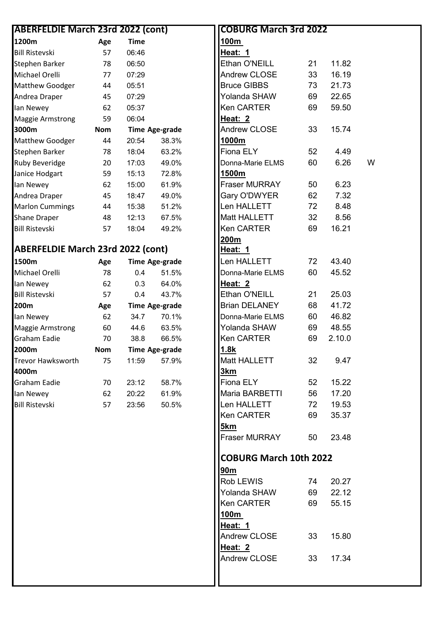| <b>ABERFELDIE March 23rd 2022 (cont)</b> |            |             |                       |
|------------------------------------------|------------|-------------|-----------------------|
| 1200m                                    | Age        | <b>Time</b> |                       |
| <b>Bill Ristevski</b>                    | 57         | 06:46       |                       |
| Stephen Barker                           | 78         | 06:50       |                       |
| Michael Orelli                           | 77         | 07:29       |                       |
| Matthew Goodger                          | 44         | 05:51       |                       |
| Andrea Draper                            | 45         | 07:29       |                       |
| lan Newey                                | 62         | 05:37       |                       |
| <b>Maggie Armstrong</b>                  | 59         | 06:04       |                       |
| 3000m                                    | <b>Nom</b> |             | <b>Time Age-grade</b> |
| Matthew Goodger                          | 44         | 20:54       | 38.3%                 |
| Stephen Barker                           | 78         | 18:04       | 63.2%                 |
| <b>Ruby Beveridge</b>                    | 20         | 17:03       | 49.0%                 |
| Janice Hodgart                           | 59         | 15:13       | 72.8%                 |
| lan Newey                                | 62         | 15:00       | 61.9%                 |
| Andrea Draper                            | 45         | 18:47       | 49.0%                 |
| <b>Marlon Cummings</b>                   | 44         | 15:38       | 51.2%                 |
| Shane Draper                             | 48         | 12:13       | 67.5%                 |
| <b>Bill Ristevski</b>                    | 57         | 18:04       | 49.2%                 |
|                                          |            |             |                       |
| <b>ABERFELDIE March 23rd 2022 (cont)</b> |            |             |                       |
| 1500m                                    | Age        |             | <b>Time Age-grade</b> |
| Michael Orelli                           | 78         | 0.4         | 51.5%                 |
| lan Newey                                | 62         | 0.3         | 64.0%                 |
| <b>Bill Ristevski</b>                    | 57         | 0.4         | 43.7%                 |
| 200m                                     | Age        |             | <b>Time Age-grade</b> |
| lan Newey                                | 62         | 34.7        | 70.1%                 |
| <b>Maggie Armstrong</b>                  | 60         | 44.6        | 63.5%                 |
| <b>Graham Eadie</b>                      | 70         | 38.8        | 66.5%                 |
| 2000m                                    | <b>Nom</b> |             | Time Age-grade        |
| <b>Trevor Hawksworth</b>                 | 75         | 11:59       | 57.9%                 |
| 4000m                                    |            |             |                       |
| Graham Eadie                             | 70         | 23:12       | 58.7%                 |
| lan Newey                                | 62         | 20:22       | 61.9%                 |
| <b>Bill Ristevski</b>                    | 57         | 23:56       | 50.5%                 |
|                                          |            |             |                       |
|                                          |            |             |                       |
|                                          |            |             |                       |
|                                          |            |             |                       |
|                                          |            |             |                       |
|                                          |            |             |                       |
|                                          |            |             |                       |
|                                          |            |             |                       |
|                                          |            |             |                       |
|                                          |            |             |                       |
|                                          |            |             |                       |
|                                          |            |             |                       |
|                                          |            |             |                       |
|                                          |            |             |                       |
|                                          |            |             |                       |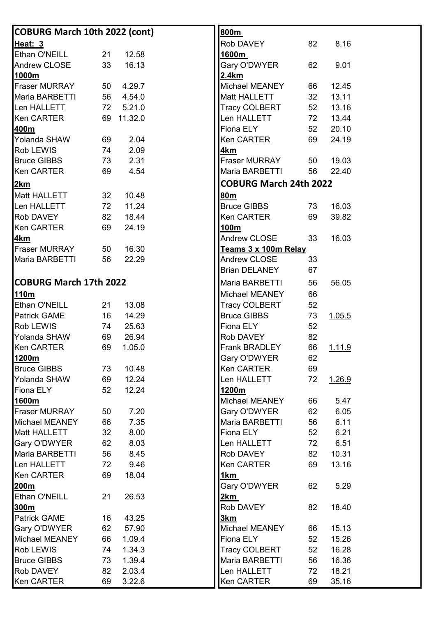| <b>COBURG March 10th 2022 (cont)</b> |    |            | 800m                                     |
|--------------------------------------|----|------------|------------------------------------------|
| Heat: 3                              |    |            | 8.16<br>Rob DAVEY<br>82                  |
| Ethan O'NEILL                        | 21 | 12.58      | 1600m                                    |
| Andrew CLOSE                         | 33 | 16.13      | Gary O'DWYER<br>62<br>9.01               |
| 1000m                                |    |            | 2.4km                                    |
| <b>Fraser MURRAY</b>                 | 50 | 4.29.7     | Michael MEANEY<br>12.45<br>66            |
| Maria BARBETTI                       | 56 | 4.54.0     | Matt HALLETT<br>13.11<br>32 <sub>2</sub> |
| Len HALLETT                          | 72 | 5.21.0     | Tracy COLBERT<br>52<br>13.16             |
| <b>Ken CARTER</b>                    |    | 69 11.32.0 | Len HALLETT<br>13.44<br>72               |
| 400m                                 |    |            | Fiona ELY<br>52<br>20.10                 |
| Yolanda SHAW                         | 69 | 2.04       | 69<br>Ken CARTER<br>24.19                |
| Rob LEWIS                            | 74 | 2.09       | 4 <sub>km</sub>                          |
| <b>Bruce GIBBS</b>                   | 73 | 2.31       | Fraser MURRAY<br>19.03<br>50             |
| <b>Ken CARTER</b>                    | 69 | 4.54       | Maria BARBETTI<br>56<br>22.40            |
| 2km                                  |    |            | <b>COBURG March 24th 2022</b>            |
| Matt HALLETT                         | 32 | 10.48      | 80m                                      |
| Len HALLETT                          | 72 | 11.24      | <b>Bruce GIBBS</b><br>16.03<br>73        |
| Rob DAVEY                            |    | 18.44      | <b>Ken CARTER</b><br>69                  |
|                                      | 82 |            | 39.82                                    |
| <b>Ken CARTER</b>                    | 69 | 24.19      | 100m<br>16.03                            |
| <u>4km</u>                           |    | 16.30      | Andrew CLOSE<br>33                       |
| Fraser MURRAY                        | 50 |            | Teams 3 x 100m Relay                     |
| Maria BARBETTI                       | 56 | 22.29      | 33<br>Andrew CLOSE                       |
|                                      |    |            | <b>Brian DELANEY</b><br>67               |
| <b>COBURG March 17th 2022</b>        |    |            | Maria BARBETTI<br>56<br>56.05            |
| <u>110m</u>                          |    |            | Michael MEANEY<br>66                     |
| Ethan O'NEILL                        | 21 | 13.08      | Tracy COLBERT<br>52                      |
| <b>Patrick GAME</b>                  | 16 | 14.29      | <b>Bruce GIBBS</b><br>73<br>1.05.5       |
| Rob LEWIS                            | 74 | 25.63      | Fiona ELY<br>52                          |
| Yolanda SHAW                         | 69 | 26.94      | 82<br>Rob DAVEY                          |
| <b>Ken CARTER</b>                    | 69 | 1.05.0     | Frank BRADLEY<br>66<br><u>1.11.9</u>     |
| 1200m                                |    |            | Gary O'DWYER<br>62                       |
| <b>Bruce GIBBS</b>                   | 73 | 10.48      | <b>Ken CARTER</b><br>69                  |
| Yolanda SHAW                         | 69 | 12.24      | Len HALLETT<br>72<br>1.26.9              |
| Fiona ELY                            | 52 | 12.24      | 1200m                                    |
| 1600m                                |    |            | Michael MEANEY<br>66<br>5.47             |
| Fraser MURRAY                        | 50 | 7.20       | Gary O'DWYER<br>6.05<br>62               |
| Michael MEANEY                       | 66 | 7.35       | Maria BARBETTI<br>56<br>6.11             |
| <b>Matt HALLETT</b>                  | 32 | 8.00       | Fiona ELY<br>52<br>6.21                  |
| Gary O'DWYER                         | 62 | 8.03       | Len HALLETT<br>72<br>6.51                |
| Maria BARBETTI                       | 56 | 8.45       | Rob DAVEY<br>82<br>10.31                 |
| Len HALLETT                          | 72 | 9.46       | Ken CARTER<br>69<br>13.16                |
| <b>Ken CARTER</b>                    | 69 | 18.04      | 1 <sub>km</sub>                          |
| 200m                                 |    |            | Gary O'DWYER<br>5.29<br>62               |
| Ethan O'NEILL                        | 21 | 26.53      | <u>2km</u>                               |
| 300m                                 |    |            | Rob DAVEY<br>82<br>18.40                 |
| <b>Patrick GAME</b>                  | 16 | 43.25      | <u>3km</u>                               |
| Gary O'DWYER                         | 62 | 57.90      | Michael MEANEY<br>66<br>15.13            |
| Michael MEANEY                       | 66 | 1.09.4     | Fiona ELY<br>52<br>15.26                 |
| Rob LEWIS                            | 74 | 1.34.3     | <b>Tracy COLBERT</b><br>16.28<br>52      |
| <b>Bruce GIBBS</b>                   | 73 | 1.39.4     | Maria BARBETTI<br>16.36<br>56            |
| Rob DAVEY                            | 82 | 2.03.4     | Len HALLETT<br>18.21<br>72               |
| <b>Ken CARTER</b>                    | 69 | 3.22.6     | <b>Ken CARTER</b><br>69<br>35.16         |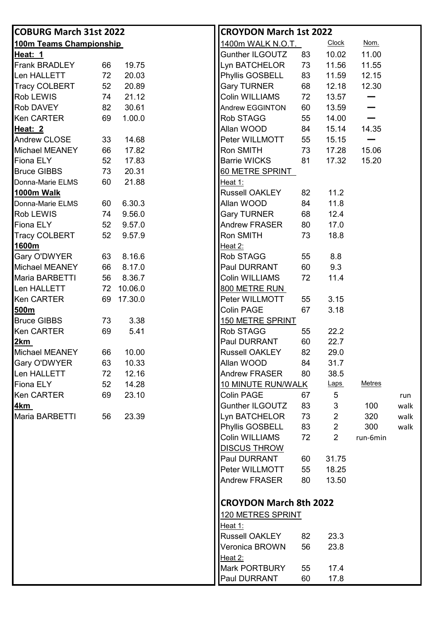| <b>COBURG March 31st 2022</b> |    |         | <b>CROYDON March 1st 2022</b>                  |               |
|-------------------------------|----|---------|------------------------------------------------|---------------|
| 100m Teams Championship       |    |         | <b>Clock</b><br>1400m WALK N.O.T.              | Nom.          |
| Heat: 1                       |    |         | Gunther ILGOUTZ<br>10.02<br>83                 | 11.00         |
| <b>Frank BRADLEY</b>          | 66 | 19.75   | Lyn BATCHELOR<br>73<br>11.56                   | 11.55         |
| Len HALLETT                   | 72 | 20.03   | Phyllis GOSBELL<br>83<br>11.59                 | 12.15         |
| <b>Tracy COLBERT</b>          | 52 | 20.89   | <b>Gary TURNER</b><br>68<br>12.18              | 12.30         |
| Rob LEWIS                     | 74 | 21.12   | Colin WILLIAMS<br>72<br>13.57                  |               |
| Rob DAVEY                     | 82 | 30.61   | 60<br>13.59<br>Andrew EGGINTON                 |               |
| <b>Ken CARTER</b>             | 69 | 1.00.0  | Rob STAGG<br>55<br>14.00                       |               |
| Heat: 2                       |    |         | Allan WOOD<br>15.14<br>84                      | 14.35         |
| <b>Andrew CLOSE</b>           | 33 | 14.68   | Peter WILLMOTT<br>15.15<br>55                  |               |
| Michael MEANEY                | 66 | 17.82   | Ron SMITH<br>73<br>17.28                       | 15.06         |
| <b>Fiona ELY</b>              | 52 | 17.83   | <b>Barrie WICKS</b><br>81<br>17.32             | 15.20         |
| <b>Bruce GIBBS</b>            | 73 | 20.31   | 60 METRE SPRINT                                |               |
| Donna-Marie ELMS              | 60 | 21.88   | Heat 1:                                        |               |
| 1000m Walk                    |    |         | <b>Russell OAKLEY</b><br>11.2<br>82            |               |
| Donna-Marie ELMS              | 60 | 6.30.3  | Allan WOOD<br>11.8<br>84                       |               |
| Rob LEWIS                     | 74 | 9.56.0  | <b>Gary TURNER</b><br>68<br>12.4               |               |
| Fiona ELY                     | 52 | 9.57.0  | <b>Andrew FRASER</b><br>17.0<br>80             |               |
| <b>Tracy COLBERT</b>          | 52 | 9.57.9  | 18.8<br>Ron SMITH<br>73                        |               |
| 1600m                         |    |         | Heat 2:                                        |               |
| Gary O'DWYER                  | 63 | 8.16.6  | 8.8<br>Rob STAGG<br>55                         |               |
| Michael MEANEY                | 66 | 8.17.0  | 9.3<br>Paul DURRANT<br>60                      |               |
| Maria BARBETTI                | 56 | 8.36.7  | Colin WILLIAMS<br>11.4<br>72                   |               |
| Len HALLETT                   | 72 | 10.06.0 | 800 METRE RUN                                  |               |
| <b>Ken CARTER</b>             | 69 | 17.30.0 | Peter WILLMOTT<br>3.15<br>55                   |               |
| 500m                          |    |         | 67<br>3.18<br><b>Colin PAGE</b>                |               |
| <b>Bruce GIBBS</b>            | 73 | 3.38    | <b>150 METRE SPRINT</b>                        |               |
| <b>Ken CARTER</b>             | 69 | 5.41    | Rob STAGG<br>22.2<br>55                        |               |
| <u>2km</u>                    |    |         | Paul DURRANT<br>22.7<br>60                     |               |
| Michael MEANEY                | 66 | 10.00   | <b>Russell OAKLEY</b><br>82<br>29.0            |               |
| Gary O'DWYER                  | 63 | 10.33   | Allan WOOD<br>31.7<br>84                       |               |
| Len HALLETT                   | 72 | 12.16   | <b>Andrew FRASER</b><br>38.5<br>80             |               |
| Fiona ELY                     | 52 | 14.28   | 10 MINUTE RUN/WALK<br><b>Laps</b>              | <b>Metres</b> |
| <b>Ken CARTER</b>             | 69 | 23.10   | Colin PAGE<br>5<br>67                          | run           |
| <u>4km</u>                    |    |         | Gunther ILGOUTZ<br>83<br>3                     | 100<br>walk   |
| Maria BARBETTI                | 56 | 23.39   | Lyn BATCHELOR<br>$\overline{2}$<br>73          | 320<br>walk   |
|                               |    |         | <b>Phyllis GOSBELL</b><br>$\overline{2}$<br>83 | 300<br>walk   |
|                               |    |         | Colin WILLIAMS<br>$\overline{2}$<br>72         | run-6min      |
|                               |    |         | <b>DISCUS THROW</b>                            |               |
|                               |    |         | Paul DURRANT<br>31.75<br>60                    |               |
|                               |    |         | Peter WILLMOTT<br>55<br>18.25                  |               |
|                               |    |         | <b>Andrew FRASER</b><br>80<br>13.50            |               |
|                               |    |         | <b>CROYDON March 8th 2022</b>                  |               |
|                               |    |         | 120 METRES SPRINT                              |               |
|                               |    |         | Heat 1:                                        |               |
|                               |    |         | <b>Russell OAKLEY</b><br>23.3<br>82            |               |
|                               |    |         | Veronica BROWN<br>23.8<br>56                   |               |
|                               |    |         | Heat 2:                                        |               |
|                               |    |         | Mark PORTBURY<br>17.4<br>55                    |               |
|                               |    |         | Paul DURRANT<br>17.8<br>60                     |               |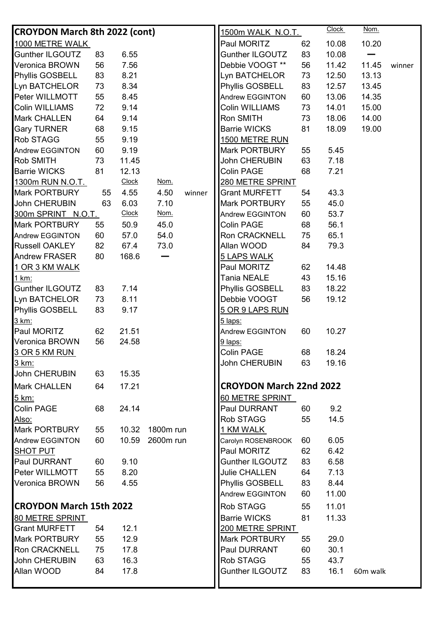| <b>CROYDON March 8th 2022 (cont)</b> |    |              |           |        | <u>1500m WALK_N.O.T.</u>       |    | <b>Clock</b> | Nom.     |        |
|--------------------------------------|----|--------------|-----------|--------|--------------------------------|----|--------------|----------|--------|
| 1000 METRE WALK                      |    |              |           |        | Paul MORITZ                    | 62 | 10.08        | 10.20    |        |
| <b>Gunther ILGOUTZ</b>               | 83 | 6.55         |           |        | <b>Gunther ILGOUTZ</b>         | 83 | 10.08        |          |        |
| Veronica BROWN                       | 56 | 7.56         |           |        | Debbie VOOGT **                | 56 | 11.42        | 11.45    | winner |
| Phyllis GOSBELL                      | 83 | 8.21         |           |        | Lyn BATCHELOR                  | 73 | 12.50        | 13.13    |        |
| Lyn BATCHELOR                        | 73 | 8.34         |           |        | Phyllis GOSBELL                | 83 | 12.57        | 13.45    |        |
| Peter WILLMOTT                       | 55 | 8.45         |           |        | Andrew EGGINTON                | 60 | 13.06        | 14.35    |        |
| Colin WILLIAMS                       | 72 | 9.14         |           |        | Colin WILLIAMS                 | 73 | 14.01        | 15.00    |        |
| <b>Mark CHALLEN</b>                  | 64 | 9.14         |           |        | Ron SMITH                      | 73 | 18.06        | 14.00    |        |
| <b>Gary TURNER</b>                   | 68 | 9.15         |           |        | <b>Barrie WICKS</b>            | 81 | 18.09        | 19.00    |        |
| Rob STAGG                            | 55 | 9.19         |           |        | 1500 METRE RUN                 |    |              |          |        |
| <b>Andrew EGGINTON</b>               | 60 | 9.19         |           |        | Mark PORTBURY                  | 55 | 5.45         |          |        |
| Rob SMITH                            | 73 | 11.45        |           |        | John CHERUBIN                  | 63 | 7.18         |          |        |
| <b>Barrie WICKS</b>                  | 81 | 12.13        |           |        | Colin PAGE                     | 68 | 7.21         |          |        |
| 1300m RUN N.O.T.                     |    | <b>Clock</b> | Nom.      |        | 280 METRE SPRINT               |    |              |          |        |
| Mark PORTBURY                        | 55 | 4.55         | 4.50      | winner | <b>Grant MURFETT</b>           | 54 | 43.3         |          |        |
| John CHERUBIN                        | 63 | 6.03         | 7.10      |        | Mark PORTBURY                  | 55 | 45.0         |          |        |
| 300m SPRINT N.O.T.                   |    | <b>Clock</b> | Nom.      |        | <b>Andrew EGGINTON</b>         | 60 | 53.7         |          |        |
| Mark PORTBURY                        | 55 | 50.9         | 45.0      |        | Colin PAGE                     | 68 | 56.1         |          |        |
| Andrew EGGINTON                      | 60 | 57.0         | 54.0      |        | Ron CRACKNELL                  | 75 | 65.1         |          |        |
| <b>Russell OAKLEY</b>                | 82 | 67.4         | 73.0      |        | Allan WOOD                     | 84 | 79.3         |          |        |
| <b>Andrew FRASER</b>                 | 80 | 168.6        |           |        | <b>5 LAPS WALK</b>             |    |              |          |        |
| 1 OR 3 KM WALK                       |    |              |           |        | Paul MORITZ                    | 62 | 14.48        |          |        |
| 1 km:                                |    |              |           |        | <b>Tania NEALE</b>             | 43 | 15.16        |          |        |
| <b>Gunther ILGOUTZ</b>               | 83 | 7.14         |           |        | Phyllis GOSBELL                | 83 | 18.22        |          |        |
| Lyn BATCHELOR                        | 73 | 8.11         |           |        | Debbie VOOGT                   | 56 | 19.12        |          |        |
| Phyllis GOSBELL                      | 83 | 9.17         |           |        | 5 OR 9 LAPS RUN                |    |              |          |        |
| 3 km:                                |    |              |           |        | 5 laps:                        |    |              |          |        |
| Paul MORITZ                          | 62 | 21.51        |           |        | Andrew EGGINTON                | 60 | 10.27        |          |        |
| Veronica BROWN                       | 56 | 24.58        |           |        | 9 laps:                        |    |              |          |        |
| 3 OR 5 KM RUN                        |    |              |           |        | Colin PAGE                     | 68 | 18.24        |          |        |
| <u>3 km:</u>                         |    |              |           |        | John CHERUBIN                  | 63 | 19.16        |          |        |
| John CHERUBIN                        | 63 | 15.35        |           |        |                                |    |              |          |        |
| Mark CHALLEN                         | 64 | 17.21        |           |        | <b>CROYDON March 22nd 2022</b> |    |              |          |        |
| 5 km:                                |    |              |           |        | 60 METRE SPRINT                |    |              |          |        |
| <b>Colin PAGE</b>                    | 68 | 24.14        |           |        | Paul DURRANT                   | 60 | 9.2          |          |        |
| <u>Also:</u>                         |    |              |           |        | Rob STAGG                      | 55 | 14.5         |          |        |
| Mark PORTBURY                        | 55 | 10.32        | 1800m run |        | 1 KM WALK                      |    |              |          |        |
| Andrew EGGINTON                      | 60 | 10.59        | 2600m run |        | Carolyn ROSENBROOK             | 60 | 6.05         |          |        |
| <b>SHOT PUT</b>                      |    |              |           |        | Paul MORITZ                    | 62 | 6.42         |          |        |
| Paul DURRANT                         | 60 | 9.10         |           |        | <b>Gunther ILGOUTZ</b>         | 83 | 6.58         |          |        |
| Peter WILLMOTT                       | 55 | 8.20         |           |        | Julie CHALLEN                  | 64 | 7.13         |          |        |
| Veronica BROWN                       | 56 | 4.55         |           |        | Phyllis GOSBELL                | 83 | 8.44         |          |        |
|                                      |    |              |           |        | Andrew EGGINTON                | 60 | 11.00        |          |        |
| <b>CROYDON March 15th 2022</b>       |    |              |           |        |                                |    |              |          |        |
|                                      |    |              |           |        | Rob STAGG                      | 55 | 11.01        |          |        |
| 80 METRE SPRINT                      |    |              |           |        | <b>Barrie WICKS</b>            | 81 | 11.33        |          |        |
| <b>Grant MURFETT</b>                 | 54 | 12.1         |           |        | 200 METRE SPRINT               |    |              |          |        |
| Mark PORTBURY                        | 55 | 12.9         |           |        | Mark PORTBURY                  | 55 | 29.0         |          |        |
| <b>Ron CRACKNELL</b>                 | 75 | 17.8         |           |        | Paul DURRANT                   | 60 | 30.1         |          |        |
| John CHERUBIN                        | 63 | 16.3         |           |        | Rob STAGG                      | 55 | 43.7         |          |        |
| Allan WOOD                           | 84 | 17.8         |           |        | Gunther ILGOUTZ                | 83 | 16.1         | 60m walk |        |
|                                      |    |              |           |        |                                |    |              |          |        |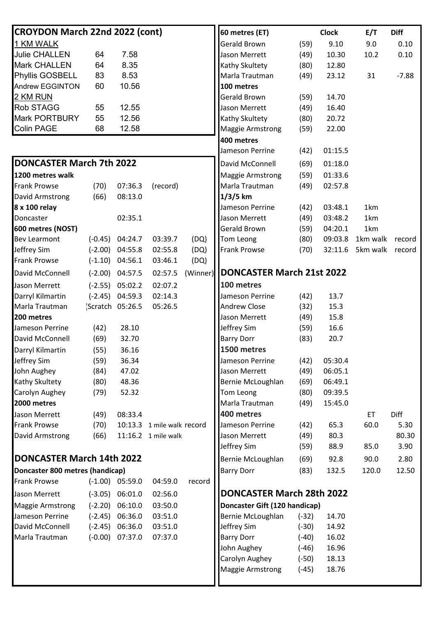| CROYDON March 22nd 2022 (cont)   |           |                   |                            |        | 60 metres (ET)                       |         | <b>Clock</b> | E/T      | <b>Diff</b> |
|----------------------------------|-----------|-------------------|----------------------------|--------|--------------------------------------|---------|--------------|----------|-------------|
| 1 KM WALK                        |           |                   |                            |        | Gerald Brown                         | (59)    | 9.10         | 9.0      | 0.10        |
| <b>Julie CHALLEN</b>             | 64        | 7.58              |                            |        | Jason Merrett                        | (49)    | 10.30        | 10.2     | 0.10        |
| <b>Mark CHALLEN</b>              | 64        | 8.35              |                            |        | Kathy Skultety                       | (80)    | 12.80        |          |             |
| Phyllis GOSBELL                  | 83        | 8.53              |                            |        | Marla Trautman                       | (49)    | 23.12        | 31       | $-7.88$     |
| <b>Andrew EGGINTON</b>           | 60        | 10.56             |                            |        | 100 metres                           |         |              |          |             |
| 2 KM RUN                         |           |                   |                            |        | Gerald Brown                         | (59)    | 14.70        |          |             |
| <b>Rob STAGG</b>                 | 55        | 12.55             |                            |        | Jason Merrett                        | (49)    | 16.40        |          |             |
| <b>Mark PORTBURY</b>             | 55        | 12.56             |                            |        | Kathy Skultety                       | (80)    | 20.72        |          |             |
| <b>Colin PAGE</b>                | 68        | 12.58             |                            |        | <b>Maggie Armstrong</b>              | (59)    | 22.00        |          |             |
|                                  |           |                   |                            |        | 400 metres                           |         |              |          |             |
|                                  |           |                   |                            |        | Jameson Perrine                      | (42)    | 01:15.5      |          |             |
| <b>DONCASTER March 7th 2022</b>  |           |                   |                            |        | David McConnell                      | (69)    | 01:18.0      |          |             |
| 1200 metres walk                 |           |                   |                            |        | <b>Maggie Armstrong</b>              | (59)    | 01:33.6      |          |             |
| <b>Frank Prowse</b>              | (70)      | 07:36.3           | (record)                   |        | Marla Trautman                       | (49)    | 02:57.8      |          |             |
| David Armstrong                  | (66)      | 08:13.0           |                            |        | $1/3/5$ km                           |         |              |          |             |
| 8 x 100 relay                    |           |                   |                            |        | Jameson Perrine                      | (42)    | 03:48.1      | 1km      |             |
| Doncaster                        |           | 02:35.1           |                            |        | Jason Merrett                        | (49)    | 03:48.2      | 1km      |             |
| 600 metres (NOST)                |           |                   |                            |        | Gerald Brown                         | (59)    | 04:20.1      | 1km      |             |
| <b>Bev Learmont</b>              |           | $(-0.45)$ 04:24.7 | 03:39.7                    | (DQ)   | Tom Leong                            | (80)    | 09:03.8      | 1km walk | record      |
| Jeffrey Sim                      |           | $(-2.00)$ 04:55.8 | 02:55.8                    | (DQ)   | <b>Frank Prowse</b>                  | (70)    | 32:11.6      | 5km walk | record      |
| <b>Frank Prowse</b>              | $(-1.10)$ | 04:56.1           | 03:46.1                    | (DQ)   |                                      |         |              |          |             |
| David McConnell                  |           | $(-2.00)$ 04:57.5 | 02:57.5                    |        | (Winner)   DONCASTER March 21st 2022 |         |              |          |             |
| Jason Merrett                    |           | $(-2.55)$ 05:02.2 | 02:07.2                    |        | 100 metres                           |         |              |          |             |
| Darryl Kilmartin                 | $(-2.45)$ | 04:59.3           | 02:14.3                    |        | Jameson Perrine                      | (42)    | 13.7         |          |             |
| Marla Trautman                   |           | [Scratch 05:26.5  | 05:26.5                    |        | <b>Andrew Close</b>                  | (32)    | 15.3         |          |             |
| 200 metres                       |           |                   |                            |        | Jason Merrett                        | (49)    | 15.8         |          |             |
| Jameson Perrine                  | (42)      | 28.10             |                            |        | Jeffrey Sim                          | (59)    | 16.6         |          |             |
| David McConnell                  | (69)      | 32.70             |                            |        | <b>Barry Dorr</b>                    | (83)    | 20.7         |          |             |
| Darryl Kilmartin                 | (55)      | 36.16             |                            |        | 1500 metres                          |         |              |          |             |
| Jeffrey Sim                      | (59)      | 36.34             |                            |        | Jameson Perrine                      | (42)    | 05:30.4      |          |             |
| John Aughey                      | (84)      | 47.02             |                            |        | Jason Merrett                        | (49)    | 06:05.1      |          |             |
| Kathy Skultety                   | (80)      | 48.36             |                            |        | Bernie McLoughlan                    | (69)    | 06:49.1      |          |             |
| Carolyn Aughey                   | (79)      | 52.32             |                            |        | Tom Leong                            | (80)    | 09:39.5      |          |             |
| 2000 metres                      |           |                   |                            |        | Marla Trautman                       | (49)    | 15:45.0      |          |             |
| Jason Merrett                    | (49)      | 08:33.4           |                            |        | 400 metres                           |         |              | ET       | Diff        |
| <b>Frank Prowse</b>              | (70)      |                   | 10:13.3 1 mile walk record |        | Jameson Perrine                      | (42)    | 65.3         | 60.0     | 5.30        |
| David Armstrong                  | (66)      |                   | 11:16.2 1 mile walk        |        | Jason Merrett                        | (49)    | 80.3         |          | 80.30       |
|                                  |           |                   |                            |        | Jeffrey Sim                          | (59)    | 88.9         | 85.0     | 3.90        |
| <b>DONCASTER March 14th 2022</b> |           |                   |                            |        | Bernie McLoughlan                    | (69)    | 92.8         | 90.0     | 2.80        |
| Doncaster 800 metres (handicap)  |           |                   |                            |        | <b>Barry Dorr</b>                    | (83)    | 132.5        | 120.0    | 12.50       |
| <b>Frank Prowse</b>              |           | $(-1.00)$ 05:59.0 | 04:59.0                    | record |                                      |         |              |          |             |
| Jason Merrett                    | $(-3.05)$ | 06:01.0           | 02:56.0                    |        | <b>DONCASTER March 28th 2022</b>     |         |              |          |             |
| <b>Maggie Armstrong</b>          |           | $(-2.20)$ 06:10.0 | 03:50.0                    |        | Doncaster Gift (120 handicap)        |         |              |          |             |
| Jameson Perrine                  | $(-2.45)$ | 06:36.0           | 03:51.0                    |        | Bernie McLoughlan                    | $(-32)$ | 14.70        |          |             |
| David McConnell                  | $(-2.45)$ | 06:36.0           | 03:51.0                    |        | Jeffrey Sim                          | $(-30)$ | 14.92        |          |             |
| Marla Trautman                   | $(-0.00)$ | 07:37.0           | 07:37.0                    |        | <b>Barry Dorr</b>                    | $(-40)$ | 16.02        |          |             |
|                                  |           |                   |                            |        | John Aughey                          | $(-46)$ | 16.96        |          |             |
|                                  |           |                   |                            |        | Carolyn Aughey                       | $(-50)$ | 18.13        |          |             |
|                                  |           |                   |                            |        | <b>Maggie Armstrong</b>              | $(-45)$ | 18.76        |          |             |
|                                  |           |                   |                            |        |                                      |         |              |          |             |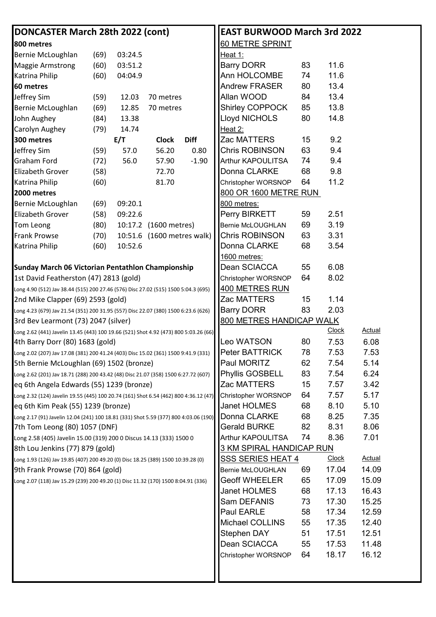| DONCASTER March 28th 2022 (cont)                                                     |      |         |                            |             | <b>EAST BURWOOD March 3rd 2022</b> |    |              |               |
|--------------------------------------------------------------------------------------|------|---------|----------------------------|-------------|------------------------------------|----|--------------|---------------|
| 800 metres                                                                           |      |         |                            |             | 60 METRE SPRINT                    |    |              |               |
| Bernie McLoughlan                                                                    | (69) | 03:24.5 |                            |             | Heat 1:                            |    |              |               |
| <b>Maggie Armstrong</b>                                                              | (60) | 03:51.2 |                            |             | <b>Barry DORR</b>                  | 83 | 11.6         |               |
| Katrina Philip                                                                       | (60) | 04:04.9 |                            |             | Ann HOLCOMBE                       | 74 | 11.6         |               |
| 60 metres                                                                            |      |         |                            |             | <b>Andrew FRASER</b>               | 80 | 13.4         |               |
| Jeffrey Sim                                                                          | (59) | 12.03   | 70 metres                  |             | Allan WOOD                         | 84 | 13.4         |               |
| Bernie McLoughlan                                                                    | (69) | 12.85   | 70 metres                  |             | Shirley COPPOCK                    | 85 | 13.8         |               |
| John Aughey                                                                          | (84) | 13.38   |                            |             | Lloyd NICHOLS                      | 80 | 14.8         |               |
| Carolyn Aughey                                                                       | (79) | 14.74   |                            |             | Heat 2:                            |    |              |               |
| 300 metres                                                                           |      | E/T     | <b>Clock</b>               | <b>Diff</b> | Zac MATTERS                        | 15 | 9.2          |               |
| Jeffrey Sim                                                                          | (59) | 57.0    | 56.20                      | 0.80        | Chris ROBINSON                     | 63 | 9.4          |               |
| <b>Graham Ford</b>                                                                   | (72) | 56.0    | 57.90                      | $-1.90$     | Arthur KAPOULITSA                  | 74 | 9.4          |               |
| <b>Elizabeth Grover</b>                                                              | (58) |         | 72.70                      |             | Donna CLARKE                       | 68 | 9.8          |               |
| <b>Katrina Philip</b>                                                                | (60) |         | 81.70                      |             | Christopher WORSNOP                | 64 | 11.2         |               |
| 2000 metres                                                                          |      |         |                            |             | 800 OR 1600 METRE RUN              |    |              |               |
| Bernie McLoughlan                                                                    | (69) | 09:20.1 |                            |             | 800 metres:                        |    |              |               |
| <b>Elizabeth Grover</b>                                                              | (58) | 09:22.6 |                            |             | Perry BIRKETT                      | 59 | 2.51         |               |
| Tom Leong                                                                            | (80) |         | 10:17.2 (1600 metres)      |             | Bernie McLOUGHLAN                  | 69 | 3.19         |               |
| <b>Frank Prowse</b>                                                                  | (70) |         | 10:51.6 (1600 metres walk) |             | Chris ROBINSON                     | 63 | 3.31         |               |
| Katrina Philip                                                                       | (60) | 10:52.6 |                            |             | Donna CLARKE                       | 68 | 3.54         |               |
|                                                                                      |      |         |                            |             | 1600 metres:                       |    |              |               |
| Sunday March 06 Victorian Pentathlon Championship                                    |      |         |                            |             | Dean SCIACCA                       | 55 | 6.08         |               |
| 1st David Featherston (47) 2813 (gold)                                               |      |         |                            |             | Christopher WORSNOP                | 64 | 8.02         |               |
| Long 4.90 (512) Jav 38.44 (515) 200 27.46 (576) Disc 27.02 (515) 1500 5:04.3 (695)   |      |         |                            |             | 400 METRES RUN                     |    |              |               |
| 2nd Mike Clapper (69) 2593 (gold)                                                    |      |         |                            |             | Zac MATTERS                        | 15 | 1.14         |               |
| Long 4.23 (679) Jav 21.54 (351) 200 31.95 (557) Disc 22.07 (380) 1500 6:23.6 (626)   |      |         |                            |             | <b>Barry DORR</b>                  | 83 | 2.03         |               |
| 3rd Bev Learmont (73) 2047 (silver)                                                  |      |         |                            |             | 800 METRES HANDICAP WALK           |    |              |               |
| Long 2.62 (441) Javelin 13.45 (443) 100 19.66 (521) Shot 4.92 (473) 800 5:03.26 (66) |      |         |                            |             |                                    |    | <b>Clock</b> | <b>Actual</b> |
| 4th Barry Dorr (80) 1683 (gold)                                                      |      |         |                            |             | Leo WATSON                         | 80 | 7.53         | 6.08          |
| Long 2.02 (207) Jav 17.08 (381) 200 41.24 (403) Disc 15.02 (361) 1500 9:41.9 (331)   |      |         |                            |             | Peter BATTRICK                     | 78 | 7.53         | 7.53          |
| 5th Bernie McLoughlan (69) 1502 (bronze)                                             |      |         |                            |             | Paul MORITZ                        | 62 | 7.54         | 5.14          |
| Long 2.62 (201) Jav 18.71 (288) 200 43.42 (48) Disc 21.07 (358) 1500 6:27.72 (607)   |      |         |                            |             | <b>Phyllis GOSBELL</b>             | 83 | 7.54         | 6.24          |
| eq 6th Angela Edwards (55) 1239 (bronze)                                             |      |         |                            |             | Zac MATTERS                        | 15 | 7.57         | 3.42          |
| Long 2.32 (124) Javelin 19.55 (445) 100 20.74 (161) Shot 6.54 (462) 800 4:36.12 (47) |      |         |                            |             | Christopher WORSNOP                | 64 | 7.57         | 5.17          |
| eq 6th Kim Peak (55) 1239 (bronze)                                                   |      |         |                            |             | Janet HOLMES                       | 68 | 8.10         | 5.10          |
| Long 2.17 (91) Javelin 12.04 (241) 100 18.81 (331) Shot 5.59 (377) 800 4:03.06 (190) |      |         |                            |             | Donna CLARKE                       | 68 | 8.25         | 7.35          |
| 7th Tom Leong (80) 1057 (DNF)                                                        |      |         |                            |             | <b>Gerald BURKE</b>                | 82 | 8.31         | 8.06          |
| Long 2.58 (405) Javelin 15.00 (319) 200 0 Discus 14.13 (333) 1500 0                  |      |         |                            |             | Arthur KAPOULITSA                  | 74 | 8.36         | 7.01          |
| 8th Lou Jenkins (77) 879 (gold)                                                      |      |         |                            |             | <b>3 KM SPIRAL HANDICAP RUN</b>    |    |              |               |
| Long 1.93 (126) Jav 19.85 (407) 200 49.20 (0) Disc 18.25 (389) 1500 10:39.28 (0)     |      |         |                            |             | <u>SSS SERIES HEAT</u> 4           |    | <b>Clock</b> | <b>Actual</b> |
| 9th Frank Prowse (70) 864 (gold)                                                     |      |         |                            |             | Bernie McLOUGHLAN                  | 69 | 17.04        | 14.09         |
| Long 2.07 (118) Jav 15.29 (239) 200 49.20 (1) Disc 11.32 (170) 1500 8:04.91 (336)    |      |         |                            |             | <b>Geoff WHEELER</b>               | 65 | 17.09        | 15.09         |
|                                                                                      |      |         |                            |             | Janet HOLMES                       | 68 | 17.13        | 16.43         |
|                                                                                      |      |         |                            |             | Sam DEFANIS                        | 73 | 17.30        | 15.25         |
|                                                                                      |      |         |                            |             | Paul EARLE                         | 58 | 17.34        | 12.59         |
|                                                                                      |      |         |                            |             | Michael COLLINS                    | 55 | 17.35        | 12.40         |
|                                                                                      |      |         |                            |             | Stephen DAY                        | 51 | 17.51        | 12.51         |
|                                                                                      |      |         |                            |             | Dean SCIACCA                       | 55 | 17.53        | 11.48         |
|                                                                                      |      |         |                            |             | Christopher WORSNOP                | 64 | 18.17        | 16.12         |
|                                                                                      |      |         |                            |             |                                    |    |              |               |
|                                                                                      |      |         |                            |             |                                    |    |              |               |
|                                                                                      |      |         |                            |             |                                    |    |              |               |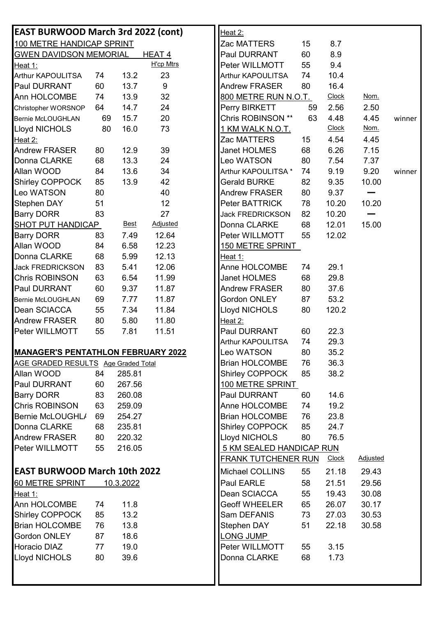| <b>EAST BURWOOD March 3rd 2022 (cont)</b> |    |             |                   | Heat 2:                                                       |        |
|-------------------------------------------|----|-------------|-------------------|---------------------------------------------------------------|--------|
| 100 METRE HANDICAP SPRINT                 |    |             |                   | 8.7<br>15<br>Zac MATTERS                                      |        |
| <b>GWEN DAVIDSON MEMORIAL</b>             |    |             | HEAT <sub>4</sub> | 8.9<br>Paul DURRANT<br>60                                     |        |
| Heat 1:                                   |    |             | <b>H'cp Mtrs</b>  | 9.4<br>Peter WILLMOTT<br>55                                   |        |
| Arthur KAPOULITSA                         | 74 | 13.2        | 23                | 10.4<br><b>Arthur KAPOULITSA</b><br>74                        |        |
| <b>Paul DURRANT</b>                       | 60 | 13.7        | $9\,$             | 80<br>16.4<br><b>Andrew FRASER</b>                            |        |
| Ann HOLCOMBE                              | 74 | 13.9        | 32                | 800 METRE RUN N.O.T.<br><b>Clock</b><br>Nom.                  |        |
| Christopher WORSNOP                       | 64 | 14.7        | 24                | Perry BIRKETT<br>2.56<br>2.50<br>59                           |        |
| <b>Bernie McLOUGHLAN</b>                  | 69 | 15.7        | 20                | Chris ROBINSON **<br>63<br>4.48<br>4.45                       | winner |
| Lloyd NICHOLS                             | 80 | 16.0        | 73                | <b>Clock</b><br>Nom.<br><u>1 KM WALK N.O.T.</u>               |        |
| Heat 2:                                   |    |             |                   | 4.54<br>4.45<br>Zac MATTERS<br>15                             |        |
| <b>Andrew FRASER</b>                      | 80 | 12.9        | 39                | Janet HOLMES<br>68<br>6.26<br>7.15                            |        |
| Donna CLARKE                              | 68 | 13.3        | 24                | Leo WATSON<br>80<br>7.54<br>7.37                              |        |
| Allan WOOD                                | 84 | 13.6        | 34                | 9.19<br>9.20<br>Arthur KAPOULITSA *<br>74                     | winner |
| <b>Shirley COPPOCK</b>                    | 85 | 13.9        | 42                | <b>Gerald BURKE</b><br>82<br>9.35<br>10.00                    |        |
| Leo WATSON                                | 80 |             | 40                | <b>Andrew FRASER</b><br>80<br>9.37                            |        |
| <b>Stephen DAY</b>                        | 51 |             | 12                | Peter BATTRICK<br>10.20<br>10.20<br>78                        |        |
| <b>Barry DORR</b>                         | 83 |             | 27                | 82<br>10.20<br><b>Jack FREDRICKSON</b>                        |        |
| <b>SHOT PUT HANDICAP</b>                  |    | <b>Best</b> | <b>Adjusted</b>   | Donna CLARKE<br>15.00<br>68<br>12.01                          |        |
| <b>Barry DORR</b>                         | 83 | 7.49        | 12.64             | Peter WILLMOTT<br>12.02<br>55                                 |        |
| Allan WOOD                                | 84 | 6.58        | 12.23             | <b>150 METRE SPRINT</b>                                       |        |
| Donna CLARKE                              | 68 | 5.99        | 12.13             | Heat 1:                                                       |        |
| <b>Jack FREDRICKSON</b>                   | 83 | 5.41        | 12.06             | Anne HOLCOMBE<br>29.1<br>74                                   |        |
| <b>Chris ROBINSON</b>                     | 63 | 6.54        | 11.99             | <b>Janet HOLMES</b><br>68<br>29.8                             |        |
| <b>Paul DURRANT</b>                       | 60 | 9.37        | 11.87             | 37.6<br><b>Andrew FRASER</b><br>80                            |        |
| <b>Bernie McLOUGHLAN</b>                  | 69 | 7.77        | 11.87             | Gordon ONLEY<br>53.2<br>87                                    |        |
| Dean SCIACCA                              | 55 | 7.34        | 11.84             | <b>Lloyd NICHOLS</b><br>120.2<br>80                           |        |
| <b>Andrew FRASER</b>                      | 80 | 5.80        | 11.80             | Heat 2:                                                       |        |
| Peter WILLMOTT                            | 55 | 7.81        | 11.51             | Paul DURRANT<br>60<br>22.3                                    |        |
|                                           |    |             |                   | 29.3<br>Arthur KAPOULITSA<br>74                               |        |
| <b>MANAGER'S PENTATHLON FEBRUARY 2022</b> |    |             |                   | Leo WATSON<br>80<br>35.2                                      |        |
| AGE GRADED RESULTS Age Graded Total       |    |             |                   | <b>Brian HOLCOMBE</b><br>76<br>36.3                           |        |
| Allan WOOD                                | 84 | 285.81      |                   | <b>Shirley COPPOCK</b><br>38.2<br>85                          |        |
| Paul DURRANT                              | 60 | 267.56      |                   | 100 METRE SPRINT                                              |        |
| <b>Barry DORR</b>                         | 83 | 260.08      |                   | Paul DURRANT<br>14.6<br>60                                    |        |
| <b>Chris ROBINSON</b>                     | 63 | 259.09      |                   | Anne HOLCOMBE<br>19.2<br>74                                   |        |
| Bernie McLOUGHL/                          | 69 | 254.27      |                   | 23.8<br><b>Brian HOLCOMBE</b><br>76                           |        |
| Donna CLARKE                              | 68 | 235.81      |                   | Shirley COPPOCK<br>24.7<br>85                                 |        |
| <b>Andrew FRASER</b>                      | 80 | 220.32      |                   | Lloyd NICHOLS<br>76.5<br>80                                   |        |
| Peter WILLMOTT                            | 55 | 216.05      |                   | 5 KM SEALED HANDICAP RUN                                      |        |
|                                           |    |             |                   | <b>Adjusted</b><br><b>FRANK TUTCHENER RUN</b><br><b>Clock</b> |        |
| <b>EAST BURWOOD March 10th 2022</b>       |    |             |                   | Michael COLLINS<br>55<br>21.18<br>29.43                       |        |
| 60 METRE SPRINT                           |    | 10.3.2022   |                   | Paul EARLE<br>58<br>21.51<br>29.56                            |        |
| Heat 1:                                   |    |             |                   | Dean SCIACCA<br>55<br>19.43<br>30.08                          |        |
| Ann HOLCOMBE                              | 74 | 11.8        |                   | <b>Geoff WHEELER</b><br>65<br>26.07<br>30.17                  |        |
| <b>Shirley COPPOCK</b>                    | 85 | 13.2        |                   | Sam DEFANIS<br>73<br>27.03<br>30.53                           |        |
| <b>Brian HOLCOMBE</b>                     | 76 | 13.8        |                   | 51<br>30.58<br>Stephen DAY<br>22.18                           |        |
| Gordon ONLEY                              | 87 | 18.6        |                   | LONG JUMP                                                     |        |
| Horacio DIAZ                              | 77 | 19.0        |                   | Peter WILLMOTT<br>3.15<br>55                                  |        |
| Lloyd NICHOLS                             | 80 | 39.6        |                   | Donna CLARKE<br>68<br>1.73                                    |        |
|                                           |    |             |                   |                                                               |        |
|                                           |    |             |                   |                                                               |        |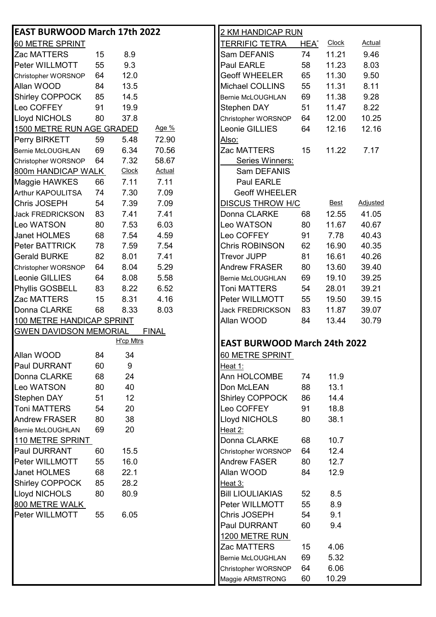| <b>EAST BURWOOD March 17th 2022</b> |    |                  |               | <u>2 KM HANDICAP RUN</u>                                            |  |  |  |  |  |
|-------------------------------------|----|------------------|---------------|---------------------------------------------------------------------|--|--|--|--|--|
| 60 METRE SPRINT                     |    |                  |               | TERRIFIC TETRA<br><b>Clock</b><br><b>Actual</b><br>HEA <sup>-</sup> |  |  |  |  |  |
| Zac MATTERS                         | 15 | 8.9              |               | 11.21<br>9.46<br>Sam DEFANIS<br>74                                  |  |  |  |  |  |
| Peter WILLMOTT                      | 55 | 9.3              |               | Paul EARLE<br>8.03<br>58<br>11.23                                   |  |  |  |  |  |
| Christopher WORSNOP                 | 64 | 12.0             |               | <b>Geoff WHEELER</b><br>65<br>11.30<br>9.50                         |  |  |  |  |  |
| Allan WOOD                          | 84 | 13.5             |               | Michael COLLINS<br>8.11<br>55<br>11.31                              |  |  |  |  |  |
| Shirley COPPOCK                     | 85 | 14.5             |               | 9.28<br>69<br>11.38<br>Bernie McLOUGHLAN                            |  |  |  |  |  |
| Leo COFFEY                          | 91 | 19.9             |               | Stephen DAY<br>51<br>11.47<br>8.22                                  |  |  |  |  |  |
| <b>Lloyd NICHOLS</b>                | 80 | 37.8             |               | 10.25<br>12.00<br>Christopher WORSNOP<br>64                         |  |  |  |  |  |
| 1500 METRE RUN AGE GRADED           |    |                  | Age %         | Leonie GILLIES<br>64<br>12.16<br>12.16                              |  |  |  |  |  |
| Perry BIRKETT                       | 59 | 5.48             | 72.90         | <u>Also:</u>                                                        |  |  |  |  |  |
| <b>Bernie McLOUGHLAN</b>            | 69 | 6.34             | 70.56         | Zac MATTERS<br>15<br>11.22<br>7.17                                  |  |  |  |  |  |
| Christopher WORSNOP                 | 64 | 7.32             | 58.67         | Series Winners:                                                     |  |  |  |  |  |
| 800m HANDICAP WALK                  |    | Clock            | <b>Actual</b> | Sam DEFANIS                                                         |  |  |  |  |  |
| Maggie HAWKES                       | 66 | 7.11             | 7.11          | Paul EARLE                                                          |  |  |  |  |  |
| <b>Arthur KAPOULITSA</b>            | 74 | 7.30             | 7.09          | <b>Geoff WHEELER</b>                                                |  |  |  |  |  |
| Chris JOSEPH                        | 54 | 7.39             | 7.09          | <b>Adjusted</b><br><b>DISCUS THROW H/C</b><br><b>Best</b>           |  |  |  |  |  |
| <b>Jack FREDRICKSON</b>             | 83 | 7.41             | 7.41          | Donna CLARKE<br>41.05<br>68<br>12.55                                |  |  |  |  |  |
| Leo WATSON                          | 80 | 7.53             | 6.03          | Leo WATSON<br>80<br>11.67<br>40.67                                  |  |  |  |  |  |
| <b>Janet HOLMES</b>                 | 68 | 7.54             | 4.59          | Leo COFFEY<br>7.78<br>40.43<br>91                                   |  |  |  |  |  |
| Peter BATTRICK                      | 78 | 7.59             | 7.54          | Chris ROBINSON<br>62<br>16.90<br>40.35                              |  |  |  |  |  |
| <b>Gerald BURKE</b>                 | 82 | 8.01             | 7.41          | <b>Trevor JUPP</b><br>81<br>16.61<br>40.26                          |  |  |  |  |  |
| Christopher WORSNOP                 | 64 | 8.04             | 5.29          | <b>Andrew FRASER</b><br>80<br>13.60<br>39.40                        |  |  |  |  |  |
| Leonie GILLIES                      | 64 | 8.08             | 5.58          | 69<br>19.10<br>39.25<br>Bernie McLOUGHLAN                           |  |  |  |  |  |
| Phyllis GOSBELL                     | 83 | 8.22             | 6.52          | Toni MATTERS<br>54<br>28.01<br>39.21                                |  |  |  |  |  |
| Zac MATTERS                         | 15 | 8.31             | 4.16          | Peter WILLMOTT<br>55<br>19.50<br>39.15                              |  |  |  |  |  |
| Donna CLARKE                        | 68 | 8.33             | 8.03          | 11.87<br><b>Jack FREDRICKSON</b><br>83<br>39.07                     |  |  |  |  |  |
| 100 METRE HANDICAP SPRINT           |    |                  |               | Allan WOOD<br>30.79<br>84<br>13.44                                  |  |  |  |  |  |
| <b>GWEN DAVIDSON MEMORIAL</b>       |    |                  | <b>FINAL</b>  |                                                                     |  |  |  |  |  |
|                                     |    | <b>H'cp Mtrs</b> |               | <b>EAST BURWOOD March 24th 2022</b>                                 |  |  |  |  |  |
| Allan WOOD                          | 84 | 34               |               | 60 METRE SPRINT                                                     |  |  |  |  |  |
| <b>Paul DURRANT</b>                 | 60 | 9                |               | Heat 1:                                                             |  |  |  |  |  |
| Donna CLARKE                        | 68 | 24               |               | Ann HOLCOMBE<br>11.9<br>74                                          |  |  |  |  |  |
| Leo WATSON                          | 80 | 40               |               | 13.1<br>Don McLEAN<br>88                                            |  |  |  |  |  |
| <b>Stephen DAY</b>                  | 51 | 12               |               | <b>Shirley COPPOCK</b><br>14.4<br>86                                |  |  |  |  |  |
| <b>Toni MATTERS</b>                 | 54 | 20               |               | Leo COFFEY<br>91<br>18.8                                            |  |  |  |  |  |
| <b>Andrew FRASER</b>                | 80 | 38               |               | Lloyd NICHOLS<br>38.1<br>80                                         |  |  |  |  |  |
| <b>Bernie McLOUGHLAN</b>            | 69 | 20               |               | Heat 2:                                                             |  |  |  |  |  |
| 110 METRE SPRINT                    |    |                  |               | 68<br>10.7<br>Donna CLARKE                                          |  |  |  |  |  |
| <b>Paul DURRANT</b>                 | 60 | 15.5             |               | 12.4<br>64<br>Christopher WORSNOP                                   |  |  |  |  |  |
| Peter WILLMOTT                      | 55 | 16.0             |               | <b>Andrew FASER</b><br>12.7<br>80                                   |  |  |  |  |  |
| <b>Janet HOLMES</b>                 | 68 | 22.1             |               | Allan WOOD<br>12.9<br>84                                            |  |  |  |  |  |
| <b>Shirley COPPOCK</b>              | 85 | 28.2             |               | Heat 3:                                                             |  |  |  |  |  |
| Lloyd NICHOLS                       | 80 | 80.9             |               | <b>Bill LIOULIAKIAS</b><br>52<br>8.5                                |  |  |  |  |  |
| 800 METRE WALK                      |    |                  |               | Peter WILLMOTT<br>55<br>8.9                                         |  |  |  |  |  |
| Peter WILLMOTT                      | 55 | 6.05             |               | Chris JOSEPH<br>54<br>9.1                                           |  |  |  |  |  |
|                                     |    |                  |               | Paul DURRANT<br>60<br>9.4                                           |  |  |  |  |  |
|                                     |    |                  |               | 1200 METRE RUN                                                      |  |  |  |  |  |
|                                     |    |                  |               | 4.06<br>Zac MATTERS<br>15                                           |  |  |  |  |  |
|                                     |    |                  |               | 5.32<br>69<br>Bernie McLOUGHLAN                                     |  |  |  |  |  |
|                                     |    |                  |               | 6.06<br>Christopher WORSNOP<br>64                                   |  |  |  |  |  |
|                                     |    |                  |               | 10.29<br>60<br>Maggie ARMSTRONG                                     |  |  |  |  |  |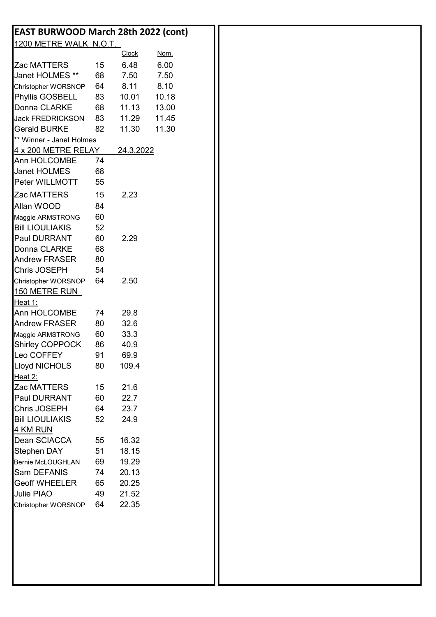| <b>EAST BURWOOD March 28th 2022 (cont)</b> |    |              |       |  |
|--------------------------------------------|----|--------------|-------|--|
| 1200 METRE WALK N.O.T.                     |    |              |       |  |
|                                            |    | <b>Clock</b> | Nom.  |  |
| Zac MATTERS                                | 15 | 6.48         | 6.00  |  |
| Janet HOLMES **                            | 68 | 7.50         | 7.50  |  |
| Christopher WORSNOP                        | 64 | 8.11         | 8.10  |  |
| Phyllis GOSBELL                            | 83 | 10.01        | 10.18 |  |
| Donna CLARKE                               | 68 | 11.13        | 13.00 |  |
| <b>Jack FREDRICKSON</b>                    | 83 | 11.29        | 11.45 |  |
| <b>Gerald BURKE</b>                        | 82 | 11.30        | 11.30 |  |
| ** Winner - Janet Holmes                   |    |              |       |  |
| 4 x 200 METRE RELAY                        |    | 24.3.2022    |       |  |
| Ann HOLCOMBE                               | 74 |              |       |  |
| <b>Janet HOLMES</b>                        | 68 |              |       |  |
| Peter WILLMOTT                             | 55 |              |       |  |
| Zac MATTERS                                | 15 | 2.23         |       |  |
| Allan WOOD                                 | 84 |              |       |  |
| Maggie ARMSTRONG                           | 60 |              |       |  |
| <b>Bill LIOULIAKIS</b>                     | 52 |              |       |  |
| Paul DURRANT                               | 60 | 2.29         |       |  |
| Donna CLARKE                               | 68 |              |       |  |
| <b>Andrew FRASER</b>                       | 80 |              |       |  |
| Chris JOSEPH                               | 54 |              |       |  |
| Christopher WORSNOP                        | 64 | 2.50         |       |  |
| <b>150 METRE RUN</b>                       |    |              |       |  |
| <u>Heat 1:</u>                             |    |              |       |  |
| Ann HOLCOMBE                               | 74 | 29.8         |       |  |
| <b>Andrew FRASER</b>                       | 80 | 32.6         |       |  |
| Maggie ARMSTRONG                           | 60 | 33.3         |       |  |
| Shirley COPPOCK                            | 86 | 40.9         |       |  |
| Leo COFFEY                                 | 91 | 69.9         |       |  |
| <b>Lloyd NICHOLS</b>                       | 80 | 109.4        |       |  |
| Heat 2:                                    |    |              |       |  |
| Zac MATTERS                                | 15 | 21.6         |       |  |
| Paul DURRANT                               | 60 | 22.7         |       |  |
| Chris JOSEPH                               | 64 | 23.7         |       |  |
| <b>Bill LIOULIAKIS</b>                     | 52 | 24.9         |       |  |
| <u>4 KM RUN</u>                            |    |              |       |  |
| Dean SCIACCA                               | 55 | 16.32        |       |  |
| <b>Stephen DAY</b>                         | 51 | 18.15        |       |  |
| Bernie McLOUGHLAN                          | 69 | 19.29        |       |  |
| Sam DEFANIS                                | 74 | 20.13        |       |  |
| <b>Geoff WHEELER</b>                       | 65 | 20.25        |       |  |
| Julie PIAO                                 | 49 | 21.52        |       |  |
| Christopher WORSNOP                        | 64 | 22.35        |       |  |
|                                            |    |              |       |  |
|                                            |    |              |       |  |
|                                            |    |              |       |  |
|                                            |    |              |       |  |
|                                            |    |              |       |  |
|                                            |    |              |       |  |
|                                            |    |              |       |  |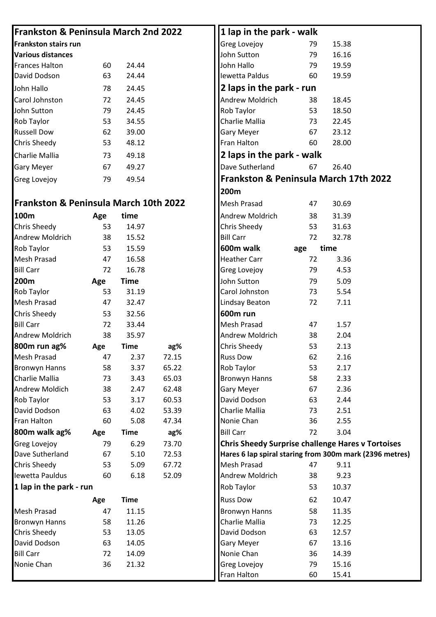| <b>Frankston &amp; Peninsula March 2nd 2022</b>  |          |              |                | 1 lap in the park - walk                                 |
|--------------------------------------------------|----------|--------------|----------------|----------------------------------------------------------|
| <b>Frankston stairs run</b>                      |          |              |                | <b>Greg Lovejoy</b><br>79<br>15.38                       |
| <b>Various distances</b>                         |          |              |                | John Sutton<br>16.16<br>79                               |
| <b>Frances Halton</b>                            | 60       | 24.44        |                | John Hallo<br>79<br>19.59                                |
| David Dodson                                     | 63       | 24.44        |                | Iewetta Paldus<br>60<br>19.59                            |
| John Hallo                                       | 78       | 24.45        |                | 2 laps in the park - run                                 |
| Carol Johnston                                   | 72       | 24.45        |                | Andrew Moldrich<br>38<br>18.45                           |
| John Sutton                                      | 79       | 24.45        |                | Rob Taylor<br>53<br>18.50                                |
| Rob Taylor                                       | 53       | 34.55        |                | Charlie Mallia<br>73<br>22.45                            |
| <b>Russell Dow</b>                               | 62       | 39.00        |                | <b>Gary Meyer</b><br>67<br>23.12                         |
| Chris Sheedy                                     | 53       | 48.12        |                | Fran Halton<br>28.00<br>60                               |
| Charlie Mallia                                   | 73       | 49.18        |                | 2 laps in the park - walk                                |
| <b>Gary Meyer</b>                                | 67       | 49.27        |                | Dave Sutherland<br>67<br>26.40                           |
| Greg Lovejoy                                     | 79       | 49.54        |                | Frankston & Peninsula March 17th 2022                    |
|                                                  |          |              |                | 200m                                                     |
| <b>Frankston &amp; Peninsula March 10th 2022</b> |          |              |                | <b>Mesh Prasad</b><br>30.69<br>47                        |
| 100m                                             |          | time         |                | Andrew Moldrich<br>31.39                                 |
| Chris Sheedy                                     | Age      |              |                | 38<br>53<br>31.63                                        |
|                                                  | 53       | 14.97        |                | <b>Chris Sheedy</b><br><b>Bill Carr</b><br>72<br>32.78   |
| Andrew Moldrich                                  | 38       | 15.52        |                |                                                          |
| Rob Taylor                                       | 53       | 15.59        |                | 600m walk<br>time<br>age                                 |
| Mesh Prasad                                      | 47       | 16.58        |                | <b>Heather Carr</b><br>72<br>3.36                        |
| <b>Bill Carr</b>                                 | 72       | 16.78        |                | Greg Lovejoy<br>79<br>4.53                               |
| 200m                                             | Age      | <b>Time</b>  |                | John Sutton<br>79<br>5.09                                |
| Rob Taylor                                       | 53       | 31.19        |                | Carol Johnston<br>73<br>5.54                             |
| Mesh Prasad                                      | 47       | 32.47        |                | 72<br>7.11<br>Lindsay Beaton                             |
| Chris Sheedy                                     | 53       | 32.56        |                | <b>600m</b> run                                          |
| <b>Bill Carr</b>                                 | 72       | 33.44        |                | <b>Mesh Prasad</b><br>1.57<br>47                         |
| Andrew Moldrich                                  | 38       | 35.97        |                | Andrew Moldrich<br>2.04<br>38                            |
| 800m run ag%                                     | Age      | <b>Time</b>  | ag%            | <b>Chris Sheedy</b><br>53<br>2.13                        |
| Mesh Prasad                                      | 47       | 2.37         | 72.15          | <b>Russ Dow</b><br>2.16<br>62                            |
| <b>Bronwyn Hanns</b>                             | 58       | 3.37         | 65.22          | Rob Taylor<br>53<br>2.17                                 |
| Charlie Mallia                                   | 73       | 3.43         | 65.03          | <b>Bronwyn Hanns</b><br>2.33<br>58                       |
| <b>Andrew Moldich</b>                            | 38       | 2.47         | 62.48          | <b>Gary Meyer</b><br>67<br>2.36                          |
| Rob Taylor                                       | 53       | 3.17         | 60.53          | David Dodson<br>63<br>2.44                               |
| David Dodson<br>Fran Halton                      | 63<br>60 | 4.02<br>5.08 | 53.39<br>47.34 | Charlie Mallia<br>2.51<br>73<br>Nonie Chan<br>2.55       |
|                                                  |          |              |                | 36                                                       |
| 800m walk ag%                                    | Age      | <b>Time</b>  | ag%            | <b>Bill Carr</b><br>3.04<br>72                           |
| Greg Lovejoy                                     | 79       | 6.29         | 73.70          | <b>Chris Sheedy Surprise challenge Hares v Tortoises</b> |
| Dave Sutherland                                  | 67       | 5.10         | 72.53          | Hares 6 lap spiral staring from 300m mark (2396 metres)  |
| Chris Sheedy<br>Iewetta Pauldus                  | 53       | 5.09         | 67.72          | <b>Mesh Prasad</b><br>9.11<br>47                         |
|                                                  | 60       | 6.18         | 52.09          | <b>Andrew Moldrich</b><br>38<br>9.23                     |
| 1 lap in the park - run                          |          |              |                | Rob Taylor<br>53<br>10.37                                |
|                                                  | Age      | <b>Time</b>  |                | <b>Russ Dow</b><br>62<br>10.47                           |
| Mesh Prasad                                      | 47       | 11.15        |                | 58<br><b>Bronwyn Hanns</b><br>11.35                      |
| <b>Bronwyn Hanns</b>                             | 58       | 11.26        |                | Charlie Mallia<br>73<br>12.25                            |
| Chris Sheedy                                     | 53       | 13.05        |                | David Dodson<br>63<br>12.57                              |
| David Dodson                                     | 63       | 14.05        |                | <b>Gary Meyer</b><br>67<br>13.16                         |
| <b>Bill Carr</b>                                 | 72       | 14.09        |                | Nonie Chan<br>36<br>14.39                                |
| Nonie Chan                                       | 36       | 21.32        |                | Greg Lovejoy<br>79<br>15.16                              |
|                                                  |          |              |                | Fran Halton<br>60<br>15.41                               |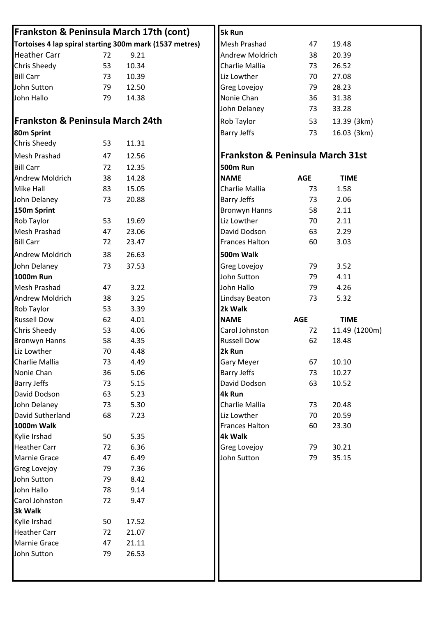| <b>Frankston &amp; Peninsula March 17th (cont)</b>      |          |                     | 5k Run                                      |            |               |
|---------------------------------------------------------|----------|---------------------|---------------------------------------------|------------|---------------|
| Tortoises 4 lap spiral starting 300m mark (1537 metres) |          | <b>Mesh Prashad</b> | 47                                          | 19.48      |               |
| <b>Heather Carr</b>                                     | 72       | 9.21                | Andrew Moldrich                             | 38         | 20.39         |
| Chris Sheedy                                            | 53       | 10.34               | Charlie Mallia                              | 73         | 26.52         |
| <b>Bill Carr</b>                                        | 73       | 10.39               | Liz Lowther                                 | 70         | 27.08         |
| John Sutton                                             | 79       | 12.50               | Greg Lovejoy                                | 79         | 28.23         |
| John Hallo                                              | 79       | 14.38               | Nonie Chan                                  | 36         | 31.38         |
|                                                         |          |                     | John Delaney                                | 73         | 33.28         |
| <b>Frankston &amp; Peninsula March 24th</b>             |          |                     | Rob Taylor                                  | 53         | 13.39 (3km)   |
| 80m Sprint                                              |          |                     | <b>Barry Jeffs</b>                          | 73         | 16.03 (3km)   |
| Chris Sheedy                                            | 53       | 11.31               |                                             |            |               |
| <b>Mesh Prashad</b>                                     | 47       | 12.56               | <b>Frankston &amp; Peninsula March 31st</b> |            |               |
| <b>Bill Carr</b>                                        | 72       | 12.35               | <b>500m Run</b>                             |            |               |
| <b>Andrew Moldrich</b>                                  | 38       | 14.28               | <b>NAME</b>                                 | <b>AGE</b> | <b>TIME</b>   |
| Mike Hall                                               | 83       | 15.05               | Charlie Mallia                              | 73         | 1.58          |
| John Delaney                                            | 73       | 20.88               | <b>Barry Jeffs</b>                          | 73         | 2.06          |
| 150m Sprint                                             |          |                     | <b>Bronwyn Hanns</b>                        | 58         | 2.11          |
| Rob Taylor                                              | 53       | 19.69               | Liz Lowther                                 | 70         | 2.11          |
| <b>Mesh Prashad</b>                                     | 47       | 23.06               | David Dodson                                | 63         | 2.29          |
| <b>Bill Carr</b>                                        | 72       | 23.47               | <b>Frances Halton</b>                       | 60         | 3.03          |
| <b>Andrew Moldrich</b>                                  | 38       | 26.63               | 500m Walk                                   |            |               |
|                                                         | 73       | 37.53               |                                             | 79         | 3.52          |
| John Delaney<br><b>1000m Run</b>                        |          |                     | <b>Greg Lovejoy</b><br>John Sutton          | 79         | 4.11          |
| <b>Mesh Prashad</b>                                     |          | 3.22                | John Hallo                                  |            | 4.26          |
| <b>Andrew Moldrich</b>                                  | 47       | 3.25                |                                             | 79<br>73   | 5.32          |
| Rob Taylor                                              | 38<br>53 | 3.39                | <b>Lindsay Beaton</b><br>2k Walk            |            |               |
| <b>Russell Dow</b>                                      | 62       | 4.01                | <b>NAME</b>                                 | <b>AGE</b> | <b>TIME</b>   |
| Chris Sheedy                                            | 53       | 4.06                | Carol Johnston                              | 72         | 11.49 (1200m) |
| <b>Bronwyn Hanns</b>                                    | 58       | 4.35                | <b>Russell Dow</b>                          | 62         | 18.48         |
| Liz Lowther                                             | 70       | 4.48                | 2k Run                                      |            |               |
| Charlie Mallia                                          | 73       | 4.49                | Gary Meyer                                  | 67         | 10.10         |
| Nonie Chan                                              | 36       | 5.06                | <b>Barry Jeffs</b>                          | 73         | 10.27         |
| <b>Barry Jeffs</b>                                      | 73       | 5.15                | David Dodson                                | 63         | 10.52         |
| David Dodson                                            | 63       | 5.23                | 4k Run                                      |            |               |
| John Delaney                                            | 73       | 5.30                | Charlie Mallia                              | 73         | 20.48         |
| David Sutherland                                        | 68       | 7.23                | Liz Lowther                                 | 70         | 20.59         |
| 1000m Walk                                              |          |                     | <b>Frances Halton</b>                       | 60         | 23.30         |
| Kylie Irshad                                            | 50       | 5.35                | 4k Walk                                     |            |               |
| <b>Heather Carr</b>                                     | 72       | 6.36                | Greg Lovejoy                                | 79         | 30.21         |
| <b>Marnie Grace</b>                                     | 47       | 6.49                | John Sutton                                 | 79         | 35.15         |
| Greg Lovejoy                                            | 79       | 7.36                |                                             |            |               |
| John Sutton                                             | 79       | 8.42                |                                             |            |               |
| John Hallo                                              | 78       | 9.14                |                                             |            |               |
| Carol Johnston                                          | 72       | 9.47                |                                             |            |               |
| 3k Walk                                                 |          |                     |                                             |            |               |
| Kylie Irshad                                            | 50       | 17.52               |                                             |            |               |
| <b>Heather Carr</b>                                     | 72       | 21.07               |                                             |            |               |
| Marnie Grace                                            | 47       | 21.11               |                                             |            |               |
| John Sutton                                             | 79       | 26.53               |                                             |            |               |
|                                                         |          |                     |                                             |            |               |
|                                                         |          |                     |                                             |            |               |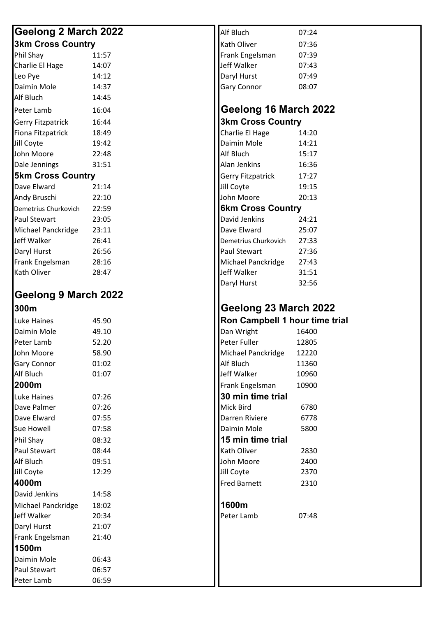#### **Geelong 2 March 2022 Alf Bluch 197:24 Alf Bluch** 07:24 **3km Cross Country Exercise Service Country Construction Cross Country Construction Construction Construction**

| JNIII VIUJJ VUUIIU Y     |       |  | INALII UIIVEI            | 07.JU |
|--------------------------|-------|--|--------------------------|-------|
| Phil Shay                | 11:57 |  | Frank Engelsman          | 07:39 |
| Charlie El Hage          | 14:07 |  | Jeff Walker              | 07:43 |
| Leo Pye                  | 14:12 |  | Daryl Hurst              | 07:49 |
| Daimin Mole              | 14:37 |  | <b>Gary Connor</b>       | 08:07 |
| Alf Bluch                | 14:45 |  |                          |       |
| Peter Lamb               | 16:04 |  | Geelong 16 March 2       |       |
| <b>Gerry Fitzpatrick</b> | 16:44 |  | <b>3km Cross Country</b> |       |
| Fiona Fitzpatrick        | 18:49 |  | Charlie El Hage          | 14:20 |
| Jill Coyte               | 19:42 |  | Daimin Mole              | 14:21 |
| John Moore               | 22:48 |  | Alf Bluch                | 15:17 |
| Dale Jennings            | 31:51 |  | Alan Jenkins             | 16:36 |
| <b>5km Cross Country</b> |       |  | <b>Gerry Fitzpatrick</b> | 17:27 |
| Dave Elward              | 21:14 |  | Jill Coyte               | 19:15 |
| Andy Bruschi             | 22:10 |  | John Moore               | 20:13 |
| Demetrius Churkovich     | 22:59 |  | <b>6km Cross Country</b> |       |
| <b>Paul Stewart</b>      | 23:05 |  | David Jenkins            | 24:21 |
| Michael Panckridge       | 23:11 |  | Dave Elward              | 25:07 |
| Jeff Walker              | 26:41 |  | Demetrius Churkovich     | 27:33 |
| Daryl Hurst              | 26:56 |  | <b>Paul Stewart</b>      | 27:36 |
| Frank Engelsman          | 28:16 |  | Michael Panckridge       | 27:43 |
| Kath Oliver              | 28:47 |  | Jeff Walker              | 31:51 |
|                          |       |  |                          |       |

# **Geelong 9 March 2022**

| <u> 99911</u>            |       | )しししい           |
|--------------------------|-------|-----------------|
| Luke Haines              | 45.90 | <b>Ron Ca</b>   |
| Daimin Mole              | 49.10 | Dan Wri         |
| Peter Lamb               | 52.20 | Peter Fu        |
| John Moore               | 58.90 | Michael         |
| <b>Gary Connor</b>       | 01:02 | Alf Bluch       |
| Alf Bluch                | 01:07 | Jeff Wall       |
| 2000m                    |       | <b>Frank Er</b> |
| Luke Haines              | 07:26 | <b>30 min</b>   |
| Dave Palmer              | 07:26 | <b>Mick Bir</b> |
| Dave Elward              | 07:55 | Darren F        |
| Sue Howell               | 07:58 | Daimin I        |
| Phil Shay                | 08:32 | 15 min          |
| <b>Paul Stewart</b>      | 08:44 | Kath Oliv       |
| Alf Bluch                | 09:51 | John Mc         |
| Jill Coyte               | 12:29 | Jill Coyte      |
| 4000m                    |       | <b>Fred Bar</b> |
| David Jenkins            | 14:58 |                 |
| Michael Panckridge 18:02 |       | 1600m           |
| Jeff Walker              | 20:34 | Peter La        |
| Daryl Hurst              | 21:07 |                 |
| Frank Engelsman          | 21:40 |                 |
| 1500m                    |       |                 |
| Daimin Mole              | 06:43 |                 |
| Paul Stewart             | 06:57 |                 |
| Peter Lamb               | 06:59 |                 |

| Alf Bluch          | 07:24 |
|--------------------|-------|
| Kath Oliver        | 07:36 |
| Frank Engelsman    | 07:39 |
| Jeff Walker        | 07:43 |
| Daryl Hurst        | 07:49 |
| <b>Gary Connor</b> | 08:07 |
|                    |       |

## Peter Lamb 16:04 **Geelong 16 March 2022**

| ƏKIII UTOSS UQUIILIY     |       |  |  |  |  |  |
|--------------------------|-------|--|--|--|--|--|
| Charlie El Hage          | 14:20 |  |  |  |  |  |
| Daimin Mole              | 14:21 |  |  |  |  |  |
| Alf Bluch                | 15:17 |  |  |  |  |  |
| Alan Jenkins             | 16:36 |  |  |  |  |  |
| <b>Gerry Fitzpatrick</b> | 17:27 |  |  |  |  |  |
| Jill Coyte               | 19:15 |  |  |  |  |  |
| John Moore               | 20:13 |  |  |  |  |  |
| <b>6km Cross Country</b> |       |  |  |  |  |  |
|                          |       |  |  |  |  |  |
| David Jenkins            | 24:21 |  |  |  |  |  |
| Dave Elward              | 25:07 |  |  |  |  |  |
| Demetrius Churkovich     | 27:33 |  |  |  |  |  |
| Paul Stewart             | 27:36 |  |  |  |  |  |
| Michael Panckridge       | 27:43 |  |  |  |  |  |
| Jeff Walker              | 31:51 |  |  |  |  |  |

#### **300m Geelong 23 March 2022** Luke Haines 45.90 **Ron Campbell 1 hour time trial**

| Luke Haines        | 45.90 | <b>ROM Campbell 1 nour time trial</b> |       |
|--------------------|-------|---------------------------------------|-------|
| Daimin Mole        | 49.10 | Dan Wright                            | 16400 |
| Peter Lamb         | 52.20 | Peter Fuller                          | 12805 |
| John Moore         | 58.90 | Michael Panckridge                    | 12220 |
| Gary Connor        | 01:02 | Alf Bluch                             | 11360 |
| Alf Bluch          | 01:07 | Jeff Walker                           | 10960 |
| 2000m              |       | Frank Engelsman                       | 10900 |
| Luke Haines        | 07:26 | 30 min time trial                     |       |
| Dave Palmer        | 07:26 | Mick Bird                             | 6780  |
| Dave Elward        | 07:55 | Darren Riviere                        | 6778  |
| Sue Howell         | 07:58 | Daimin Mole                           | 5800  |
| Phil Shay          | 08:32 | 15 min time trial                     |       |
| Paul Stewart       | 08:44 | Kath Oliver                           | 2830  |
| Alf Bluch          | 09:51 | John Moore                            | 2400  |
| Jill Coyte         | 12:29 | Jill Coyte                            | 2370  |
| 4000m              |       | <b>Fred Barnett</b>                   | 2310  |
| David Jenkins      | 14:58 |                                       |       |
| Michael Panckridge | 18:02 | 1600m                                 |       |
| Jeff Walker        | 20:34 | Peter Lamb                            | 07:48 |
| Daryl Hurst        | 21:07 |                                       |       |
| Frank Engelsman    | 21:40 |                                       |       |
| 1500m              |       |                                       |       |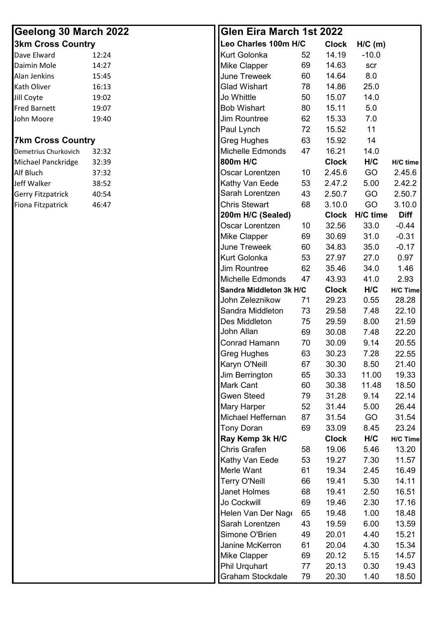| Geelong 30 March 2022    |       | <b>Glen Eira March 1st 2022</b> |    |              |           |                 |
|--------------------------|-------|---------------------------------|----|--------------|-----------|-----------------|
| <b>3km Cross Country</b> |       | Leo Charles 100m H/C            |    | <b>Clock</b> | $H/C$ (m) |                 |
| Dave Elward              | 12:24 | <b>Kurt Golonka</b>             | 52 | 14.19        | $-10.0$   |                 |
| Daimin Mole              | 14:27 | <b>Mike Clapper</b>             | 69 | 14.63        | scr       |                 |
| Alan Jenkins             | 15:45 | June Treweek                    | 60 | 14.64        | 8.0       |                 |
| Kath Oliver              | 16:13 | <b>Glad Wishart</b>             | 78 | 14.86        | 25.0      |                 |
| Jill Coyte               | 19:02 | Jo Whittle                      | 50 | 15.07        | 14.0      |                 |
| <b>Fred Barnett</b>      | 19:07 | <b>Bob Wishart</b>              | 80 | 15.11        | 5.0       |                 |
| John Moore               | 19:40 | Jim Rountree                    | 62 | 15.33        | 7.0       |                 |
|                          |       | Paul Lynch                      | 72 | 15.52        | 11        |                 |
| <b>7km Cross Country</b> |       | <b>Greg Hughes</b>              | 63 | 15.92        | 14        |                 |
| Demetrius Churkovich     | 32:32 | Michelle Edmonds                | 47 | 16.21        | 14.0      |                 |
| Michael Panckridge       | 32:39 | 800m H/C                        |    | <b>Clock</b> | H/C       | H/C time        |
| Alf Bluch                | 37:32 | Oscar Lorentzen                 | 10 | 2.45.6       | GO        | 2.45.6          |
| Jeff Walker              | 38:52 | Kathy Van Eede                  | 53 | 2.47.2       | 5.00      | 2.42.2          |
| Gerry Fitzpatrick        | 40:54 | Sarah Lorentzen                 | 43 | 2.50.7       | GO        | 2.50.7          |
| Fiona Fitzpatrick        | 46:47 | <b>Chris Stewart</b>            | 68 | 3.10.0       | GO        | 3.10.0          |
|                          |       | 200m H/C (Sealed)               |    | <b>Clock</b> | H/C time  | <b>Diff</b>     |
|                          |       | Oscar Lorentzen                 | 10 | 32.56        | 33.0      | $-0.44$         |
|                          |       | <b>Mike Clapper</b>             | 69 | 30.69        | 31.0      | $-0.31$         |
|                          |       | <b>June Treweek</b>             | 60 | 34.83        | 35.0      | $-0.17$         |
|                          |       | <b>Kurt Golonka</b>             | 53 | 27.97        | 27.0      | 0.97            |
|                          |       | <b>Jim Rountree</b>             | 62 | 35.46        | 34.0      | 1.46            |
|                          |       | Michelle Edmonds                | 47 | 43.93        | 41.0      | 2.93            |
|                          |       | Sandra Middleton 3k H/C         |    | <b>Clock</b> | H/C       | <b>H/C Time</b> |
|                          |       | John Zeleznikow                 | 71 | 29.23        | 0.55      | 28.28           |
|                          |       | Sandra Middleton                | 73 | 29.58        | 7.48      | 22.10           |
|                          |       | Des Middleton                   | 75 | 29.59        | 8.00      | 21.59           |
|                          |       | John Allan                      | 69 | 30.08        | 7.48      | 22.20           |
|                          |       | Conrad Hamann                   | 70 | 30.09        | 9.14      | 20.55           |
|                          |       | <b>Greg Hughes</b>              | 63 | 30.23        | 7.28      | 22.55           |
|                          |       | Karyn O'Neill                   | 67 | 30.30        | 8.50      | 21.40           |
|                          |       | Jim Berrington                  | 65 | 30.33        | 11.00     | 19.33           |
|                          |       | <b>Mark Cant</b>                | 60 | 30.38        | 11.48     | 18.50           |
|                          |       | <b>Gwen Steed</b>               | 79 | 31.28        | 9.14      | 22.14           |
|                          |       | <b>Mary Harper</b>              | 52 | 31.44        | 5.00      | 26.44           |
|                          |       | Michael Heffernan               | 87 | 31.54        | GO        | 31.54           |
|                          |       | <b>Tony Doran</b>               | 69 | 33.09        | 8.45      | 23.24           |
|                          |       | Ray Kemp 3k H/C                 |    | <b>Clock</b> | H/C       | H/C Time        |
|                          |       | <b>Chris Grafen</b>             | 58 | 19.06        | 5.46      | 13.20           |
|                          |       | Kathy Van Eede                  | 53 | 19.27        | 7.30      | 11.57           |
|                          |       | Merle Want                      | 61 | 19.34        | 2.45      | 16.49           |
|                          |       | <b>Terry O'Neill</b>            | 66 | 19.41        | 5.30      | 14.11           |
|                          |       | Janet Holmes                    | 68 | 19.41        | 2.50      | 16.51           |
|                          |       | Jo Cockwill                     | 69 | 19.46        | 2.30      | 17.16           |
|                          |       | Helen Van Der Nage              | 65 | 19.48        | 1.00      | 18.48           |
|                          |       | Sarah Lorentzen                 | 43 | 19.59        | 6.00      | 13.59           |
|                          |       | Simone O'Brien                  | 49 | 20.01        | 4.40      | 15.21           |
|                          |       | Janine McKerron                 | 61 | 20.04        | 4.30      | 15.34           |
|                          |       | <b>Mike Clapper</b>             | 69 | 20.12        | 5.15      | 14.57           |
|                          |       | Phil Urquhart                   | 77 | 20.13        | 0.30      | 19.43           |
|                          |       | Graham Stockdale                | 79 | 20.30        | 1.40      | 18.50           |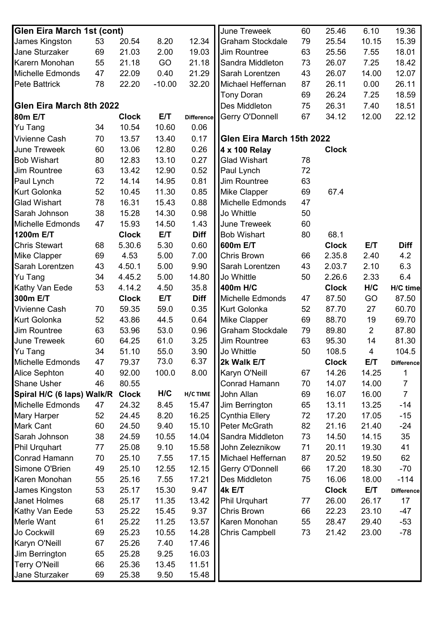| <b>Glen Eira March 1st (cont)</b> |    |              |          |                   | June Treweek              | 60 | 25.46        | 6.10                    | 19.36             |
|-----------------------------------|----|--------------|----------|-------------------|---------------------------|----|--------------|-------------------------|-------------------|
| James Kingston                    | 53 | 20.54        | 8.20     | 12.34             | <b>Graham Stockdale</b>   | 79 | 25.54        | 10.15                   | 15.39             |
| Jane Sturzaker                    | 69 | 21.03        | 2.00     | 19.03             | Jim Rountree              | 63 | 25.56        | 7.55                    | 18.01             |
| Karern Monohan                    | 55 | 21.18        | GO       | 21.18             | Sandra Middleton          | 73 | 26.07        | 7.25                    | 18.42             |
| Michelle Edmonds                  | 47 | 22.09        | 0.40     | 21.29             | Sarah Lorentzen           | 43 | 26.07        | 14.00                   | 12.07             |
| <b>Pete Battrick</b>              | 78 | 22.20        | $-10.00$ | 32.20             | Michael Heffernan         | 87 | 26.11        | 0.00                    | 26.11             |
|                                   |    |              |          |                   | <b>Tony Doran</b>         | 69 | 26.24        | 7.25                    | 18.59             |
| Glen Eira March 8th 2022          |    |              |          |                   | Des Middleton             | 75 | 26.31        | 7.40                    | 18.51             |
| 80m E/T                           |    | <b>Clock</b> | E/T      | <b>Difference</b> | Gerry O'Donnell           | 67 | 34.12        | 12.00                   | 22.12             |
| Yu Tang                           | 34 | 10.54        | 10.60    | 0.06              |                           |    |              |                         |                   |
| <b>Vivienne Cash</b>              | 70 | 13.57        | 13.40    | 0.17              | Glen Eira March 15th 2022 |    |              |                         |                   |
| <b>June Treweek</b>               | 60 | 13.06        | 12.80    | 0.26              | 4 x 100 Relay             |    | <b>Clock</b> |                         |                   |
| <b>Bob Wishart</b>                | 80 | 12.83        | 13.10    | 0.27              | <b>Glad Wishart</b>       | 78 |              |                         |                   |
| <b>Jim Rountree</b>               | 63 | 13.42        | 12.90    | 0.52              | Paul Lynch                | 72 |              |                         |                   |
| Paul Lynch                        | 72 | 14.14        | 14.95    | 0.81              | Jim Rountree              | 63 |              |                         |                   |
| <b>Kurt Golonka</b>               | 52 | 10.45        | 11.30    | 0.85              | <b>Mike Clapper</b>       | 69 | 67.4         |                         |                   |
| <b>Glad Wishart</b>               | 78 | 16.31        | 15.43    | 0.88              | <b>Michelle Edmonds</b>   | 47 |              |                         |                   |
| Sarah Johnson                     | 38 | 15.28        | 14.30    | 0.98              | Jo Whittle                | 50 |              |                         |                   |
| Michelle Edmonds                  | 47 | 15.93        | 14.50    | 1.43              | <b>June Treweek</b>       | 60 |              |                         |                   |
| 1200m E/T                         |    | <b>Clock</b> | E/T      | <b>Diff</b>       | <b>Bob Wishart</b>        | 80 | 68.1         |                         |                   |
| <b>Chris Stewart</b>              | 68 | 5.30.6       | 5.30     | 0.60              | 600m E/T                  |    | <b>Clock</b> | E/T                     | <b>Diff</b>       |
| <b>Mike Clapper</b>               | 69 | 4.53         | 5.00     | 7.00              | <b>Chris Brown</b>        | 66 | 2.35.8       | 2.40                    | 4.2               |
| Sarah Lorentzen                   | 43 | 4.50.1       | 5.00     | 9.90              | Sarah Lorentzen           | 43 | 2.03.7       | 2.10                    | 6.3               |
| Yu Tang                           | 34 | 4.45.2       | 5.00     | 14.80             | Jo Whittle                | 50 | 2.26.6       | 2.33                    | 6.4               |
| Kathy Van Eede                    | 53 | 4.14.2       | 4.50     | 35.8              | 400m H/C                  |    | <b>Clock</b> | H/C                     | H/C time          |
| 300m E/T                          |    | <b>Clock</b> | E/T      | <b>Diff</b>       | Michelle Edmonds          | 47 | 87.50        | GO                      | 87.50             |
| <b>Vivienne Cash</b>              | 70 | 59.35        | 59.0     | 0.35              | Kurt Golonka              | 52 | 87.70        | 27                      | 60.70             |
| <b>Kurt Golonka</b>               | 52 | 43.86        | 44.5     | 0.64              | Mike Clapper              | 69 | 88.70        | 19                      | 69.70             |
| Jim Rountree                      | 63 | 53.96        | 53.0     | 0.96              | Graham Stockdale          | 79 | 89.80        | $\overline{2}$          | 87.80             |
| June Treweek                      | 60 | 64.25        | 61.0     | 3.25              | Jim Rountree              | 63 | 95.30        | 14                      | 81.30             |
| Yu Tang                           | 34 | 51.10        | 55.0     | 3.90              | Jo Whittle                | 50 | 108.5        | $\overline{\mathbf{4}}$ | 104.5             |
| Michelle Edmonds                  | 47 | 79.37        | 73.0     | 6.37              | 2k Walk E/T               |    | <b>Clock</b> | E/T                     | <b>Difference</b> |
| <b>Alice Sephton</b>              | 40 | 92.00        | 100.0    | 8.00              | Karyn O'Neill             | 67 | 14.26        | 14.25                   |                   |
| <b>Shane Usher</b>                | 46 | 80.55        |          |                   | Conrad Hamann             | 70 | 14.07        | 14.00                   | $\overline{7}$    |
| Spiral H/C (6 laps) Walk/R        |    | <b>Clock</b> | H/C      | H/C TIME          | John Allan                | 69 | 16.07        | 16.00                   | $\overline{7}$    |
| <b>Michelle Edmonds</b>           | 47 | 24.32        | 8.45     | 15.47             | Jim Berrington            | 65 | 13.11        | 13.25                   | $-14$             |
| <b>Mary Harper</b>                | 52 | 24.45        | 8.20     | 16.25             | <b>Cynthia Ellery</b>     | 72 | 17.20        | 17.05                   | $-15$             |
| <b>Mark Cant</b>                  | 60 | 24.50        | 9.40     | 15.10             | Peter McGrath             | 82 | 21.16        | 21.40                   | $-24$             |
| Sarah Johnson                     | 38 | 24.59        | 10.55    | 14.04             | Sandra Middleton          | 73 | 14.50        | 14.15                   | 35                |
| <b>Phil Urquhart</b>              | 77 | 25.08        | 9.10     | 15.58             | John Zeleznikow           | 71 | 20.11        | 19.30                   | 41                |
| Conrad Hamann                     | 70 | 25.10        | 7.55     | 17.15             | Michael Heffernan         | 87 | 20.52        | 19.50                   | 62                |
| Simone O'Brien                    | 49 | 25.10        | 12.55    | 12.15             | Gerry O'Donnell           | 66 | 17.20        | 18.30                   | $-70$             |
| Karen Monohan                     | 55 | 25.16        | 7.55     | 17.21             | Des Middleton             | 75 | 16.06        | 18.00                   | $-114$            |
| James Kingston                    | 53 | 25.17        | 15.30    | 9.47              | 4k E/T                    |    | <b>Clock</b> | E/T                     | <b>Difference</b> |
| Janet Holmes                      | 68 | 25.17        | 11.35    | 13.42             | <b>Phil Urquhart</b>      | 77 | 26.00        | 26.17                   | 17                |
| Kathy Van Eede                    | 53 | 25.22        | 15.45    | 9.37              | Chris Brown               | 66 | 22.23        | 23.10                   | $-47$             |
| Merle Want                        | 61 | 25.22        | 11.25    | 13.57             | Karen Monohan             | 55 | 28.47        | 29.40                   | $-53$             |
| Jo Cockwill                       | 69 | 25.23        | 10.55    | 14.28             | <b>Chris Campbell</b>     | 73 | 21.42        | 23.00                   | $-78$             |
| Karyn O'Neill                     | 67 | 25.26        | 7.40     | 17.46             |                           |    |              |                         |                   |
| Jim Berrington                    | 65 | 25.28        | 9.25     | 16.03             |                           |    |              |                         |                   |
| <b>Terry O'Neill</b>              | 66 | 25.36        | 13.45    | 11.51             |                           |    |              |                         |                   |
| Jane Sturzaker                    | 69 | 25.38        | 9.50     | 15.48             |                           |    |              |                         |                   |
|                                   |    |              |          |                   |                           |    |              |                         |                   |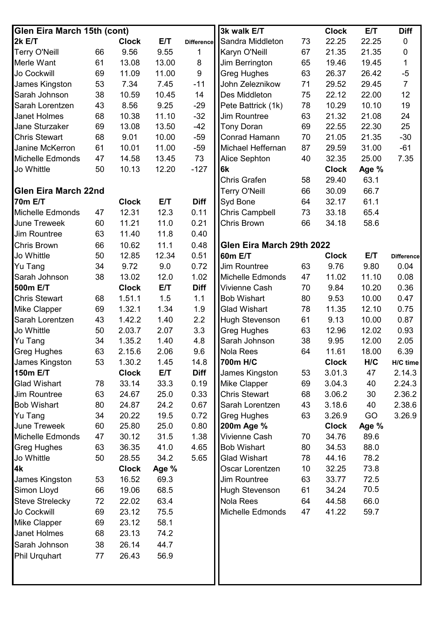| Glen Eira March 15th (cont) |    |              |       |                   | 3k walk E/T                          |    | <b>Clock</b> | E/T   | <b>Diff</b>       |
|-----------------------------|----|--------------|-------|-------------------|--------------------------------------|----|--------------|-------|-------------------|
| <b>2k E/T</b>               |    | <b>Clock</b> | E/T   | <b>Difference</b> | Sandra Middleton                     | 73 | 22.25        | 22.25 | $\boldsymbol{0}$  |
| <b>Terry O'Neill</b>        | 66 | 9.56         | 9.55  | 1                 | Karyn O'Neill                        | 67 | 21.35        | 21.35 | $\boldsymbol{0}$  |
| Merle Want                  | 61 | 13.08        | 13.00 | 8                 | Jim Berrington                       | 65 | 19.46        | 19.45 | $\mathbf{1}$      |
| Jo Cockwill                 | 69 | 11.09        | 11.00 | $\boldsymbol{9}$  | <b>Greg Hughes</b>                   | 63 | 26.37        | 26.42 | $-5$              |
| James Kingston              | 53 | 7.34         | 7.45  | $-11$             | John Zeleznikow                      | 71 | 29.52        | 29.45 | $\overline{7}$    |
| Sarah Johnson               | 38 | 10.59        | 10.45 | 14                | Des Middleton                        | 75 | 22.12        | 22.00 | 12                |
| Sarah Lorentzen             | 43 | 8.56         | 9.25  | $-29$             | Pete Battrick (1k)                   | 78 | 10.29        | 10.10 | 19                |
| Janet Holmes                | 68 | 10.38        | 11.10 | $-32$             | Jim Rountree                         | 63 | 21.32        | 21.08 | 24                |
| Jane Sturzaker              | 69 | 13.08        | 13.50 | $-42$             | <b>Tony Doran</b>                    | 69 | 22.55        | 22.30 | 25                |
| <b>Chris Stewart</b>        | 68 | 9.01         | 10.00 | $-59$             | Conrad Hamann                        | 70 | 21.05        | 21.35 | $-30$             |
| Janine McKerron             | 61 | 10.01        | 11.00 | $-59$             | Michael Heffernan                    | 87 | 29.59        | 31.00 | $-61$             |
| <b>Michelle Edmonds</b>     | 47 | 14.58        | 13.45 | 73                | Alice Sephton                        | 40 | 32.35        | 25.00 | 7.35              |
| Jo Whittle                  | 50 | 10.13        | 12.20 | $-127$            | 6k                                   |    | <b>Clock</b> | Age % |                   |
|                             |    |              |       |                   | Chris Grafen                         | 58 | 29.40        | 63.1  |                   |
| <b>Glen Eira March 22nd</b> |    |              |       |                   | <b>Terry O'Neill</b>                 | 66 | 30.09        | 66.7  |                   |
| <b>70m E/T</b>              |    | <b>Clock</b> | E/T   | <b>Diff</b>       | Syd Bone                             | 64 | 32.17        | 61.1  |                   |
| Michelle Edmonds            | 47 | 12.31        | 12.3  | 0.11              | <b>Chris Campbell</b>                | 73 | 33.18        | 65.4  |                   |
| <b>June Treweek</b>         | 60 | 11.21        | 11.0  | 0.21              | <b>Chris Brown</b>                   | 66 | 34.18        | 58.6  |                   |
| Jim Rountree                | 63 | 11.40        | 11.8  | 0.40              |                                      |    |              |       |                   |
| Chris Brown                 | 66 | 10.62        | 11.1  | 0.48              | Glen Eira March 29th 2022            |    |              |       |                   |
| Jo Whittle                  | 50 | 12.85        | 12.34 | 0.51              | <b>60m E/T</b>                       |    | <b>Clock</b> | E/T   | <b>Difference</b> |
| <b>Yu Tang</b>              | 34 | 9.72         | 9.0   | 0.72              | <b>Jim Rountree</b>                  | 63 | 9.76         | 9.80  | 0.04              |
| Sarah Johnson               | 38 | 13.02        | 12.0  | 1.02              | Michelle Edmonds                     | 47 | 11.02        | 11.10 | 0.08              |
| 500m E/T                    |    | <b>Clock</b> | E/T   | <b>Diff</b>       | Vivienne Cash                        | 70 | 9.84         | 10.20 | 0.36              |
| <b>Chris Stewart</b>        | 68 | 1.51.1       | 1.5   | 1.1               | <b>Bob Wishart</b>                   | 80 | 9.53         | 10.00 | 0.47              |
| Mike Clapper                | 69 | 1.32.1       | 1.34  | 1.9               | <b>Glad Wishart</b>                  | 78 | 11.35        | 12.10 | 0.75              |
| Sarah Lorentzen             | 43 | 1.42.2       | 1.40  | 2.2               |                                      | 61 |              |       | 0.87              |
| Jo Whittle                  | 50 |              | 2.07  | 3.3               | Hugh Stevenson<br><b>Greg Hughes</b> | 63 | 9.13         | 10.00 | 0.93              |
|                             |    | 2.03.7       | 1.40  |                   |                                      | 38 | 12.96        | 12.02 |                   |
| <b>Yu Tang</b>              | 34 | 1.35.2       |       | 4.8               | Sarah Johnson                        |    | 9.95         | 12.00 | 2.05              |
| <b>Greg Hughes</b>          | 63 | 2.15.6       | 2.06  | 9.6               | <b>Nola Rees</b>                     | 64 | 11.61        | 18.00 | 6.39              |
| James Kingston              | 53 | 1.30.2       | 1.45  | 14.8              | 700m H/C                             |    | <b>Clock</b> | H/C   | H/C time          |
| 150m E/T                    |    | <b>Clock</b> | E/T   | <b>Diff</b>       | James Kingston                       | 53 | 3.01.3       | 47    | 2.14.3            |
| <b>Glad Wishart</b>         | 78 | 33.14        | 33.3  | 0.19              | <b>Mike Clapper</b>                  | 69 | 3.04.3       | 40    | 2.24.3            |
| Jim Rountree                | 63 | 24.67        | 25.0  | 0.33              | <b>Chris Stewart</b>                 | 68 | 3.06.2       | 30    | 2.36.2            |
| <b>Bob Wishart</b>          | 80 | 24.87        | 24.2  | 0.67              | Sarah Lorentzen                      | 43 | 3.18.6       | 40    | 2.38.6            |
| Yu Tang                     | 34 | 20.22        | 19.5  | 0.72              | <b>Greg Hughes</b>                   | 63 | 3.26.9       | GO    | 3.26.9            |
| <b>June Treweek</b>         | 60 | 25.80        | 25.0  | 0.80              | 200m Age %                           |    | <b>Clock</b> | Age % |                   |
| <b>Michelle Edmonds</b>     | 47 | 30.12        | 31.5  | 1.38              | Vivienne Cash                        | 70 | 34.76        | 89.6  |                   |
| <b>Greg Hughes</b>          | 63 | 36.35        | 41.0  | 4.65              | <b>Bob Wishart</b>                   | 80 | 34.53        | 88.0  |                   |
| Jo Whittle                  | 50 | 28.55        | 34.2  | 5.65              | <b>Glad Wishart</b>                  | 78 | 44.16        | 78.2  |                   |
| 4k                          |    | <b>Clock</b> | Age % |                   | Oscar Lorentzen                      | 10 | 32.25        | 73.8  |                   |
| James Kingston              | 53 | 16.52        | 69.3  |                   | <b>Jim Rountree</b>                  | 63 | 33.77        | 72.5  |                   |
| Simon Lloyd                 | 66 | 19.06        | 68.5  |                   | <b>Hugh Stevenson</b>                | 61 | 34.24        | 70.5  |                   |
| <b>Steve Strelecky</b>      | 72 | 22.02        | 63.4  |                   | <b>Nola Rees</b>                     | 64 | 44.58        | 66.0  |                   |
| Jo Cockwill                 | 69 | 23.12        | 75.5  |                   | Michelle Edmonds                     | 47 | 41.22        | 59.7  |                   |
| Mike Clapper                | 69 | 23.12        | 58.1  |                   |                                      |    |              |       |                   |
| Janet Holmes                | 68 | 23.13        | 74.2  |                   |                                      |    |              |       |                   |
| Sarah Johnson               | 38 | 26.14        | 44.7  |                   |                                      |    |              |       |                   |
| Phil Urquhart               | 77 | 26.43        | 56.9  |                   |                                      |    |              |       |                   |
|                             |    |              |       |                   |                                      |    |              |       |                   |
|                             |    |              |       |                   |                                      |    |              |       |                   |
|                             |    |              |       |                   |                                      |    |              |       |                   |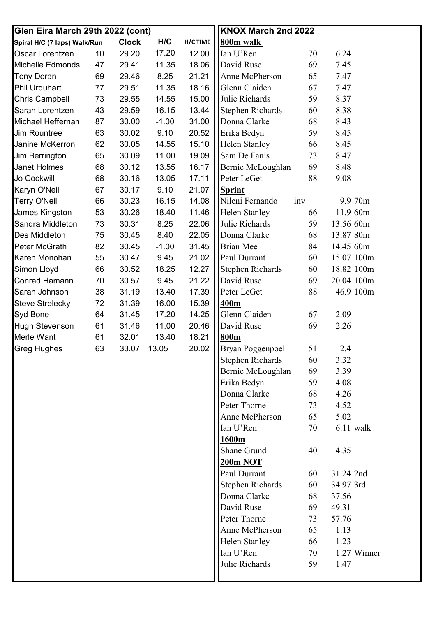| H/C<br>H/C TIME<br>800m walk<br><b>Clock</b><br>Spiral H/C (7 laps) Walk/Run<br>17.20<br>12.00<br>6.24<br>Oscar Lorentzen<br>29.20<br>Ian U'Ren<br>70<br>10<br>Michelle Edmonds<br>18.06<br>David Ruse<br>69<br>7.45<br>29.41<br>11.35<br>47<br>21.21<br>Anne McPherson<br><b>Tony Doran</b><br>29.46<br>8.25<br>65<br>7.47<br>69<br>11.35<br>18.16<br>Glenn Claiden<br>7.47<br><b>Phil Urquhart</b><br>29.51<br>67<br>77<br><b>Chris Campbell</b><br>15.00<br>Julie Richards<br>73<br>29.55<br>14.55<br>59<br>8.37<br>16.15<br><b>Stephen Richards</b><br>60<br>8.38<br>Sarah Lorentzen<br>43<br>29.59<br>13.44<br>31.00<br>Donna Clarke<br>8.43<br>Michael Heffernan<br>87<br>30.00<br>$-1.00$<br>68<br>20.52<br>Erika Bedyn<br>59<br>8.45<br>30.02<br>9.10<br><b>Jim Rountree</b><br>63<br>15.10<br><b>Helen Stanley</b><br>Janine McKerron<br>62<br>30.05<br>14.55<br>8.45<br>66<br>19.09<br>Sam De Fanis<br>65<br>30.09<br>11.00<br>73<br>8.47<br>Jim Berrington<br>16.17<br>Bernie McLoughlan<br>69<br>8.48<br><b>Janet Holmes</b><br>30.12<br>13.55<br>68<br>17.11<br>88<br>Jo Cockwill<br>68<br>30.16<br>13.05<br>Peter LeGet<br>9.08<br>9.10<br>21.07<br>Karyn O'Neill<br>67<br>30.17<br><b>Sprint</b><br>14.08<br>Nileni Fernando<br><b>Terry O'Neill</b><br>30.23<br>16.15<br>9.9 70m<br>66<br>inv<br>James Kingston<br>11.46<br>Helen Stanley<br>11.9 60m<br>53<br>30.26<br>18.40<br>66<br>Julie Richards<br>59<br>13.56 60m<br>Sandra Middleton<br>73<br>30.31<br>8.25<br>22.06<br>22.05<br>13.87 80m<br>8.40<br>Donna Clarke<br>68<br>Des Middleton<br>75<br>30.45<br>31.45<br><b>Brian Mee</b><br>Peter McGrath<br>82<br>30.45<br>$-1.00$<br>84<br>14.45 60m<br>21.02<br>Paul Durrant<br>60<br>15.07 100m<br>Karen Monohan<br>55<br>30.47<br>9.45<br>12.27<br>60<br>18.82 100m<br>Simon Lloyd<br>66<br>30.52<br>18.25<br><b>Stephen Richards</b><br><b>Conrad Hamann</b><br>21.22<br>David Ruse<br>20.04 100m<br>30.57<br>9.45<br>69<br>70<br>17.39<br>88<br>46.9 100m<br>Sarah Johnson<br>38<br>31.19<br>13.40<br>Peter LeGet<br><b>Steve Strelecky</b><br>72<br>31.39<br>16.00<br>15.39<br>400m<br>Glenn Claiden<br><b>Syd Bone</b><br>31.45<br>14.25<br>2.09<br>64<br>17.20<br>67<br>20.46<br>David Ruse<br>69<br>2.26<br><b>Hugh Stevenson</b><br>31.46<br>11.00<br>61<br>Merle Want<br>32.01<br>18.21<br>800m<br>61<br>13.40<br>Bryan Poggenpoel<br>20.02<br><b>Greg Hughes</b><br>63<br>33.07 13.05<br>51<br>2.4<br><b>Stephen Richards</b><br>60<br>3.32<br>Bernie McLoughlan<br>69<br>3.39<br>Erika Bedyn<br>59<br>4.08<br>Donna Clarke<br>68<br>4.26 | Glen Eira March 29th 2022 (cont) |  |  | KNOX March 2nd 2022 |    |      |
|------------------------------------------------------------------------------------------------------------------------------------------------------------------------------------------------------------------------------------------------------------------------------------------------------------------------------------------------------------------------------------------------------------------------------------------------------------------------------------------------------------------------------------------------------------------------------------------------------------------------------------------------------------------------------------------------------------------------------------------------------------------------------------------------------------------------------------------------------------------------------------------------------------------------------------------------------------------------------------------------------------------------------------------------------------------------------------------------------------------------------------------------------------------------------------------------------------------------------------------------------------------------------------------------------------------------------------------------------------------------------------------------------------------------------------------------------------------------------------------------------------------------------------------------------------------------------------------------------------------------------------------------------------------------------------------------------------------------------------------------------------------------------------------------------------------------------------------------------------------------------------------------------------------------------------------------------------------------------------------------------------------------------------------------------------------------------------------------------------------------------------------------------------------------------------------------------------------------------------------------------------------------------------------------------------------------------------------------------------------------------------------------------------------------------------------------------------------------------------------------------------------------------------------------------------------------------|----------------------------------|--|--|---------------------|----|------|
|                                                                                                                                                                                                                                                                                                                                                                                                                                                                                                                                                                                                                                                                                                                                                                                                                                                                                                                                                                                                                                                                                                                                                                                                                                                                                                                                                                                                                                                                                                                                                                                                                                                                                                                                                                                                                                                                                                                                                                                                                                                                                                                                                                                                                                                                                                                                                                                                                                                                                                                                                                              |                                  |  |  |                     |    |      |
|                                                                                                                                                                                                                                                                                                                                                                                                                                                                                                                                                                                                                                                                                                                                                                                                                                                                                                                                                                                                                                                                                                                                                                                                                                                                                                                                                                                                                                                                                                                                                                                                                                                                                                                                                                                                                                                                                                                                                                                                                                                                                                                                                                                                                                                                                                                                                                                                                                                                                                                                                                              |                                  |  |  |                     |    |      |
|                                                                                                                                                                                                                                                                                                                                                                                                                                                                                                                                                                                                                                                                                                                                                                                                                                                                                                                                                                                                                                                                                                                                                                                                                                                                                                                                                                                                                                                                                                                                                                                                                                                                                                                                                                                                                                                                                                                                                                                                                                                                                                                                                                                                                                                                                                                                                                                                                                                                                                                                                                              |                                  |  |  |                     |    |      |
|                                                                                                                                                                                                                                                                                                                                                                                                                                                                                                                                                                                                                                                                                                                                                                                                                                                                                                                                                                                                                                                                                                                                                                                                                                                                                                                                                                                                                                                                                                                                                                                                                                                                                                                                                                                                                                                                                                                                                                                                                                                                                                                                                                                                                                                                                                                                                                                                                                                                                                                                                                              |                                  |  |  |                     |    |      |
|                                                                                                                                                                                                                                                                                                                                                                                                                                                                                                                                                                                                                                                                                                                                                                                                                                                                                                                                                                                                                                                                                                                                                                                                                                                                                                                                                                                                                                                                                                                                                                                                                                                                                                                                                                                                                                                                                                                                                                                                                                                                                                                                                                                                                                                                                                                                                                                                                                                                                                                                                                              |                                  |  |  |                     |    |      |
|                                                                                                                                                                                                                                                                                                                                                                                                                                                                                                                                                                                                                                                                                                                                                                                                                                                                                                                                                                                                                                                                                                                                                                                                                                                                                                                                                                                                                                                                                                                                                                                                                                                                                                                                                                                                                                                                                                                                                                                                                                                                                                                                                                                                                                                                                                                                                                                                                                                                                                                                                                              |                                  |  |  |                     |    |      |
|                                                                                                                                                                                                                                                                                                                                                                                                                                                                                                                                                                                                                                                                                                                                                                                                                                                                                                                                                                                                                                                                                                                                                                                                                                                                                                                                                                                                                                                                                                                                                                                                                                                                                                                                                                                                                                                                                                                                                                                                                                                                                                                                                                                                                                                                                                                                                                                                                                                                                                                                                                              |                                  |  |  |                     |    |      |
|                                                                                                                                                                                                                                                                                                                                                                                                                                                                                                                                                                                                                                                                                                                                                                                                                                                                                                                                                                                                                                                                                                                                                                                                                                                                                                                                                                                                                                                                                                                                                                                                                                                                                                                                                                                                                                                                                                                                                                                                                                                                                                                                                                                                                                                                                                                                                                                                                                                                                                                                                                              |                                  |  |  |                     |    |      |
|                                                                                                                                                                                                                                                                                                                                                                                                                                                                                                                                                                                                                                                                                                                                                                                                                                                                                                                                                                                                                                                                                                                                                                                                                                                                                                                                                                                                                                                                                                                                                                                                                                                                                                                                                                                                                                                                                                                                                                                                                                                                                                                                                                                                                                                                                                                                                                                                                                                                                                                                                                              |                                  |  |  |                     |    |      |
|                                                                                                                                                                                                                                                                                                                                                                                                                                                                                                                                                                                                                                                                                                                                                                                                                                                                                                                                                                                                                                                                                                                                                                                                                                                                                                                                                                                                                                                                                                                                                                                                                                                                                                                                                                                                                                                                                                                                                                                                                                                                                                                                                                                                                                                                                                                                                                                                                                                                                                                                                                              |                                  |  |  |                     |    |      |
|                                                                                                                                                                                                                                                                                                                                                                                                                                                                                                                                                                                                                                                                                                                                                                                                                                                                                                                                                                                                                                                                                                                                                                                                                                                                                                                                                                                                                                                                                                                                                                                                                                                                                                                                                                                                                                                                                                                                                                                                                                                                                                                                                                                                                                                                                                                                                                                                                                                                                                                                                                              |                                  |  |  |                     |    |      |
|                                                                                                                                                                                                                                                                                                                                                                                                                                                                                                                                                                                                                                                                                                                                                                                                                                                                                                                                                                                                                                                                                                                                                                                                                                                                                                                                                                                                                                                                                                                                                                                                                                                                                                                                                                                                                                                                                                                                                                                                                                                                                                                                                                                                                                                                                                                                                                                                                                                                                                                                                                              |                                  |  |  |                     |    |      |
|                                                                                                                                                                                                                                                                                                                                                                                                                                                                                                                                                                                                                                                                                                                                                                                                                                                                                                                                                                                                                                                                                                                                                                                                                                                                                                                                                                                                                                                                                                                                                                                                                                                                                                                                                                                                                                                                                                                                                                                                                                                                                                                                                                                                                                                                                                                                                                                                                                                                                                                                                                              |                                  |  |  |                     |    |      |
|                                                                                                                                                                                                                                                                                                                                                                                                                                                                                                                                                                                                                                                                                                                                                                                                                                                                                                                                                                                                                                                                                                                                                                                                                                                                                                                                                                                                                                                                                                                                                                                                                                                                                                                                                                                                                                                                                                                                                                                                                                                                                                                                                                                                                                                                                                                                                                                                                                                                                                                                                                              |                                  |  |  |                     |    |      |
|                                                                                                                                                                                                                                                                                                                                                                                                                                                                                                                                                                                                                                                                                                                                                                                                                                                                                                                                                                                                                                                                                                                                                                                                                                                                                                                                                                                                                                                                                                                                                                                                                                                                                                                                                                                                                                                                                                                                                                                                                                                                                                                                                                                                                                                                                                                                                                                                                                                                                                                                                                              |                                  |  |  |                     |    |      |
|                                                                                                                                                                                                                                                                                                                                                                                                                                                                                                                                                                                                                                                                                                                                                                                                                                                                                                                                                                                                                                                                                                                                                                                                                                                                                                                                                                                                                                                                                                                                                                                                                                                                                                                                                                                                                                                                                                                                                                                                                                                                                                                                                                                                                                                                                                                                                                                                                                                                                                                                                                              |                                  |  |  |                     |    |      |
|                                                                                                                                                                                                                                                                                                                                                                                                                                                                                                                                                                                                                                                                                                                                                                                                                                                                                                                                                                                                                                                                                                                                                                                                                                                                                                                                                                                                                                                                                                                                                                                                                                                                                                                                                                                                                                                                                                                                                                                                                                                                                                                                                                                                                                                                                                                                                                                                                                                                                                                                                                              |                                  |  |  |                     |    |      |
|                                                                                                                                                                                                                                                                                                                                                                                                                                                                                                                                                                                                                                                                                                                                                                                                                                                                                                                                                                                                                                                                                                                                                                                                                                                                                                                                                                                                                                                                                                                                                                                                                                                                                                                                                                                                                                                                                                                                                                                                                                                                                                                                                                                                                                                                                                                                                                                                                                                                                                                                                                              |                                  |  |  |                     |    |      |
|                                                                                                                                                                                                                                                                                                                                                                                                                                                                                                                                                                                                                                                                                                                                                                                                                                                                                                                                                                                                                                                                                                                                                                                                                                                                                                                                                                                                                                                                                                                                                                                                                                                                                                                                                                                                                                                                                                                                                                                                                                                                                                                                                                                                                                                                                                                                                                                                                                                                                                                                                                              |                                  |  |  |                     |    |      |
|                                                                                                                                                                                                                                                                                                                                                                                                                                                                                                                                                                                                                                                                                                                                                                                                                                                                                                                                                                                                                                                                                                                                                                                                                                                                                                                                                                                                                                                                                                                                                                                                                                                                                                                                                                                                                                                                                                                                                                                                                                                                                                                                                                                                                                                                                                                                                                                                                                                                                                                                                                              |                                  |  |  |                     |    |      |
|                                                                                                                                                                                                                                                                                                                                                                                                                                                                                                                                                                                                                                                                                                                                                                                                                                                                                                                                                                                                                                                                                                                                                                                                                                                                                                                                                                                                                                                                                                                                                                                                                                                                                                                                                                                                                                                                                                                                                                                                                                                                                                                                                                                                                                                                                                                                                                                                                                                                                                                                                                              |                                  |  |  |                     |    |      |
|                                                                                                                                                                                                                                                                                                                                                                                                                                                                                                                                                                                                                                                                                                                                                                                                                                                                                                                                                                                                                                                                                                                                                                                                                                                                                                                                                                                                                                                                                                                                                                                                                                                                                                                                                                                                                                                                                                                                                                                                                                                                                                                                                                                                                                                                                                                                                                                                                                                                                                                                                                              |                                  |  |  |                     |    |      |
|                                                                                                                                                                                                                                                                                                                                                                                                                                                                                                                                                                                                                                                                                                                                                                                                                                                                                                                                                                                                                                                                                                                                                                                                                                                                                                                                                                                                                                                                                                                                                                                                                                                                                                                                                                                                                                                                                                                                                                                                                                                                                                                                                                                                                                                                                                                                                                                                                                                                                                                                                                              |                                  |  |  |                     |    |      |
|                                                                                                                                                                                                                                                                                                                                                                                                                                                                                                                                                                                                                                                                                                                                                                                                                                                                                                                                                                                                                                                                                                                                                                                                                                                                                                                                                                                                                                                                                                                                                                                                                                                                                                                                                                                                                                                                                                                                                                                                                                                                                                                                                                                                                                                                                                                                                                                                                                                                                                                                                                              |                                  |  |  |                     |    |      |
|                                                                                                                                                                                                                                                                                                                                                                                                                                                                                                                                                                                                                                                                                                                                                                                                                                                                                                                                                                                                                                                                                                                                                                                                                                                                                                                                                                                                                                                                                                                                                                                                                                                                                                                                                                                                                                                                                                                                                                                                                                                                                                                                                                                                                                                                                                                                                                                                                                                                                                                                                                              |                                  |  |  |                     |    |      |
|                                                                                                                                                                                                                                                                                                                                                                                                                                                                                                                                                                                                                                                                                                                                                                                                                                                                                                                                                                                                                                                                                                                                                                                                                                                                                                                                                                                                                                                                                                                                                                                                                                                                                                                                                                                                                                                                                                                                                                                                                                                                                                                                                                                                                                                                                                                                                                                                                                                                                                                                                                              |                                  |  |  |                     |    |      |
|                                                                                                                                                                                                                                                                                                                                                                                                                                                                                                                                                                                                                                                                                                                                                                                                                                                                                                                                                                                                                                                                                                                                                                                                                                                                                                                                                                                                                                                                                                                                                                                                                                                                                                                                                                                                                                                                                                                                                                                                                                                                                                                                                                                                                                                                                                                                                                                                                                                                                                                                                                              |                                  |  |  |                     |    |      |
|                                                                                                                                                                                                                                                                                                                                                                                                                                                                                                                                                                                                                                                                                                                                                                                                                                                                                                                                                                                                                                                                                                                                                                                                                                                                                                                                                                                                                                                                                                                                                                                                                                                                                                                                                                                                                                                                                                                                                                                                                                                                                                                                                                                                                                                                                                                                                                                                                                                                                                                                                                              |                                  |  |  |                     |    |      |
|                                                                                                                                                                                                                                                                                                                                                                                                                                                                                                                                                                                                                                                                                                                                                                                                                                                                                                                                                                                                                                                                                                                                                                                                                                                                                                                                                                                                                                                                                                                                                                                                                                                                                                                                                                                                                                                                                                                                                                                                                                                                                                                                                                                                                                                                                                                                                                                                                                                                                                                                                                              |                                  |  |  |                     |    |      |
|                                                                                                                                                                                                                                                                                                                                                                                                                                                                                                                                                                                                                                                                                                                                                                                                                                                                                                                                                                                                                                                                                                                                                                                                                                                                                                                                                                                                                                                                                                                                                                                                                                                                                                                                                                                                                                                                                                                                                                                                                                                                                                                                                                                                                                                                                                                                                                                                                                                                                                                                                                              |                                  |  |  |                     |    |      |
|                                                                                                                                                                                                                                                                                                                                                                                                                                                                                                                                                                                                                                                                                                                                                                                                                                                                                                                                                                                                                                                                                                                                                                                                                                                                                                                                                                                                                                                                                                                                                                                                                                                                                                                                                                                                                                                                                                                                                                                                                                                                                                                                                                                                                                                                                                                                                                                                                                                                                                                                                                              |                                  |  |  |                     |    |      |
|                                                                                                                                                                                                                                                                                                                                                                                                                                                                                                                                                                                                                                                                                                                                                                                                                                                                                                                                                                                                                                                                                                                                                                                                                                                                                                                                                                                                                                                                                                                                                                                                                                                                                                                                                                                                                                                                                                                                                                                                                                                                                                                                                                                                                                                                                                                                                                                                                                                                                                                                                                              |                                  |  |  |                     |    |      |
|                                                                                                                                                                                                                                                                                                                                                                                                                                                                                                                                                                                                                                                                                                                                                                                                                                                                                                                                                                                                                                                                                                                                                                                                                                                                                                                                                                                                                                                                                                                                                                                                                                                                                                                                                                                                                                                                                                                                                                                                                                                                                                                                                                                                                                                                                                                                                                                                                                                                                                                                                                              |                                  |  |  | Peter Thorne        | 73 | 4.52 |
| Anne McPherson<br>5.02<br>65                                                                                                                                                                                                                                                                                                                                                                                                                                                                                                                                                                                                                                                                                                                                                                                                                                                                                                                                                                                                                                                                                                                                                                                                                                                                                                                                                                                                                                                                                                                                                                                                                                                                                                                                                                                                                                                                                                                                                                                                                                                                                                                                                                                                                                                                                                                                                                                                                                                                                                                                                 |                                  |  |  |                     |    |      |
| Ian U'Ren<br>70<br>$6.11$ walk                                                                                                                                                                                                                                                                                                                                                                                                                                                                                                                                                                                                                                                                                                                                                                                                                                                                                                                                                                                                                                                                                                                                                                                                                                                                                                                                                                                                                                                                                                                                                                                                                                                                                                                                                                                                                                                                                                                                                                                                                                                                                                                                                                                                                                                                                                                                                                                                                                                                                                                                               |                                  |  |  |                     |    |      |
| 1600m                                                                                                                                                                                                                                                                                                                                                                                                                                                                                                                                                                                                                                                                                                                                                                                                                                                                                                                                                                                                                                                                                                                                                                                                                                                                                                                                                                                                                                                                                                                                                                                                                                                                                                                                                                                                                                                                                                                                                                                                                                                                                                                                                                                                                                                                                                                                                                                                                                                                                                                                                                        |                                  |  |  |                     |    |      |
| Shane Grund<br>4.35<br>40                                                                                                                                                                                                                                                                                                                                                                                                                                                                                                                                                                                                                                                                                                                                                                                                                                                                                                                                                                                                                                                                                                                                                                                                                                                                                                                                                                                                                                                                                                                                                                                                                                                                                                                                                                                                                                                                                                                                                                                                                                                                                                                                                                                                                                                                                                                                                                                                                                                                                                                                                    |                                  |  |  |                     |    |      |
| 200m NOT                                                                                                                                                                                                                                                                                                                                                                                                                                                                                                                                                                                                                                                                                                                                                                                                                                                                                                                                                                                                                                                                                                                                                                                                                                                                                                                                                                                                                                                                                                                                                                                                                                                                                                                                                                                                                                                                                                                                                                                                                                                                                                                                                                                                                                                                                                                                                                                                                                                                                                                                                                     |                                  |  |  |                     |    |      |
| Paul Durrant<br>60<br>31.24 2nd                                                                                                                                                                                                                                                                                                                                                                                                                                                                                                                                                                                                                                                                                                                                                                                                                                                                                                                                                                                                                                                                                                                                                                                                                                                                                                                                                                                                                                                                                                                                                                                                                                                                                                                                                                                                                                                                                                                                                                                                                                                                                                                                                                                                                                                                                                                                                                                                                                                                                                                                              |                                  |  |  |                     |    |      |
| <b>Stephen Richards</b><br>60<br>34.97 3rd                                                                                                                                                                                                                                                                                                                                                                                                                                                                                                                                                                                                                                                                                                                                                                                                                                                                                                                                                                                                                                                                                                                                                                                                                                                                                                                                                                                                                                                                                                                                                                                                                                                                                                                                                                                                                                                                                                                                                                                                                                                                                                                                                                                                                                                                                                                                                                                                                                                                                                                                   |                                  |  |  |                     |    |      |
| Donna Clarke<br>68<br>37.56                                                                                                                                                                                                                                                                                                                                                                                                                                                                                                                                                                                                                                                                                                                                                                                                                                                                                                                                                                                                                                                                                                                                                                                                                                                                                                                                                                                                                                                                                                                                                                                                                                                                                                                                                                                                                                                                                                                                                                                                                                                                                                                                                                                                                                                                                                                                                                                                                                                                                                                                                  |                                  |  |  |                     |    |      |
| David Ruse<br>69<br>49.31                                                                                                                                                                                                                                                                                                                                                                                                                                                                                                                                                                                                                                                                                                                                                                                                                                                                                                                                                                                                                                                                                                                                                                                                                                                                                                                                                                                                                                                                                                                                                                                                                                                                                                                                                                                                                                                                                                                                                                                                                                                                                                                                                                                                                                                                                                                                                                                                                                                                                                                                                    |                                  |  |  |                     |    |      |
| Peter Thorne<br>73<br>57.76                                                                                                                                                                                                                                                                                                                                                                                                                                                                                                                                                                                                                                                                                                                                                                                                                                                                                                                                                                                                                                                                                                                                                                                                                                                                                                                                                                                                                                                                                                                                                                                                                                                                                                                                                                                                                                                                                                                                                                                                                                                                                                                                                                                                                                                                                                                                                                                                                                                                                                                                                  |                                  |  |  |                     |    |      |
| Anne McPherson<br>65<br>1.13                                                                                                                                                                                                                                                                                                                                                                                                                                                                                                                                                                                                                                                                                                                                                                                                                                                                                                                                                                                                                                                                                                                                                                                                                                                                                                                                                                                                                                                                                                                                                                                                                                                                                                                                                                                                                                                                                                                                                                                                                                                                                                                                                                                                                                                                                                                                                                                                                                                                                                                                                 |                                  |  |  |                     |    |      |
| Helen Stanley<br>1.23<br>66                                                                                                                                                                                                                                                                                                                                                                                                                                                                                                                                                                                                                                                                                                                                                                                                                                                                                                                                                                                                                                                                                                                                                                                                                                                                                                                                                                                                                                                                                                                                                                                                                                                                                                                                                                                                                                                                                                                                                                                                                                                                                                                                                                                                                                                                                                                                                                                                                                                                                                                                                  |                                  |  |  |                     |    |      |
| Ian U'Ren<br>70<br>1.27 Winner                                                                                                                                                                                                                                                                                                                                                                                                                                                                                                                                                                                                                                                                                                                                                                                                                                                                                                                                                                                                                                                                                                                                                                                                                                                                                                                                                                                                                                                                                                                                                                                                                                                                                                                                                                                                                                                                                                                                                                                                                                                                                                                                                                                                                                                                                                                                                                                                                                                                                                                                               |                                  |  |  |                     |    |      |
| Julie Richards<br>59<br>1.47                                                                                                                                                                                                                                                                                                                                                                                                                                                                                                                                                                                                                                                                                                                                                                                                                                                                                                                                                                                                                                                                                                                                                                                                                                                                                                                                                                                                                                                                                                                                                                                                                                                                                                                                                                                                                                                                                                                                                                                                                                                                                                                                                                                                                                                                                                                                                                                                                                                                                                                                                 |                                  |  |  |                     |    |      |
|                                                                                                                                                                                                                                                                                                                                                                                                                                                                                                                                                                                                                                                                                                                                                                                                                                                                                                                                                                                                                                                                                                                                                                                                                                                                                                                                                                                                                                                                                                                                                                                                                                                                                                                                                                                                                                                                                                                                                                                                                                                                                                                                                                                                                                                                                                                                                                                                                                                                                                                                                                              |                                  |  |  |                     |    |      |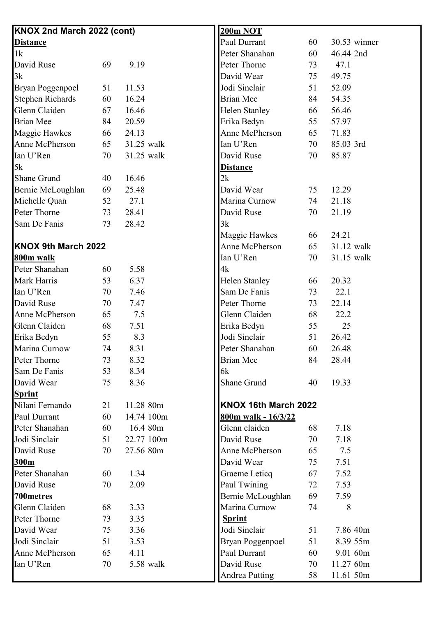| KNOX 2nd March 2022 (cont) |    |            | 200m NOT                |    |              |
|----------------------------|----|------------|-------------------------|----|--------------|
| <b>Distance</b>            |    |            | Paul Durrant            | 60 | 30.53 winner |
| 1k                         |    |            | Peter Shanahan          | 60 | 46.44 2nd    |
| David Ruse                 | 69 | 9.19       | Peter Thorne            | 73 | 47.1         |
| 3k                         |    |            | David Wear              | 75 | 49.75        |
| <b>Bryan Poggenpoel</b>    | 51 | 11.53      | Jodi Sinclair           | 51 | 52.09        |
| <b>Stephen Richards</b>    | 60 | 16.24      | Brian Mee               | 84 | 54.35        |
| Glenn Claiden              | 67 | 16.46      | <b>Helen Stanley</b>    | 66 | 56.46        |
| <b>Brian Mee</b>           | 84 | 20.59      | Erika Bedyn             | 55 | 57.97        |
| Maggie Hawkes              | 66 | 24.13      | Anne McPherson          | 65 | 71.83        |
| Anne McPherson             | 65 | 31.25 walk | Ian U'Ren               | 70 | 85.03 3rd    |
| Ian U'Ren                  | 70 | 31.25 walk | David Ruse              | 70 | 85.87        |
| 5k                         |    |            | <b>Distance</b>         |    |              |
| <b>Shane Grund</b>         | 40 | 16.46      | 2k                      |    |              |
| Bernie McLoughlan          | 69 | 25.48      | David Wear              | 75 | 12.29        |
| Michelle Quan              | 52 | 27.1       | Marina Curnow           | 74 | 21.18        |
| Peter Thorne               | 73 | 28.41      | David Ruse              | 70 | 21.19        |
| Sam De Fanis               | 73 | 28.42      | 3k                      |    |              |
|                            |    |            | Maggie Hawkes           | 66 | 24.21        |
| <b>KNOX 9th March 2022</b> |    |            | Anne McPherson          | 65 | 31.12 walk   |
| 800m walk                  |    |            | Ian U'Ren               | 70 | 31.15 walk   |
| Peter Shanahan             | 60 | 5.58       | 4k                      |    |              |
| Mark Harris                | 53 | 6.37       | Helen Stanley           | 66 | 20.32        |
| Ian U'Ren                  | 70 | 7.46       | Sam De Fanis            | 73 | 22.1         |
| David Ruse                 | 70 | 7.47       | Peter Thorne            | 73 | 22.14        |
| Anne McPherson             | 65 | 7.5        | Glenn Claiden           | 68 | 22.2         |
| Glenn Claiden              | 68 | 7.51       | Erika Bedyn             | 55 | 25           |
| Erika Bedyn                | 55 | 8.3        | Jodi Sinclair           | 51 | 26.42        |
| Marina Curnow              | 74 | 8.31       | Peter Shanahan          | 60 | 26.48        |
| Peter Thorne               | 73 | 8.32       | <b>Brian Mee</b>        | 84 | 28.44        |
| Sam De Fanis               | 53 | 8.34       | 6k                      |    |              |
| David Wear                 | 75 | 8.36       | Shane Grund             | 40 | 19.33        |
| <b>Sprint</b>              |    |            |                         |    |              |
| Nilani Fernando            | 21 | 11.28 80m  | KNOX 16th March 2022    |    |              |
| Paul Durrant               | 60 | 14.74 100m | 800m walk - 16/3/22     |    |              |
| Peter Shanahan             | 60 | 16.4 80m   | Glenn claiden           | 68 | 7.18         |
| Jodi Sinclair              | 51 | 22.77 100m | David Ruse              | 70 | 7.18         |
| David Ruse                 | 70 | 27.56 80m  | Anne McPherson          | 65 | 7.5          |
| 300m                       |    |            | David Wear              | 75 | 7.51         |
| Peter Shanahan             | 60 | 1.34       | Graeme Leticq           | 67 | 7.52         |
| David Ruse                 | 70 | 2.09       | Paul Twining            | 72 | 7.53         |
| 700metres                  |    |            | Bernie McLoughlan       | 69 | 7.59         |
| Glenn Claiden              | 68 | 3.33       | Marina Curnow           | 74 | 8            |
| Peter Thorne               | 73 | 3.35       | <b>Sprint</b>           |    |              |
| David Wear                 | 75 | 3.36       | Jodi Sinclair           | 51 | 7.86 40m     |
| Jodi Sinclair              | 51 | 3.53       | <b>Bryan Poggenpoel</b> | 51 | 8.39 55m     |
| Anne McPherson             | 65 | 4.11       | Paul Durrant            | 60 | 9.01 60m     |
| Ian U'Ren                  | 70 | 5.58 walk  | David Ruse              | 70 | 11.27 60m    |
|                            |    |            |                         | 58 |              |
|                            |    |            | <b>Andrea Putting</b>   |    | 11.61 50m    |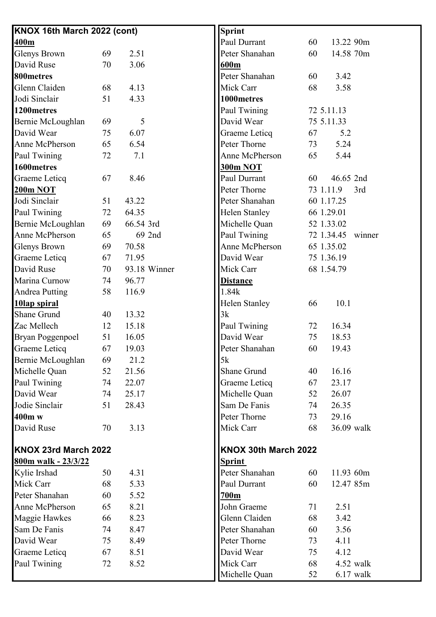| KNOX 16th March 2022 (cont) |    |           |              | <b>Sprint</b>        |    |                   |     |
|-----------------------------|----|-----------|--------------|----------------------|----|-------------------|-----|
| 400m                        |    |           |              | Paul Durrant         | 60 | 13.22 90m         |     |
| <b>Glenys Brown</b>         | 69 | 2.51      |              | Peter Shanahan       | 60 | 14.58 70m         |     |
| David Ruse                  | 70 | 3.06      |              | 600m                 |    |                   |     |
| 800metres                   |    |           |              | Peter Shanahan       | 60 | 3.42              |     |
| Glenn Claiden               | 68 | 4.13      |              | Mick Carr            | 68 | 3.58              |     |
| Jodi Sinclair               | 51 | 4.33      |              | 1000metres           |    |                   |     |
| 1200metres                  |    |           |              | Paul Twining         |    | 72 5.11.13        |     |
| Bernie McLoughlan           | 69 | 5         |              | David Wear           |    | 75 5.11.33        |     |
| David Wear                  | 75 | 6.07      |              | Graeme Leticq        | 67 | 5.2               |     |
| Anne McPherson              | 65 | 6.54      |              | Peter Thorne         | 73 | 5.24              |     |
| Paul Twining                | 72 | 7.1       |              | Anne McPherson       | 65 | 5.44              |     |
| 1600metres                  |    |           |              | <b>300m NOT</b>      |    |                   |     |
| Graeme Leticq               | 67 | 8.46      |              | Paul Durrant         | 60 | 46.65 2nd         |     |
| <b>200m NOT</b>             |    |           |              | Peter Thorne         |    | 73 1.11.9         | 3rd |
| Jodi Sinclair               | 51 | 43.22     |              | Peter Shanahan       |    | 60 1.17.25        |     |
| Paul Twining                | 72 | 64.35     |              | <b>Helen Stanley</b> |    | 66 1.29.01        |     |
| Bernie McLoughlan           | 69 | 66.54 3rd |              | Michelle Quan        |    | 52 1.33.02        |     |
| Anne McPherson              | 65 |           | 69 2nd       | Paul Twining         |    | 72 1.34.45 winner |     |
| <b>Glenys Brown</b>         | 69 | 70.58     |              | Anne McPherson       |    | 65 1.35.02        |     |
| Graeme Leticq               | 67 | 71.95     |              | David Wear           |    | 75 1.36.19        |     |
| David Ruse                  | 70 |           | 93.18 Winner | Mick Carr            |    | 68 1.54.79        |     |
| Marina Curnow               | 74 | 96.77     |              | <b>Distance</b>      |    |                   |     |
| <b>Andrea Putting</b>       | 58 | 116.9     |              | 1.84k                |    |                   |     |
| 10lap spiral                |    |           |              | <b>Helen Stanley</b> | 66 | 10.1              |     |
| <b>Shane Grund</b>          | 40 | 13.32     |              | 3k                   |    |                   |     |
| Zac Mellech                 | 12 | 15.18     |              | Paul Twining         | 72 | 16.34             |     |
| <b>Bryan Poggenpoel</b>     | 51 | 16.05     |              | David Wear           | 75 | 18.53             |     |
| Graeme Leticq               | 67 | 19.03     |              | Peter Shanahan       | 60 | 19.43             |     |
| Bernie McLoughlan           | 69 | 21.2      |              | 5k                   |    |                   |     |
| Michelle Quan               | 52 | 21.56     |              | Shane Grund          | 40 | 16.16             |     |
| Paul Twining                | 74 | 22.07     |              | Graeme Leticq        | 67 | 23.17             |     |
| David Wear                  | 74 | 25.17     |              | Michelle Quan        | 52 | 26.07             |     |
| Jodie Sinclair              | 51 | 28.43     |              | Sam De Fanis         | 74 | 26.35             |     |
| 400m w                      |    |           |              | Peter Thorne         | 73 | 29.16             |     |
| David Ruse                  | 70 | 3.13      |              | Mick Carr            | 68 | 36.09 walk        |     |
| KNOX 23rd March 2022        |    |           |              | KNOX 30th March 2022 |    |                   |     |
| 800m walk - 23/3/22         |    |           |              | <b>Sprint</b>        |    |                   |     |
| Kylie Irshad                | 50 | 4.31      |              | Peter Shanahan       | 60 | 11.93 60m         |     |
| Mick Carr                   | 68 | 5.33      |              | Paul Durrant         | 60 | 12.47 85m         |     |
| Peter Shanahan              | 60 | 5.52      |              | 700m                 |    |                   |     |
| Anne McPherson              | 65 | 8.21      |              | John Graeme          | 71 | 2.51              |     |
| Maggie Hawkes               | 66 | 8.23      |              | Glenn Claiden        | 68 | 3.42              |     |
| Sam De Fanis                | 74 | 8.47      |              | Peter Shanahan       | 60 | 3.56              |     |
| David Wear                  | 75 | 8.49      |              | Peter Thorne         | 73 | 4.11              |     |
| Graeme Leticq               | 67 | 8.51      |              | David Wear           | 75 | 4.12              |     |
| Paul Twining                | 72 | 8.52      |              | Mick Carr            | 68 | 4.52 walk         |     |
|                             |    |           |              | Michelle Quan        | 52 | $6.17$ walk       |     |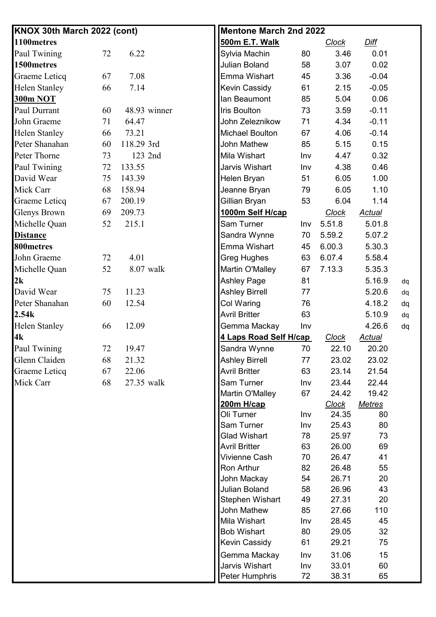| KNOX 30th March 2022 (cont) |    |              | <b>Mentone March 2nd 2022</b>                                                                                                                                                                                                    |                                                                               |                                                                                                                   |                                                                             |    |
|-----------------------------|----|--------------|----------------------------------------------------------------------------------------------------------------------------------------------------------------------------------------------------------------------------------|-------------------------------------------------------------------------------|-------------------------------------------------------------------------------------------------------------------|-----------------------------------------------------------------------------|----|
| 1100metres                  |    |              | 500m E.T. Walk                                                                                                                                                                                                                   |                                                                               | <b>Clock</b>                                                                                                      | Diff                                                                        |    |
| Paul Twining                | 72 | 6.22         | Sylvia Machin                                                                                                                                                                                                                    | 80                                                                            | 3.46                                                                                                              | 0.01                                                                        |    |
| 1500metres                  |    |              | Julian Boland                                                                                                                                                                                                                    | 58                                                                            | 3.07                                                                                                              | 0.02                                                                        |    |
| Graeme Leticq               | 67 | 7.08         | Emma Wishart                                                                                                                                                                                                                     | 45                                                                            | 3.36                                                                                                              | $-0.04$                                                                     |    |
| Helen Stanley               | 66 | 7.14         | <b>Kevin Cassidy</b>                                                                                                                                                                                                             | 61                                                                            | 2.15                                                                                                              | $-0.05$                                                                     |    |
| 300m NOT                    |    |              | Ian Beaumont                                                                                                                                                                                                                     | 85                                                                            | 5.04                                                                                                              | 0.06                                                                        |    |
| Paul Durrant                | 60 | 48.93 winner | <b>Iris Boulton</b>                                                                                                                                                                                                              | 73                                                                            | 3.59                                                                                                              | $-0.11$                                                                     |    |
| John Graeme                 | 71 | 64.47        | John Zeleznikow                                                                                                                                                                                                                  | 71                                                                            | 4.34                                                                                                              | $-0.11$                                                                     |    |
| <b>Helen Stanley</b>        | 66 | 73.21        | <b>Michael Boulton</b>                                                                                                                                                                                                           | 67                                                                            | 4.06                                                                                                              | $-0.14$                                                                     |    |
| Peter Shanahan              | 60 | 118.29 3rd   | <b>John Mathew</b>                                                                                                                                                                                                               | 85                                                                            | 5.15                                                                                                              | 0.15                                                                        |    |
| Peter Thorne                | 73 | 123 2nd      | Mila Wishart                                                                                                                                                                                                                     | Inv                                                                           | 4.47                                                                                                              | 0.32                                                                        |    |
| Paul Twining                | 72 | 133.55       | Jarvis Wishart                                                                                                                                                                                                                   | Inv                                                                           | 4.38                                                                                                              | 0.46                                                                        |    |
| David Wear                  | 75 | 143.39       | Helen Bryan                                                                                                                                                                                                                      | 51                                                                            | 6.05                                                                                                              | 1.00                                                                        |    |
| Mick Carr                   | 68 | 158.94       | Jeanne Bryan                                                                                                                                                                                                                     | 79                                                                            | 6.05                                                                                                              | 1.10                                                                        |    |
| Graeme Leticq               | 67 | 200.19       | Gillian Bryan                                                                                                                                                                                                                    | 53                                                                            | 6.04                                                                                                              | 1.14                                                                        |    |
| Glenys Brown                | 69 | 209.73       | 1000m Self H/cap                                                                                                                                                                                                                 |                                                                               | <b>Clock</b>                                                                                                      | <u>Actual</u>                                                               |    |
| Michelle Quan               | 52 | 215.1        | Sam Turner                                                                                                                                                                                                                       | Inv                                                                           | 5.51.8                                                                                                            | 5.01.8                                                                      |    |
| <b>Distance</b>             |    |              | Sandra Wynne                                                                                                                                                                                                                     | 70                                                                            | 5.59.2                                                                                                            | 5.07.2                                                                      |    |
| 800 metres                  |    |              | Emma Wishart                                                                                                                                                                                                                     | 45                                                                            | 6.00.3                                                                                                            | 5.30.3                                                                      |    |
| John Graeme                 | 72 | 4.01         | <b>Greg Hughes</b>                                                                                                                                                                                                               | 63                                                                            | 6.07.4                                                                                                            | 5.58.4                                                                      |    |
| Michelle Quan               | 52 | 8.07 walk    | Martin O'Malley                                                                                                                                                                                                                  | 67                                                                            | 7.13.3                                                                                                            | 5.35.3                                                                      |    |
| 2k                          |    |              | <b>Ashley Page</b>                                                                                                                                                                                                               | 81                                                                            |                                                                                                                   | 5.16.9                                                                      | dq |
| David Wear                  | 75 | 11.23        | <b>Ashley Birrell</b>                                                                                                                                                                                                            | 77                                                                            |                                                                                                                   | 5.20.6                                                                      | dq |
| Peter Shanahan              | 60 | 12.54        | Col Waring                                                                                                                                                                                                                       | 76                                                                            |                                                                                                                   | 4.18.2                                                                      | dq |
| 2.54k                       |    |              | <b>Avril Britter</b>                                                                                                                                                                                                             | 63                                                                            |                                                                                                                   | 5.10.9                                                                      | dq |
| <b>Helen Stanley</b>        | 66 | 12.09        | Gemma Mackay                                                                                                                                                                                                                     | Inv                                                                           |                                                                                                                   | 4.26.6                                                                      | dq |
| 4k                          |    |              | <u>4 Laps Road Self H/cap</u>                                                                                                                                                                                                    |                                                                               | <b>Clock</b>                                                                                                      | <b>Actual</b>                                                               |    |
| Paul Twining                | 72 | 19.47        | Sandra Wynne                                                                                                                                                                                                                     | 70                                                                            | 22.10                                                                                                             | 20.20                                                                       |    |
| Glenn Claiden               | 68 | 21.32        | <b>Ashley Birrell</b>                                                                                                                                                                                                            | 77                                                                            | 23.02                                                                                                             | 23.02                                                                       |    |
| Graeme Leticq               | 67 | 22.06        | <b>Avril Britter</b>                                                                                                                                                                                                             | 63                                                                            | 23.14                                                                                                             | 21.54                                                                       |    |
| Mick Carr                   | 68 | 27.35 walk   | Sam Turner                                                                                                                                                                                                                       | Inv                                                                           | 23.44                                                                                                             | 22.44                                                                       |    |
|                             |    |              | Martin O'Malley                                                                                                                                                                                                                  | 67                                                                            | 24.42                                                                                                             | 19.42                                                                       |    |
|                             |    |              | 200m H/cap                                                                                                                                                                                                                       |                                                                               | <b>Clock</b>                                                                                                      | <b>Metres</b>                                                               |    |
|                             |    |              | Oli Turner                                                                                                                                                                                                                       | Inv                                                                           | 24.35                                                                                                             | 80                                                                          |    |
|                             |    |              | Sam Turner                                                                                                                                                                                                                       | Inv                                                                           | 25.43                                                                                                             | 80                                                                          |    |
|                             |    |              | <b>Glad Wishart</b>                                                                                                                                                                                                              | 78                                                                            | 25.97                                                                                                             | 73                                                                          |    |
|                             |    |              |                                                                                                                                                                                                                                  |                                                                               |                                                                                                                   |                                                                             |    |
|                             |    |              |                                                                                                                                                                                                                                  |                                                                               |                                                                                                                   |                                                                             |    |
|                             |    |              |                                                                                                                                                                                                                                  |                                                                               |                                                                                                                   |                                                                             |    |
|                             |    |              |                                                                                                                                                                                                                                  |                                                                               |                                                                                                                   |                                                                             |    |
|                             |    |              |                                                                                                                                                                                                                                  |                                                                               |                                                                                                                   |                                                                             |    |
|                             |    |              |                                                                                                                                                                                                                                  |                                                                               |                                                                                                                   |                                                                             |    |
|                             |    |              |                                                                                                                                                                                                                                  |                                                                               |                                                                                                                   |                                                                             |    |
|                             |    |              |                                                                                                                                                                                                                                  |                                                                               |                                                                                                                   |                                                                             |    |
|                             |    |              |                                                                                                                                                                                                                                  |                                                                               |                                                                                                                   |                                                                             |    |
|                             |    |              |                                                                                                                                                                                                                                  |                                                                               |                                                                                                                   |                                                                             |    |
|                             |    |              |                                                                                                                                                                                                                                  |                                                                               |                                                                                                                   |                                                                             |    |
|                             |    |              |                                                                                                                                                                                                                                  |                                                                               |                                                                                                                   |                                                                             |    |
|                             |    |              | <b>Avril Britter</b><br>Vivienne Cash<br>Ron Arthur<br>John Mackay<br>Julian Boland<br>Stephen Wishart<br>John Mathew<br>Mila Wishart<br><b>Bob Wishart</b><br>Kevin Cassidy<br>Gemma Mackay<br>Jarvis Wishart<br>Peter Humphris | 63<br>70<br>82<br>54<br>58<br>49<br>85<br>Inv<br>80<br>61<br>Inv<br>Inv<br>72 | 26.00<br>26.47<br>26.48<br>26.71<br>26.96<br>27.31<br>27.66<br>28.45<br>29.05<br>29.21<br>31.06<br>33.01<br>38.31 | 69<br>41<br>55<br>20<br>43<br>20<br>110<br>45<br>32<br>75<br>15<br>60<br>65 |    |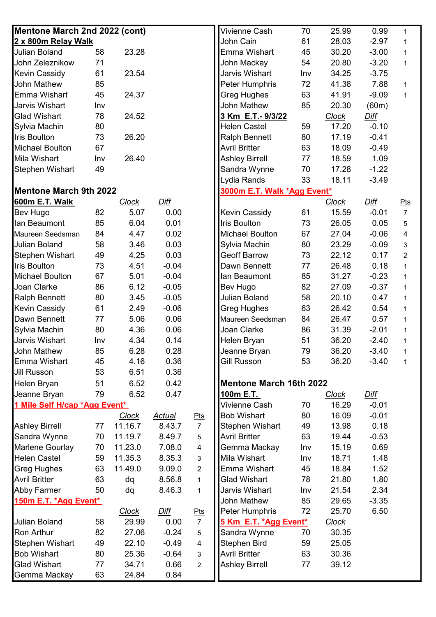| Mentone March 2nd 2022 (cont) |     |              |               | Vivienne Cash  | 70                             | 25.99 | 0.99         | $\mathbf{1}$ |                |
|-------------------------------|-----|--------------|---------------|----------------|--------------------------------|-------|--------------|--------------|----------------|
| 2 x 800m Relay Walk           |     |              |               |                | John Cain                      | 61    | 28.03        | $-2.97$      | $\mathbf{1}$   |
| <b>Julian Boland</b>          | 58  | 23.28        |               |                | Emma Wishart                   | 45    | 30.20        | $-3.00$      | $\mathbf{1}$   |
| John Zeleznikow               | 71  |              |               |                | John Mackay                    | 54    | 20.80        | $-3.20$      | $\mathbf{1}$   |
| <b>Kevin Cassidy</b>          | 61  | 23.54        |               |                | Jarvis Wishart                 | Inv   | 34.25        | $-3.75$      |                |
| John Mathew                   | 85  |              |               |                | Peter Humphris                 | 72    | 41.38        | 7.88         | $\mathbf{1}$   |
| Emma Wishart                  | 45  | 24.37        |               |                | Greg Hughes                    | 63    | 41.91        | $-9.09$      | $\mathbf{1}$   |
| <b>Jarvis Wishart</b>         | Inv |              |               |                | John Mathew                    | 85    | 20.30        | (60m)        |                |
| <b>Glad Wishart</b>           | 78  | 24.52        |               |                | 3 Km E.T.- 9/3/22              |       | <b>Clock</b> | <b>Diff</b>  |                |
| Sylvia Machin                 | 80  |              |               |                | <b>Helen Castel</b>            | 59    | 17.20        | $-0.10$      |                |
| <b>Iris Boulton</b>           | 73  | 26.20        |               |                | <b>Ralph Bennett</b>           | 80    | 17.19        | $-0.41$      |                |
| <b>Michael Boulton</b>        | 67  |              |               |                | <b>Avril Britter</b>           | 63    | 18.09        | $-0.49$      |                |
| Mila Wishart                  | Inv | 26.40        |               |                | <b>Ashley Birrell</b>          | 77    | 18.59        | 1.09         |                |
| <b>Stephen Wishart</b>        | 49  |              |               |                | Sandra Wynne                   | 70    | 17.28        | $-1.22$      |                |
|                               |     |              |               |                | Lydia Rands                    | 33    | 18.11        | $-3.49$      |                |
| <b>Mentone March 9th 2022</b> |     |              |               |                | 3000m E.T. Walk *Agg Event*    |       |              |              |                |
| 600m E.T. Walk                |     | <b>Clock</b> | Diff          |                |                                |       | <b>Clock</b> | Diff         | Pts            |
| Bev Hugo                      | 82  | 5.07         | 0.00          |                | Kevin Cassidy                  | 61    | 15.59        | $-0.01$      | $\overline{7}$ |
| lan Beaumont                  | 85  | 6.04         | 0.01          |                | Iris Boulton                   | 73    | 26.05        | 0.05         | 5              |
| Maureen Seedsman              | 84  | 4.47         | 0.02          |                | <b>Michael Boulton</b>         | 67    | 27.04        | $-0.06$      | $\overline{4}$ |
| <b>Julian Boland</b>          | 58  | 3.46         | 0.03          |                | Sylvia Machin                  | 80    | 23.29        | $-0.09$      | 3              |
| <b>Stephen Wishart</b>        | 49  | 4.25         | 0.03          |                | <b>Geoff Barrow</b>            | 73    | 22.12        | 0.17         | $\overline{2}$ |
| <b>Iris Boulton</b>           | 73  | 4.51         | $-0.04$       |                | Dawn Bennett                   | 77    | 26.48        | 0.18         | $\mathbf{1}$   |
| <b>Michael Boulton</b>        | 67  | 5.01         | $-0.04$       |                | lan Beaumont                   | 85    | 31.27        | $-0.23$      | $\mathbf{1}$   |
| Joan Clarke                   | 86  | 6.12         | $-0.05$       |                | Bev Hugo                       | 82    | 27.09        | $-0.37$      | $\mathbf{1}$   |
| <b>Ralph Bennett</b>          | 80  | 3.45         | $-0.05$       |                | Julian Boland                  | 58    | 20.10        | 0.47         | $\mathbf{1}$   |
| <b>Kevin Cassidy</b>          | 61  | 2.49         | $-0.06$       |                | <b>Greg Hughes</b>             | 63    | 26.42        | 0.54         | $\mathbf{1}$   |
| Dawn Bennett                  | 77  | 5.06         | 0.06          |                | Maureen Seedsman               | 84    | 26.47        | 0.57         | $\mathbf 1$    |
| Sylvia Machin                 | 80  | 4.36         | 0.06          |                | Joan Clarke                    | 86    | 31.39        | $-2.01$      | $\mathbf{1}$   |
| Jarvis Wishart                | Inv | 4.34         | 0.14          |                | Helen Bryan                    | 51    | 36.20        | $-2.40$      | $\mathbf{1}$   |
| John Mathew                   | 85  | 6.28         | 0.28          |                | Jeanne Bryan                   | 79    | 36.20        | $-3.40$      |                |
| Emma Wishart                  | 45  | 4.16         | 0.36          |                | <b>Gill Russon</b>             | 53    | 36.20        | $-3.40$      | 1              |
| <b>Jill Russon</b>            | 53  | 6.51         | 0.36          |                |                                |       |              |              |                |
| Helen Bryan                   | 51  | 6.52         | 0.42          |                | <b>Mentone March 16th 2022</b> |       |              |              |                |
| Jeanne Bryan                  | 79  | 6.52         | 0.47          |                | 100m E.T.                      |       | <b>Clock</b> | Diff         |                |
| 1 Mile Self H/cap *Agg Event* |     |              |               |                | Vivienne Cash                  | 70    | 16.29        | $-0.01$      |                |
|                               |     | <b>Clock</b> | <u>Actual</u> | Pts            | <b>Bob Wishart</b>             | 80    | 16.09        | $-0.01$      |                |
| <b>Ashley Birrell</b>         | 77  | 11.16.7      | 8.43.7        | $\overline{7}$ | Stephen Wishart                | 49    | 13.98        | 0.18         |                |
| Sandra Wynne                  | 70  | 11.19.7      | 8.49.7        | 5              | <b>Avril Britter</b>           | 63    | 19.44        | $-0.53$      |                |
| Marlene Gourlay               | 70  | 11.23.0      | 7.08.0        | 4              | Gemma Mackay                   | Inv   | 15.19        | 0.69         |                |
| <b>Helen Castel</b>           | 59  | 11.35.3      | 8.35.3        | $\mathbf{3}$   | Mila Wishart                   | Inv   | 18.71        | 1.48         |                |
| <b>Greg Hughes</b>            | 63  | 11.49.0      | 9.09.0        | $\overline{2}$ | Emma Wishart                   | 45    | 18.84        | 1.52         |                |
| <b>Avril Britter</b>          | 63  | dq           | 8.56.8        | $\mathbf{1}$   | <b>Glad Wishart</b>            | 78    | 21.80        | 1.80         |                |
| <b>Abby Farmer</b>            | 50  | dq           | 8.46.3        | $\mathbf{1}$   | Jarvis Wishart                 | Inv   | 21.54        | 2.34         |                |
| 150m E.T. * Agg Event*        |     |              |               |                | John Mathew                    | 85    | 29.65        | $-3.35$      |                |
|                               |     | <b>Clock</b> | <u>Diff</u>   | $P$ ts         | Peter Humphris                 | 72    | 25.70        | 6.50         |                |
| <b>Julian Boland</b>          | 58  | 29.99        | 0.00          | $\overline{7}$ | 5 Km E.T. *Agg Event*          |       | <u>Clock</u> |              |                |
| <b>Ron Arthur</b>             | 82  | 27.06        | $-0.24$       | $\,$ 5 $\,$    | Sandra Wynne                   | 70    | 30.35        |              |                |
| <b>Stephen Wishart</b>        | 49  | 22.10        | $-0.49$       | 4              | Stephen Bird                   | 59    | 25.05        |              |                |
| <b>Bob Wishart</b>            | 80  | 25.36        | $-0.64$       | 3              | <b>Avril Britter</b>           | 63    | 30.36        |              |                |
| <b>Glad Wishart</b>           | 77  | 34.71        | 0.66          | $\overline{2}$ | <b>Ashley Birrell</b>          | 77    | 39.12        |              |                |
| Gemma Mackay                  | 63  | 24.84        | 0.84          |                |                                |       |              |              |                |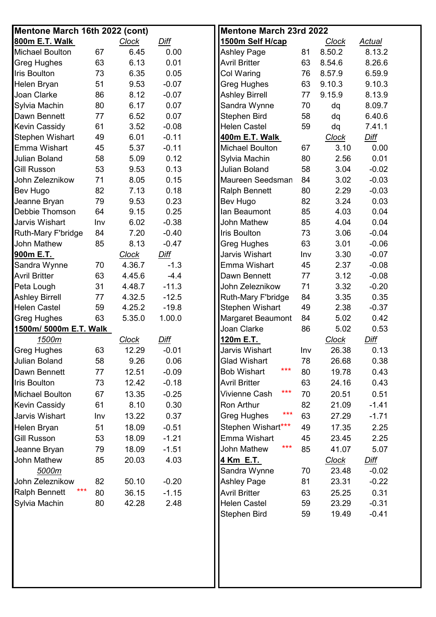| Mentone March 16th 2022 (cont) |     |              |             |                           | <b>Mentone March 23rd 2022</b> |              |               |  |
|--------------------------------|-----|--------------|-------------|---------------------------|--------------------------------|--------------|---------------|--|
| 800m E.T. Walk                 |     | <b>Clock</b> | Diff        | 1500m Self H/cap          |                                | <b>Clock</b> | <b>Actual</b> |  |
| <b>Michael Boulton</b>         | 67  | 6.45         | 0.00        | <b>Ashley Page</b>        | 81                             | 8.50.2       | 8.13.2        |  |
| <b>Greg Hughes</b>             | 63  | 6.13         | 0.01        | <b>Avril Britter</b>      | 63                             | 8.54.6       | 8.26.6        |  |
| <b>Iris Boulton</b>            | 73  | 6.35         | 0.05        | <b>Col Waring</b>         | 76                             | 8.57.9       | 6.59.9        |  |
| Helen Bryan                    | 51  | 9.53         | $-0.07$     | <b>Greg Hughes</b>        | 63                             | 9.10.3       | 9.10.3        |  |
| Joan Clarke                    | 86  | 8.12         | $-0.07$     | <b>Ashley Birrell</b>     | 77                             | 9.15.9       | 8.13.9        |  |
| Sylvia Machin                  | 80  | 6.17         | 0.07        | Sandra Wynne              | 70                             | dq           | 8.09.7        |  |
| Dawn Bennett                   | 77  | 6.52         | 0.07        | Stephen Bird              | 58                             | dq           | 6.40.6        |  |
| <b>Kevin Cassidy</b>           | 61  | 3.52         | $-0.08$     | <b>Helen Castel</b>       | 59                             | dq           | 7.41.1        |  |
| <b>Stephen Wishart</b>         | 49  | 6.01         | $-0.11$     | 400m E.T. Walk            |                                | <b>Clock</b> | <b>Diff</b>   |  |
| Emma Wishart                   | 45  | 5.37         | $-0.11$     | Michael Boulton           | 67                             | 3.10         | 0.00          |  |
| <b>Julian Boland</b>           | 58  | 5.09         | 0.12        | Sylvia Machin             | 80                             | 2.56         | 0.01          |  |
| <b>Gill Russon</b>             | 53  | 9.53         | 0.13        | Julian Boland             | 58                             | 3.04         | $-0.02$       |  |
| John Zeleznikow                | 71  | 8.05         | 0.15        | Maureen Seedsman          | 84                             | 3.02         | $-0.03$       |  |
| Bev Hugo                       | 82  | 7.13         | 0.18        | <b>Ralph Bennett</b>      | 80                             | 2.29         | $-0.03$       |  |
| Jeanne Bryan                   | 79  | 9.53         | 0.23        | Bev Hugo                  | 82                             | 3.24         | 0.03          |  |
| Debbie Thomson                 | 64  | 9.15         | 0.25        | Ian Beaumont              | 85                             | 4.03         | 0.04          |  |
| <b>Jarvis Wishart</b>          | Inv | 6.02         | $-0.38$     | John Mathew               | 85                             | 4.04         | 0.04          |  |
| Ruth-Mary F'bridge             | 84  | 7.20         | $-0.40$     | <b>Iris Boulton</b>       | 73                             | 3.06         | $-0.04$       |  |
| John Mathew                    | 85  | 8.13         | $-0.47$     | Greg Hughes               | 63                             | 3.01         | $-0.06$       |  |
| 900m E.T.                      |     | <b>Clock</b> | <b>Diff</b> | Jarvis Wishart            | Inv                            | 3.30         | $-0.07$       |  |
| Sandra Wynne                   | 70  | 4.36.7       | $-1.3$      | Emma Wishart              | 45                             | 2.37         | $-0.08$       |  |
| <b>Avril Britter</b>           | 63  | 4.45.6       | $-4.4$      | Dawn Bennett              | 77                             | 3.12         | $-0.08$       |  |
| Peta Lough                     | 31  | 4.48.7       | $-11.3$     | John Zeleznikow           | 71                             | 3.32         | $-0.20$       |  |
| <b>Ashley Birrell</b>          | 77  | 4.32.5       | $-12.5$     | Ruth-Mary F'bridge        | 84                             | 3.35         | 0.35          |  |
| <b>Helen Castel</b>            | 59  | 4.25.2       | $-19.8$     | Stephen Wishart           | 49                             | 2.38         | $-0.37$       |  |
| <b>Greg Hughes</b>             | 63  | 5.35.0       | 1.00.0      | <b>Margaret Beaumont</b>  | 84                             | 5.02         | 0.42          |  |
| 1500m/ 5000m E.T. Walk         |     |              |             | Joan Clarke               | 86                             | 5.02         | 0.53          |  |
| 1500m                          |     | <b>Clock</b> | Diff        | 120m E.T.                 |                                | <b>Clock</b> | Diff          |  |
| <b>Greg Hughes</b>             | 63  | 12.29        | $-0.01$     | Jarvis Wishart            | Inv                            | 26.38        | 0.13          |  |
| <b>Julian Boland</b>           | 58  | 9.26         | 0.06        | <b>Glad Wishart</b>       | 78                             | 26.68        | 0.38          |  |
| Dawn Bennett                   | 77  | 12.51        | $-0.09$     | ***<br><b>Bob Wishart</b> | 80                             | 19.78        | 0.43          |  |
| <b>Iris Boulton</b>            | 73  | 12.42        | $-0.18$     | <b>Avril Britter</b>      | 63                             | 24.16        | 0.43          |  |
| <b>Michael Boulton</b>         | 67  | 13.35        | $-0.25$     | ***<br>Vivienne Cash      | 70                             | 20.51        | 0.51          |  |
| <b>Kevin Cassidy</b>           | 61  | 8.10         | 0.30        | Ron Arthur                | 82                             | 21.09        | $-1.41$       |  |
| Jarvis Wishart                 | Inv | 13.22        | 0.37        | ***<br><b>Greg Hughes</b> | 63                             | 27.29        | $-1.71$       |  |
| Helen Bryan                    | 51  | 18.09        | $-0.51$     | Stephen Wishart***        | 49                             | 17.35        | 2.25          |  |
| <b>Gill Russon</b>             | 53  | 18.09        | $-1.21$     | Emma Wishart              | 45                             | 23.45        | 2.25          |  |
| Jeanne Bryan                   | 79  | 18.09        | $-1.51$     | ***<br>John Mathew        | 85                             | 41.07        | 5.07          |  |
| John Mathew                    | 85  | 20.03        | 4.03        | <u>4 Km E.T.</u>          |                                | <b>Clock</b> | <u>Diff</u>   |  |
| 5000m                          |     |              |             | Sandra Wynne              | 70                             | 23.48        | $-0.02$       |  |
| John Zeleznikow                | 82  | 50.10        | $-0.20$     | <b>Ashley Page</b>        | 81                             | 23.31        | $-0.22$       |  |
| ***<br><b>Ralph Bennett</b>    | 80  | 36.15        | $-1.15$     | <b>Avril Britter</b>      | 63                             | 25.25        | 0.31          |  |
| Sylvia Machin                  | 80  | 42.28        | 2.48        | <b>Helen Castel</b>       | 59                             | 23.29        | $-0.31$       |  |
|                                |     |              |             | Stephen Bird              | 59                             | 19.49        | $-0.41$       |  |
|                                |     |              |             |                           |                                |              |               |  |
|                                |     |              |             |                           |                                |              |               |  |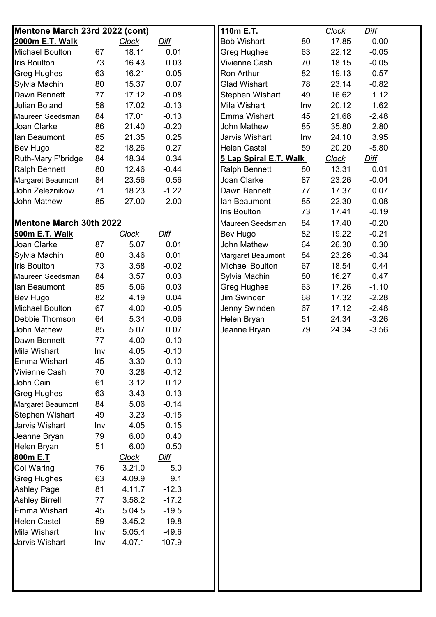| Mentone March 23rd 2022 (cont)                     |     |                        |                    | 110m E.T.              |     | <b>Clock</b> | <b>Diff</b> |  |
|----------------------------------------------------|-----|------------------------|--------------------|------------------------|-----|--------------|-------------|--|
| 2000m E.T. Walk                                    |     | <b>Clock</b>           | Diff               | <b>Bob Wishart</b>     | 80  | 17.85        | 0.00        |  |
| <b>Michael Boulton</b>                             | 67  | 18.11                  | 0.01               | Greg Hughes            | 63  | 22.12        | $-0.05$     |  |
| <b>Iris Boulton</b>                                | 73  | 16.43                  | 0.03               | Vivienne Cash          | 70  | 18.15        | $-0.05$     |  |
| <b>Greg Hughes</b>                                 | 63  | 16.21                  | 0.05               | <b>Ron Arthur</b>      | 82  | 19.13        | $-0.57$     |  |
| Sylvia Machin                                      | 80  | 15.37                  | 0.07               | <b>Glad Wishart</b>    | 78  | 23.14        | $-0.82$     |  |
| Dawn Bennett                                       | 77  | 17.12                  | $-0.08$            | Stephen Wishart        | 49  | 16.62        | 1.12        |  |
| <b>Julian Boland</b>                               | 58  | 17.02                  | $-0.13$            | Mila Wishart           | Inv | 20.12        | 1.62        |  |
| Maureen Seedsman                                   | 84  | 17.01                  | $-0.13$            | <b>Emma Wishart</b>    | 45  | 21.68        | $-2.48$     |  |
| Joan Clarke                                        | 86  | 21.40                  | $-0.20$            | <b>John Mathew</b>     | 85  | 35.80        | 2.80        |  |
| lan Beaumont                                       | 85  | 21.35                  | 0.25               | Jarvis Wishart         | Inv | 24.10        | 3.95        |  |
| Bev Hugo                                           | 82  | 18.26                  | 0.27               | <b>Helen Castel</b>    | 59  | 20.20        | $-5.80$     |  |
| Ruth-Mary F'bridge                                 | 84  | 18.34                  | 0.34               | 5 Lap Spiral E.T. Walk |     | <b>Clock</b> | Diff        |  |
| <b>Ralph Bennett</b>                               | 80  | 12.46                  | $-0.44$            | <b>Ralph Bennett</b>   | 80  | 13.31        | 0.01        |  |
| Margaret Beaumont                                  | 84  | 23.56                  | 0.56               | Joan Clarke            | 87  | 23.26        | $-0.04$     |  |
| John Zeleznikow                                    | 71  | 18.23                  | $-1.22$            | Dawn Bennett           | 77  | 17.37        | 0.07        |  |
| <b>John Mathew</b>                                 | 85  | 27.00                  | 2.00               | lan Beaumont           | 85  | 22.30        | $-0.08$     |  |
|                                                    |     |                        |                    | Iris Boulton           | 73  | 17.41        | $-0.19$     |  |
| <b>Mentone March 30th 2022</b>                     |     |                        |                    | Maureen Seedsman       | 84  | 17.40        | $-0.20$     |  |
| 500m E.T. Walk                                     |     | <b>Clock</b>           | Diff               | Bev Hugo               | 82  | 19.22        | $-0.21$     |  |
| Joan Clarke                                        | 87  | 5.07                   | 0.01               | John Mathew            | 64  | 26.30        | 0.30        |  |
| Sylvia Machin                                      | 80  | 3.46                   | 0.01               | Margaret Beaumont      | 84  | 23.26        | $-0.34$     |  |
| <b>Iris Boulton</b>                                | 73  | 3.58                   | $-0.02$            | <b>Michael Boulton</b> | 67  | 18.54        | 0.44        |  |
| Maureen Seedsman                                   | 84  | 3.57                   | 0.03               | Sylvia Machin          | 80  | 16.27        | 0.47        |  |
| lan Beaumont                                       | 85  | 5.06                   | 0.03               | Greg Hughes            | 63  | 17.26        | $-1.10$     |  |
| Bev Hugo                                           | 82  | 4.19                   | 0.04               | Jim Swinden            | 68  | 17.32        | $-2.28$     |  |
| <b>Michael Boulton</b>                             | 67  | 4.00                   | $-0.05$            | Jenny Swinden          | 67  | 17.12        | $-2.48$     |  |
| Debbie Thomson                                     | 64  | 5.34                   | $-0.06$            | Helen Bryan            | 51  | 24.34        | $-3.26$     |  |
| <b>John Mathew</b>                                 | 85  | 5.07                   | 0.07               | Jeanne Bryan           | 79  | 24.34        | $-3.56$     |  |
| Dawn Bennett                                       | 77  | 4.00                   | $-0.10$            |                        |     |              |             |  |
| <b>Mila Wishart</b>                                | Inv | 4.05                   | $-0.10$            |                        |     |              |             |  |
| Emma Wishart                                       | 45  | 3.30                   | $-0.10$            |                        |     |              |             |  |
| Vivienne Cash                                      | 70  | 3.28                   | $-0.12$            |                        |     |              |             |  |
| John Cain                                          | 61  | 3.12                   | 0.12               |                        |     |              |             |  |
| <b>Greg Hughes</b>                                 | 63  | 3.43                   | 0.13               |                        |     |              |             |  |
|                                                    | 84  | 5.06                   | $-0.14$            |                        |     |              |             |  |
| <b>Margaret Beaumont</b><br><b>Stephen Wishart</b> | 49  | 3.23                   | $-0.15$            |                        |     |              |             |  |
| Jarvis Wishart                                     | Inv | 4.05                   | 0.15               |                        |     |              |             |  |
| Jeanne Bryan                                       | 79  | 6.00                   | 0.40               |                        |     |              |             |  |
| Helen Bryan                                        | 51  | 6.00                   | 0.50               |                        |     |              |             |  |
| 800m E.T                                           |     |                        |                    |                        |     |              |             |  |
| Col Waring                                         | 76  | <u>Clock</u><br>3.21.0 | <u>Diff</u><br>5.0 |                        |     |              |             |  |
|                                                    |     | 4.09.9                 | 9.1                |                        |     |              |             |  |
| <b>Greg Hughes</b>                                 | 63  |                        |                    |                        |     |              |             |  |
| <b>Ashley Page</b>                                 | 81  | 4.11.7                 | $-12.3$            |                        |     |              |             |  |
| <b>Ashley Birrell</b>                              | 77  | 3.58.2                 | $-17.2$            |                        |     |              |             |  |
| Emma Wishart                                       | 45  | 5.04.5                 | $-19.5$            |                        |     |              |             |  |
| <b>Helen Castel</b>                                | 59  | 3.45.2                 | $-19.8$            |                        |     |              |             |  |
| <b>Mila Wishart</b>                                | Inv | 5.05.4                 | $-49.6$            |                        |     |              |             |  |
| Jarvis Wishart                                     | Inv | 4.07.1                 | $-107.9$           |                        |     |              |             |  |
|                                                    |     |                        |                    |                        |     |              |             |  |
|                                                    |     |                        |                    |                        |     |              |             |  |
|                                                    |     |                        |                    |                        |     |              |             |  |
|                                                    |     |                        |                    |                        |     |              |             |  |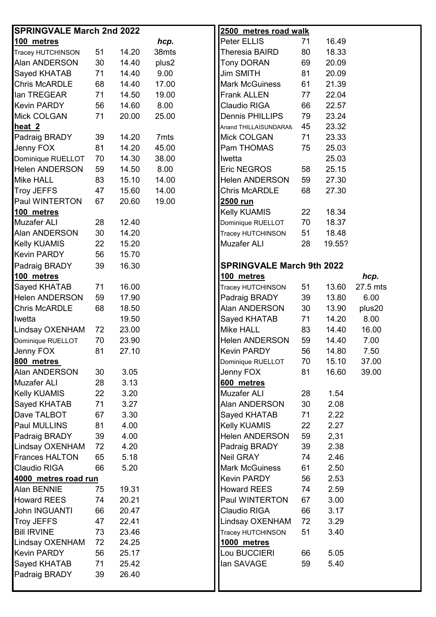| <b>SPRINGVALE March 2nd 2022</b> |    |       |       | 2500 metres road walk            |    |        |          |
|----------------------------------|----|-------|-------|----------------------------------|----|--------|----------|
| 100 metres                       |    |       | hcp.  | Peter ELLIS                      | 71 | 16.49  |          |
| Tracey HUTCHINSON                | 51 | 14.20 | 38mts | Theresia BAIRD                   | 80 | 18.33  |          |
| Alan ANDERSON                    | 30 | 14.40 | plus2 | <b>Tony DORAN</b>                | 69 | 20.09  |          |
| <b>Sayed KHATAB</b>              | 71 | 14.40 | 9.00  | <b>Jim SMITH</b>                 | 81 | 20.09  |          |
| <b>Chris McARDLE</b>             | 68 | 14.40 | 17.00 | <b>Mark McGuiness</b>            | 61 | 21.39  |          |
| lan TREGEAR                      | 71 | 14.50 | 19.00 | <b>Frank ALLEN</b>               | 77 | 22.04  |          |
| <b>Kevin PARDY</b>               | 56 | 14.60 | 8.00  | Claudio RIGA                     | 66 | 22.57  |          |
| <b>Mick COLGAN</b>               | 71 | 20.00 | 25.00 | <b>Dennis PHILLIPS</b>           | 79 | 23.24  |          |
| heat <sub>2</sub>                |    |       |       | Anand THILLAISUNDARAN            | 45 | 23.32  |          |
| Padraig BRADY                    | 39 | 14.20 | 7mts  | Mick COLGAN                      | 71 | 23.33  |          |
| Jenny FOX                        | 81 | 14.20 | 45.00 | Pam THOMAS                       | 75 | 25.03  |          |
| Dominique RUELLOT                | 70 | 14.30 | 38.00 | Iwetta                           |    | 25.03  |          |
| <b>Helen ANDERSON</b>            | 59 | 14.50 | 8.00  | Eric NEGROS                      | 58 | 25.15  |          |
| <b>Mike HALL</b>                 | 83 | 15.10 | 14.00 | <b>Helen ANDERSON</b>            | 59 | 27.30  |          |
| <b>Troy JEFFS</b>                | 47 | 15.60 | 14.00 | <b>Chris McARDLE</b>             | 68 | 27.30  |          |
| Paul WINTERTON                   | 67 | 20.60 | 19.00 | 2500 run                         |    |        |          |
| 100 metres                       |    |       |       | Kelly KUAMIS                     | 22 | 18.34  |          |
| <b>Muzafer ALI</b>               | 28 | 12.40 |       | Dominique RUELLOT                | 70 | 18.37  |          |
| <b>Alan ANDERSON</b>             | 30 | 14.20 |       | Tracey HUTCHINSON                | 51 | 18.48  |          |
| <b>Kelly KUAMIS</b>              | 22 | 15.20 |       | <b>Muzafer ALI</b>               | 28 | 19.55? |          |
| <b>Kevin PARDY</b>               | 56 | 15.70 |       |                                  |    |        |          |
| Padraig BRADY                    | 39 | 16.30 |       | <b>SPRINGVALE March 9th 2022</b> |    |        |          |
| 100 metres                       |    |       |       | 100 metres                       |    |        | hcp.     |
| Sayed KHATAB                     | 71 | 16.00 |       | Tracey HUTCHINSON                | 51 | 13.60  | 27.5 mts |
| <b>Helen ANDERSON</b>            | 59 | 17.90 |       | Padraig BRADY                    | 39 | 13.80  | 6.00     |
| Chris McARDLE                    | 68 | 18.50 |       | Alan ANDERSON                    | 30 | 13.90  | plus20   |
| Iwetta                           |    | 19.50 |       | Sayed KHATAB                     | 71 | 14.20  | 8.00     |
| <b>Lindsay OXENHAM</b>           | 72 | 23.00 |       | Mike HALL                        | 83 | 14.40  | 16.00    |
| Dominique RUELLOT                | 70 | 23.90 |       | <b>Helen ANDERSON</b>            | 59 | 14.40  | 7.00     |
| Jenny FOX                        | 81 | 27.10 |       | <b>Kevin PARDY</b>               | 56 | 14.80  | 7.50     |
| 800 metres                       |    |       |       | Dominique RUELLOT                | 70 | 15.10  | 37.00    |
| Alan ANDERSON                    | 30 | 3.05  |       | Jenny FOX                        | 81 | 16.60  | 39.00    |
| <b>Muzafer ALI</b>               | 28 | 3.13  |       | 600 metres                       |    |        |          |
| <b>Kelly KUAMIS</b>              | 22 | 3.20  |       | <b>Muzafer ALI</b>               | 28 | 1.54   |          |
| Sayed KHATAB                     | 71 | 3.27  |       | Alan ANDERSON                    | 30 | 2.08   |          |
| Dave TALBOT                      | 67 | 3.30  |       | Sayed KHATAB                     | 71 | 2.22   |          |
| Paul MULLINS                     | 81 | 4.00  |       | <b>Kelly KUAMIS</b>              | 22 | 2.27   |          |
| Padraig BRADY                    | 39 | 4.00  |       | <b>Helen ANDERSON</b>            | 59 | 2,31   |          |
| Lindsay OXENHAM                  | 72 | 4.20  |       | Padraig BRADY                    | 39 | 2.38   |          |
| <b>Frances HALTON</b>            | 65 | 5.18  |       | Neil GRAY                        | 74 | 2.46   |          |
| Claudio RIGA                     | 66 | 5.20  |       | <b>Mark McGuiness</b>            | 61 | 2.50   |          |
| 4000 metres road run             |    |       |       | <b>Kevin PARDY</b>               | 56 | 2.53   |          |
| Alan BENNIE                      | 75 | 19.31 |       | <b>Howard REES</b>               | 74 | 2.59   |          |
| <b>Howard REES</b>               | 74 | 20.21 |       | Paul WINTERTON                   | 67 | 3.00   |          |
| John INGUANTI                    | 66 | 20.47 |       | Claudio RIGA                     | 66 | 3.17   |          |
| <b>Troy JEFFS</b>                | 47 | 22.41 |       | Lindsay OXENHAM                  | 72 | 3.29   |          |
| <b>Bill IRVINE</b>               | 73 | 23.46 |       | Tracey HUTCHINSON                | 51 | 3.40   |          |
| Lindsay OXENHAM                  | 72 | 24.25 |       | 1000 metres                      |    |        |          |
| <b>Kevin PARDY</b>               | 56 | 25.17 |       | Lou BUCCIERI                     | 66 | 5.05   |          |
| Sayed KHATAB                     | 71 | 25.42 |       | lan SAVAGE                       | 59 | 5.40   |          |
| Padraig BRADY                    | 39 | 26.40 |       |                                  |    |        |          |
|                                  |    |       |       |                                  |    |        |          |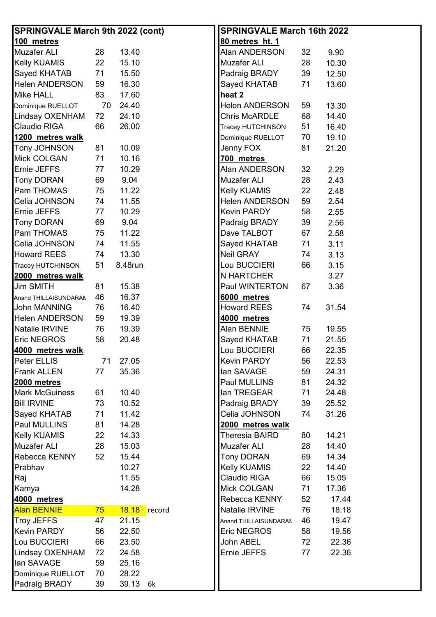| <b>SPRINGVALE March 9th 2022 (cont)</b> | <b>SPRINGVALE March 16th 2022</b>  |
|-----------------------------------------|------------------------------------|
| 100 metres                              | 80 metres ht. 1                    |
| Muzafer ALI                             | Alan ANDERSON                      |
| 28                                      | 32                                 |
| 13.40                                   | 9.90                               |
| Kelly KUAMIS                            | Muzafer ALI                        |
| 22                                      | 28                                 |
| 15.10                                   | 10.30                              |
| Sayed KHATAB                            | Padraig BRADY                      |
| 71                                      | 39                                 |
| 15.50                                   | 12.50                              |
| <b>Helen ANDERSON</b>                   | Sayed KHATAB                       |
| 16.30                                   | 71                                 |
| 59                                      | 13.60                              |
| Mike HALL<br>83<br>17.60                | heat 2                             |
| 70                                      | <b>Helen ANDERSON</b>              |
| 24.40                                   | 13.30                              |
| Dominique RUELLOT                       | 59                                 |
| Lindsay OXENHAM                         | <b>Chris McARDLE</b>               |
| 72                                      | 68                                 |
| 24.10                                   | 14.40                              |
| Claudio RIGA                            | 51                                 |
| 26.00                                   | Tracey HUTCHINSON                  |
| 66                                      | 16.40                              |
| 1200 metres walk                        | 70<br>Dominique RUELLOT<br>19.10   |
| Tony JOHNSON                            | 81                                 |
| 81                                      | Jenny FOX                          |
| 10.09                                   | 21.20                              |
| Mick COLGAN<br>10.16<br>71              | 700 metres                         |
| Ernie JEFFS                             | Alan ANDERSON                      |
| 10.29                                   | 32                                 |
| 77                                      | 2.29                               |
| <b>Tony DORAN</b>                       | <b>Muzafer ALI</b>                 |
| 69                                      | 28                                 |
| 9.04                                    | 2.43                               |
| Pam THOMAS<br>75<br>11.22               | 22                                 |
|                                         | <b>Kelly KUAMIS</b><br>2.48        |
| Celia JOHNSON                           | <b>Helen ANDERSON</b>              |
| 74                                      | 59                                 |
| 11.55                                   | 2.54                               |
| Ernie JEFFS                             | <b>Kevin PARDY</b>                 |
| 10.29                                   | 58                                 |
| 77                                      | 2.55                               |
| <b>Tony DORAN</b>                       | 39                                 |
| 69                                      | Padraig BRADY                      |
| 9.04                                    | 2.56                               |
| Pam THOMAS                              | Dave TALBOT                        |
| 11.22                                   | 67                                 |
| 75                                      | 2.58                               |
| Celia JOHNSON                           | Sayed KHATAB                       |
| 74                                      | 71                                 |
| 11.55                                   | 3.11                               |
| <b>Howard REES</b>                      | Neil GRAY                          |
| 13.30                                   | 3.13                               |
| 74                                      | 74                                 |
| 51                                      | Lou BUCCIERI                       |
| 8.48run                                 | 66                                 |
| Tracey HUTCHINSON                       | 3.15                               |
| 2000 metres walk                        | <b>N HARTCHER</b><br>3.27          |
| 15.38                                   | Paul WINTERTON                     |
| <b>Jim SMITH</b>                        | 67                                 |
| 81                                      | 3.36                               |
| 16.37<br>46<br>Anand THILLAISUNDARAM    | 6000 metres                        |
| <b>John MANNING</b>                     | <b>Howard REES</b>                 |
| 16.40                                   | 31.54                              |
| 76                                      | 74                                 |
| <b>Helen ANDERSON</b><br>19.39<br>59    | 4000 metres                        |
| Natalie IRVINE                          | Alan BENNIE                        |
| 76                                      | 19.55                              |
| 19.39                                   | 75                                 |
| Eric NEGROS                             | 71                                 |
| 58                                      | 21.55                              |
| 20.48                                   | Sayed KHATAB                       |
| 4000 metres walk                        | Lou BUCCIERI<br>66<br>22.35        |
| Peter ELLIS                             | <b>Kevin PARDY</b>                 |
| 27.05                                   | 56                                 |
| 71                                      | 22.53                              |
| <b>Frank ALLEN</b>                      | lan SAVAGE                         |
| 77                                      | 59                                 |
| 35.36                                   | 24.31                              |
| 2000 metres                             | Paul MULLINS<br>81<br>24.32        |
| <b>Mark McGuiness</b>                   | lan TREGEAR                        |
| 10.40                                   | 71                                 |
| 61                                      | 24.48                              |
| <b>Bill IRVINE</b>                      | Padraig BRADY                      |
| 73                                      | 39                                 |
| 10.52                                   | 25.52                              |
| Sayed KHATAB                            | Celia JOHNSON                      |
| 11.42                                   | 31.26                              |
| 71                                      | 74                                 |
| Paul MULLINS<br>81<br>14.28             | 2000 metres walk                   |
| <b>Kelly KUAMIS</b>                     | Theresia BAIRD                     |
| 22                                      | 80                                 |
| 14.33                                   | 14.21                              |
| <b>Muzafer ALI</b>                      | <b>Muzafer ALI</b>                 |
| 15.03                                   | 14.40                              |
| 28                                      | 28                                 |
| Rebecca KENNY                           | <b>Tony DORAN</b>                  |
| 52                                      | 69                                 |
| 15.44                                   | 14.34                              |
| 10.27<br>Prabhav                        | <b>Kelly KUAMIS</b><br>14.40<br>22 |
| 11.55<br>Raj                            | Claudio RIGA<br>66<br>15.05        |
| Kamya<br>14.28                          | <b>Mick COLGAN</b><br>17.36<br>71  |
| 4000 metres                             | Rebecca KENNY<br>52<br>17.44       |
| Alan BENNIE<br>18.18<br>75<br>record    | Natalie IRVINE<br>76<br>18.18      |
| <b>Troy JEFFS</b>                       | 46                                 |
| 21.15                                   | 19.47                              |
| 47                                      | Anand THILLAISUNDARAM              |
| <b>Kevin PARDY</b>                      | <b>Eric NEGROS</b>                 |
| 22.50                                   | 58                                 |
| 56                                      | 19.56                              |
| Lou BUCCIERI                            | John ABEL                          |
| 23.50                                   | 22.36                              |
| 66                                      | 72                                 |
| Lindsay OXENHAM                         | Ernie JEFFS                        |
| 24.58                                   | 22.36                              |
| 72                                      | 77                                 |
| lan SAVAGE<br>59<br>25.16               |                                    |
| Dominique RUELLOT<br>70<br>28.22        |                                    |
| Padraig BRADY<br>39.13<br>39<br>6k      |                                    |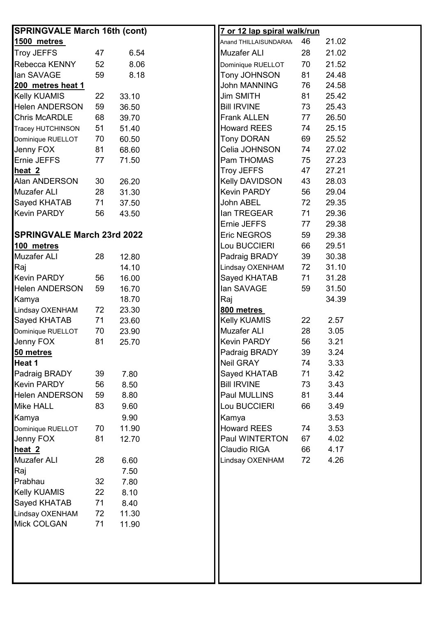| <b>SPRINGVALE March 16th (cont)</b> |    |       | <u>7 or 12 lap spiral walk/run</u> |    |       |
|-------------------------------------|----|-------|------------------------------------|----|-------|
| 1500 metres                         |    |       | Anand THILLAISUNDARAM              | 46 | 21.02 |
| <b>Troy JEFFS</b>                   | 47 | 6.54  | <b>Muzafer ALI</b>                 | 28 | 21.02 |
| Rebecca KENNY                       | 52 | 8.06  | Dominique RUELLOT                  | 70 | 21.52 |
| lan SAVAGE                          | 59 | 8.18  | Tony JOHNSON                       | 81 | 24.48 |
| 200 metres heat 1                   |    |       | <b>John MANNING</b>                | 76 | 24.58 |
| <b>Kelly KUAMIS</b>                 | 22 | 33.10 | <b>Jim SMITH</b>                   | 81 | 25.42 |
| <b>Helen ANDERSON</b>               | 59 | 36.50 | <b>Bill IRVINE</b>                 | 73 | 25.43 |
| <b>Chris McARDLE</b>                | 68 |       | Frank ALLEN                        | 77 | 26.50 |
|                                     |    | 39.70 |                                    |    |       |
| <b>Tracey HUTCHINSON</b>            | 51 | 51.40 | <b>Howard REES</b>                 | 74 | 25.15 |
| Dominique RUELLOT                   | 70 | 60.50 | <b>Tony DORAN</b>                  | 69 | 25.52 |
| Jenny FOX                           | 81 | 68.60 | Celia JOHNSON                      | 74 | 27.02 |
| Ernie JEFFS                         | 77 | 71.50 | Pam THOMAS                         | 75 | 27.23 |
| heat <sub>2</sub>                   |    |       | Troy JEFFS                         | 47 | 27.21 |
| Alan ANDERSON                       | 30 | 26.20 | Kelly DAVIDSON                     | 43 | 28.03 |
| <b>Muzafer ALI</b>                  | 28 | 31.30 | <b>Kevin PARDY</b>                 | 56 | 29.04 |
| <b>Sayed KHATAB</b>                 | 71 | 37.50 | John ABEL                          | 72 | 29.35 |
| <b>Kevin PARDY</b>                  | 56 | 43.50 | lan TREGEAR                        | 71 | 29.36 |
|                                     |    |       | Ernie JEFFS                        | 77 | 29.38 |
| <b>SPRINGVALE March 23rd 2022</b>   |    |       | Eric NEGROS                        | 59 | 29.38 |
| 100 metres                          |    |       | Lou BUCCIERI                       | 66 | 29.51 |
| <b>Muzafer ALI</b>                  | 28 | 12.80 | Padraig BRADY                      | 39 | 30.38 |
| Raj                                 |    | 14.10 | Lindsay OXENHAM                    | 72 | 31.10 |
| <b>Kevin PARDY</b>                  | 56 | 16.00 | Sayed KHATAB                       | 71 | 31.28 |
| <b>Helen ANDERSON</b>               | 59 | 16.70 | lan SAVAGE                         | 59 | 31.50 |
| Kamya                               |    | 18.70 | Raj                                |    | 34.39 |
| Lindsay OXENHAM                     | 72 | 23.30 | 800 metres                         |    |       |
| <b>Sayed KHATAB</b>                 | 71 | 23.60 | Kelly KUAMIS                       | 22 | 2.57  |
| Dominique RUELLOT                   | 70 | 23.90 | <b>Muzafer ALI</b>                 | 28 | 3.05  |
| Jenny FOX                           | 81 | 25.70 | <b>Kevin PARDY</b>                 | 56 | 3.21  |
| 50 metres                           |    |       | Padraig BRADY                      | 39 | 3.24  |
| Heat 1                              |    |       | <b>Neil GRAY</b>                   | 74 | 3.33  |
| Padraig BRADY                       | 39 | 7.80  | Sayed KHATAB                       | 71 | 3.42  |
| <b>Kevin PARDY</b>                  | 56 | 8.50  | <b>Bill IRVINE</b>                 | 73 | 3.43  |
| <b>Helen ANDERSON</b>               | 59 | 8.80  | Paul MULLINS                       | 81 | 3.44  |
|                                     |    |       | Lou BUCCIERI                       |    |       |
| <b>Mike HALL</b>                    | 83 | 9.60  |                                    | 66 | 3.49  |
| Kamya                               |    | 9.90  | Kamya                              |    | 3.53  |
| Dominique RUELLOT                   | 70 | 11.90 | <b>Howard REES</b>                 | 74 | 3.53  |
| Jenny FOX                           | 81 | 12.70 | Paul WINTERTON                     | 67 | 4.02  |
| heat <sub>2</sub>                   |    |       | <b>Claudio RIGA</b>                | 66 | 4.17  |
| <b>Muzafer ALI</b>                  | 28 | 6.60  | Lindsay OXENHAM                    | 72 | 4.26  |
| Raj                                 |    | 7.50  |                                    |    |       |
| Prabhau                             | 32 | 7.80  |                                    |    |       |
| <b>Kelly KUAMIS</b>                 | 22 | 8.10  |                                    |    |       |
| <b>Sayed KHATAB</b>                 | 71 | 8.40  |                                    |    |       |
| Lindsay OXENHAM                     | 72 | 11.30 |                                    |    |       |
| <b>Mick COLGAN</b>                  | 71 | 11.90 |                                    |    |       |
|                                     |    |       |                                    |    |       |
|                                     |    |       |                                    |    |       |
|                                     |    |       |                                    |    |       |
|                                     |    |       |                                    |    |       |
|                                     |    |       |                                    |    |       |